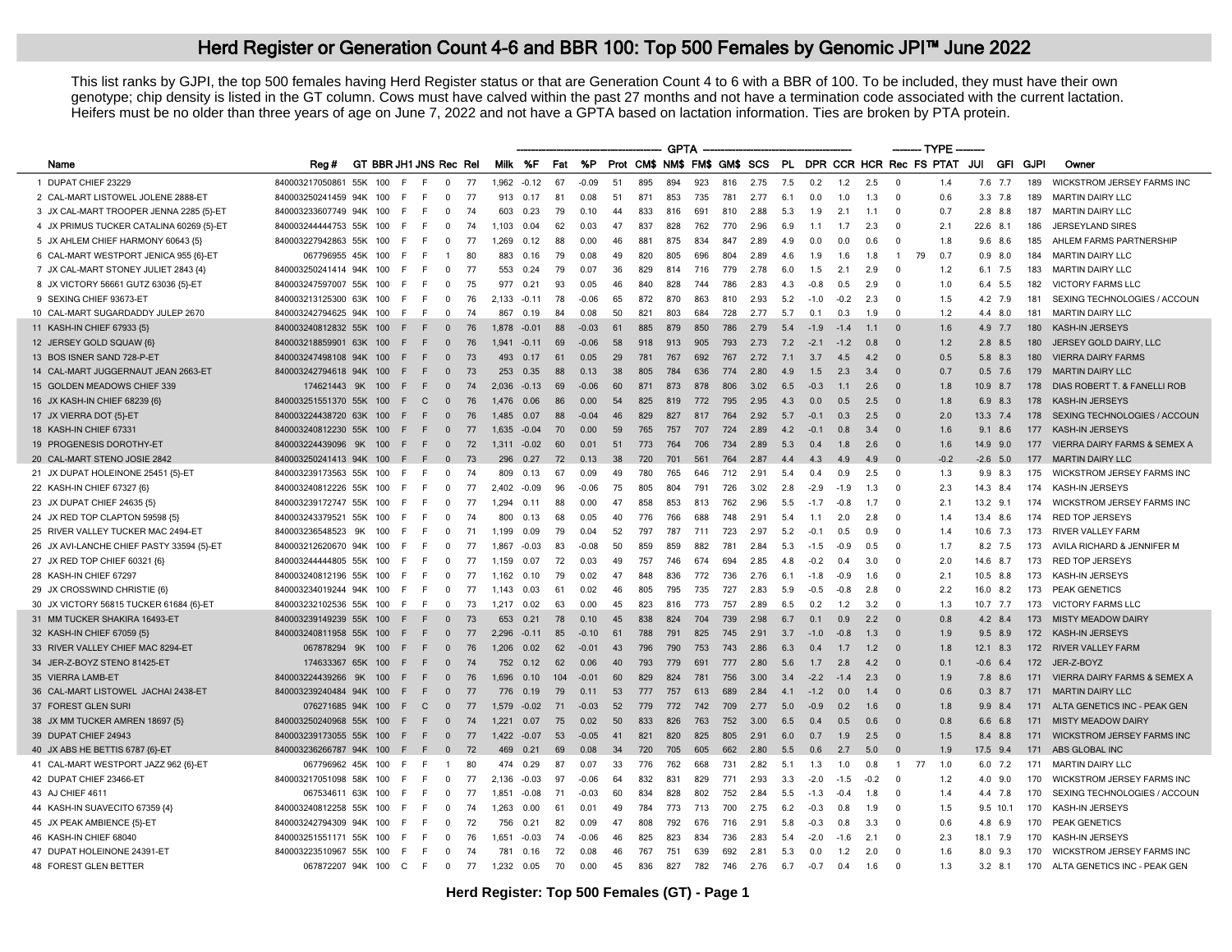This list ranks by GJPI, the top 500 females having Herd Register status or that are Generation Count 4 to 6 with a BBR of 100. To be included, they must have their own genotype; chip density is listed in the GT column. Cows must have calved within the past 27 months and not have a termination code associated with the current lactation. Heifers must be no older than three years of age on June 7, 2022 and not have a GPTA based on lactation information. Ties are broken by PTA protein.

|                                           |                         |                        |           |               |                |    |         |         |     |         |     |     | <b>GPTA</b> |     |     |                              |     |        |        |        |                |                            |                   |             |                 |                                         |
|-------------------------------------------|-------------------------|------------------------|-----------|---------------|----------------|----|---------|---------|-----|---------|-----|-----|-------------|-----|-----|------------------------------|-----|--------|--------|--------|----------------|----------------------------|-------------------|-------------|-----------------|-----------------------------------------|
| Name                                      | Rea#                    | GT BBR JH1 JNS Rec Rel |           |               |                |    | Milk %F |         | Fat | %P      |     |     |             |     |     | Prot CM\$ NM\$ FM\$ GM\$ SCS |     |        |        |        |                | PL DPR CCR HCR Rec FS PTAT | JUI               |             | <b>GFI GJPI</b> | Owner                                   |
| 1 DUPAT CHIEF 23229                       | 840003217050861         | 55K                    | 100<br>E  | F             | $\Omega$       | 77 | 1.962   | $-0.12$ | 67  | $-0.09$ | 51  | 895 | 894         | 923 | 816 | 2.75                         | 7.5 | 0.2    | 1.2    | 2.5    | $\Omega$       | 1.4                        |                   | 7.6 7.7     | 189             | <b>WICKSTROM JERSEY FARMS INC</b>       |
| 2 CAL-MART LISTOWEL JOLENE 2888-ET        | 840003250241459 94K 100 |                        | F.        | F             | $^{\circ}$     | 77 | 913     | 0.17    | 81  | 0.08    | 51  | 871 | 853         | 735 | 781 | 2.77                         | 6.1 | 0.0    | 1.0    | 1.3    | $\Omega$       | 0.6                        |                   | $3.3$ $7.8$ | 189             | <b>MARTIN DAIRY LLC</b>                 |
| 3 JX CAL-MART TROOPER JENNA 2285 (5)-ET   | 840003233607749 94K     |                        | 100<br>E  | E             | $\Omega$       | 74 | 603     | 0.23    | 79  | 0.10    | 44  | 833 | 816         | 691 | 810 | 2.88                         | 5.3 | 1.9    | 2.1    | 1.1    | $\Omega$       | 0.7                        |                   | $2.8$ $8.8$ | 187             | <b>MARTIN DAIRY LLC</b>                 |
| 4 JX PRIMUS TUCKER CATALINA 60269 {5}-ET  | 840003244444753 55K     |                        | 100<br>E  | E             | $\Omega$       | 74 | 1.103   | 0.04    | 62  | 0.03    | 47  | 837 | 828         | 762 | 770 | 2.96                         | 6.9 | 1.1    | 1.7    | 2.3    | $\Omega$       | 2.1                        |                   | 22.6 8.1    | 186             | JERSEYLAND SIRES                        |
| 5 JX AHLEM CHIEF HARMONY 60643 {5}        | 840003227942863 55K     |                        | 100<br>E  | E             | $\Omega$       | 77 | 1,269   | 0.12    | 88  | 0.00    | 46  | 881 | 875         | 834 |     | 2.89                         | 4.9 | n n    | 0.0    | 0.6    | $\Omega$       | 1.8                        | 9.6               | 8.6         | 185             | AHLEM FARMS PARTNERSHIP                 |
| 6 CAL-MART WESTPORT JENICA 955 {6}-ET     | 067796955 45K           |                        | 100<br>E  | E             |                | 80 | 883     | 0.16    | 79  | 0.08    | 49  | 820 | 805         | 696 | 804 | 2.89                         | 4.6 | 1.9    | 1.6    | 1.8    | $\overline{1}$ | 79<br>0.7                  |                   | $0.9$ 8.0   | 184             | <b>MARTIN DAIRY LLC</b>                 |
| 7 JX CAL-MART STONEY JULIET 2843 {4}      | 840003250241414 94K     |                        | 100<br>-F | F             | 0              | 77 | 553     | 0.24    | 79  | 0.07    | 36  | 829 | 814         | 716 | 779 | 2.78                         | 6.0 | 1.5    | 2.1    | 2.9    | $\Omega$       | 1.2                        | 6.1               | 7.5         | 183             | <b>MARTIN DAIRY LLC</b>                 |
| 8 JX VICTORY 56661 GUTZ 63036 {5}-ET      | 840003247597007 55K     |                        | F.<br>100 | F             | 0              | 75 | 977     | 0.21    | 93  | 0.05    | 46  | 840 | 828         | 744 | 786 | 2.83                         | 4.3 | $-0.8$ | 0.5    | 2.9    | $\Omega$       | 1.0                        |                   | 6.4 5.5     | 182             | <b>VICTORY FARMS LLC</b>                |
| 9 SEXING CHIEF 93673-ET                   | 840003213125300 63K     |                        | 100<br>F. | F.            | 0              | 76 | 2.133   | $-0.11$ | 78  | $-0.06$ | 65  | 872 | 870         | 863 | 810 | 2.93                         | 5.2 | $-1.0$ | $-0.2$ | 2.3    | $\Omega$       | 1.5                        | 4.2               | 7.9         | 181             | SEXING TECHNOLOGIES / ACCOUN            |
| 10 CAL-MART SUGARDADDY JULEP 2670         | 840003242794625 94K 100 |                        | F.        | F.            | $^{\circ}$     | 74 | 867     | 0.19    | 84  | 0.08    | 50  | 821 | 803         | 684 | 728 | 2.77                         | 5.7 | 0.1    | 0.3    | 1.9    | $\Omega$       | 1.2                        |                   | 4.4 8.0     | 181             | <b>MARTIN DAIRY LLC</b>                 |
| 11 KASH-IN CHIEF 67933 {5}                | 840003240812832 55K     |                        | 100<br>E  | F             | $\Omega$       | 76 | 1.878   | $-0.01$ | 88  | $-0.03$ | -61 | 885 | 879         | 850 | 786 | 2.79                         | 5.4 | $-1.9$ | $-1.4$ | 1.1    | $\Omega$       | 1.6                        |                   | 4.9 7.7     | 180             | KASH-IN JERSEYS                         |
| 12 JERSEY GOLD SQUAW {6}                  | 840003218859901 63K     |                        | 100<br>F  | F             | $\mathbf 0$    | 76 | 1.941   | $-0.11$ | 69  | $-0.06$ | 58  | 918 | 913         | 905 | 793 | 2.73                         | 7.2 | $-2.1$ | $-1.2$ | 0.8    | $\Omega$       | 1.2                        |                   | $2.8$ 8.5   | 180             | JERSEY GOLD DAIRY, LLC                  |
| 13 BOS ISNER SAND 728-P-ET                | 840003247498108 94K     |                        | 100<br>F  | E             | $\Omega$       | 73 | 493     | 0.17    | 61  | 0.05    | 29  | 781 | 767         | 692 | 767 | 2.72                         | 7.1 | 3.7    | 4.5    | 4.2    | $\Omega$       | 0.5                        | 5.8               | 8.3         | 180             | <b>VIERRA DAIRY FARMS</b>               |
| 14 CAL-MART JUGGERNAUT JEAN 2663-ET       | 840003242794618 94K     |                        | 100<br>F  | F             | $\mathbf 0$    | 73 | 253     | 0.35    | 88  | 0.13    | 38  | 805 | 784         | 636 | 774 | 2.80                         | 4.9 | 1.5    | 2.3    | 3.4    | $\Omega$       | 0.7                        |                   | $0.5$ 7.6   | 179             | <b>MARTIN DAIRY LLC</b>                 |
| 15 GOLDEN MEADOWS CHIEF 339               | 174621443 9K            |                        | 100<br>F  | F             | $\Omega$       | 74 | 2.036   | $-0.13$ | 69  | $-0.06$ | 60  | 871 | 873         | 878 | 806 | 3.02                         | 6.5 | $-0.3$ | 1.1    | 2.6    | $\Omega$       | 1.8                        | 10.9              | 8.7         | 178             | DIAS ROBERT T. & FANELLI ROB            |
| 16 JX KASH-IN CHIEF 68239 {6}             | 840003251551370 55K     |                        | 100<br>F. | $\mathbf C$   | $\Omega$       | 76 | 1476    | 0.06    | 86  | 0.00    | 54  | 825 | 819         | 772 | 795 | 2.95                         | 4.3 | 0.0    | 0.5    | 2.5    | $\Omega$       | 1.8                        |                   | 6.9 8.3     | 178             | KASH-IN JERSEYS                         |
| 17 JX VIERRA DOT {5}-ET                   | 840003224438720 63K     |                        | 100<br>E  | F             | $\Omega$       | 76 | 1485    | 0.07    | 88  | $-0.04$ | 46  | 829 | 827         | 817 | 764 | 2.92                         | 5.7 | $-0.1$ | 0.3    | 2.5    | $\Omega$       | 2.0                        | 13.3 <sup>°</sup> | 74          | 178             | SEXING TECHNOLOGIES / ACCOUN            |
| 18 KASH-IN CHIEF 67331                    | 840003240812230 55K     |                        | 100<br>F  | E             | $\Omega$       | 77 | 1.635   | $-0.04$ | 70  | 0.00    | 59  | 765 | 757         | 707 | 724 | 2.89                         | 4.2 | $-0.1$ | 0.8    | 3.4    | $\Omega$       | 1.6                        | 9.1               | 8.6         | 177             | KASH-IN JERSEYS                         |
| 19 PROGENESIS DOROTHY-ET                  | 840003224439096 9K      |                        | 100<br>F  | F             | $\mathbf 0$    | 72 | 1,311   | $-0.02$ | 60  | 0.01    | 51  | 773 | 764         | 706 | 734 | 2.89                         | 5.3 | 0.4    | 1.8    | 2.6    | $\Omega$       | 1.6                        | 14.9              | 9.0         | 177             | VIERRA DAIRY FARMS & SEMEX A            |
| 20 CAL-MART STENO JOSIE 2842              | 840003250241413 94K 100 |                        | F         | F             | $\Omega$       | 73 | 296     | 0.27    | 72  | 0.13    | 38  | 720 | 701         | 561 | 764 | 2.87                         | 4.4 | 4.3    | 4.9    | 4.9    |                | $-0.2$                     |                   | $-2.6$ 5.0  | 177             | <b>MARTIN DAIRY LLC</b>                 |
| 21 JX DUPAT HOLEINONE 25451 {5}-ET        | 840003239173563 55K     |                        | 100<br>F. | F             | $\Omega$       | 74 | 809     | 0.13    | 67  | 0.09    | 49  | 780 | 765         | 646 | 712 | 2.91                         | 5.4 | 0.4    | 0.9    | 2.5    | $\Omega$       | 1.3                        |                   | 9.9 8.3     | 175             | WICKSTROM JERSEY FARMS INC              |
| 22 KASH-IN CHIEF 67327 {6}                | 840003240812226 55K     |                        | 100<br>F. | F             | $\Omega$       | 77 | 2.402   | $-0.09$ | 96  | $-0.06$ | 75  | 805 | 804         | 791 | 726 | 3.02                         | 2.8 | $-2.9$ | $-1.9$ | 1.3    | $\Omega$       | 2.3                        |                   | 14.3 8.4    | 174             | KASH-IN JERSEYS                         |
| 23 JX DUPAT CHIEF 24635 (5)               | 840003239172747 55K     |                        | 100<br>E  | F.            | $\Omega$       | 77 | 1.294   | 0.11    | 88  | 0.00    | 47  | 858 | 853         | 813 | 762 | 2.96                         | 5.5 | $-1.7$ | $-0.8$ | 1.7    | $\Omega$       | 2.1                        |                   | $13.2$ 9.1  | 174             | <b>WICKSTROM JERSEY FARMS INC</b>       |
| 24 JX RED TOP CLAPTON 59598 (5)           | 840003243379521         | 55K                    | 100<br>E  | E             | $\Omega$       | 74 | 800     | 0.13    | 68  | 0.05    | 40  | 776 | 766         | 688 | 748 | 2.91                         | 5.4 | 1.1    | 2.0    | 2.8    | $\Omega$       | 1.4                        |                   | 13.4 8.6    | 174             | <b>RED TOP JERSEYS</b>                  |
| 25 RIVER VALLEY TUCKER MAC 2494-ET        | 840003236548523         | 9K                     | 100<br>E  | F.            | $\Omega$       | 71 | 1,199   | 0.09    | 79  | 0.04    | 52  | 797 | 787         | 711 | 723 | 2.97                         | 5.2 | $-0.1$ | 0.5    | 0.9    | $\Omega$       | 1.4                        | 10.6              | 7.3         | 173             | <b>RIVER VALLEY FARM</b>                |
| 26 JX AVI-LANCHE CHIEF PASTY 33594 {5}-ET | 840003212620670 94K     |                        | F.<br>100 | F             | $\Omega$       | 77 | 1,867   | $-0.03$ | 83  | $-0.08$ | 50  | 859 | 859         | 882 | 781 | 2.84                         | 5.3 | $-1.5$ | $-0.9$ | 0.5    | $\Omega$       | 1.7                        |                   | 8.2 7.5     | 173             | AVILA RICHARD & JENNIFER M              |
| 27 JX RED TOP CHIEF 60321 {6}             | 840003244444805 55K     |                        | 100<br>F  | E             | $\Omega$       | 77 | 1.159   | 0.07    | 72  | 0.03    | 49  | 757 | 746         | 674 | 694 | 2.85                         | 4.8 | $-0.2$ | 0.4    | 3.0    | $\Omega$       | 2.0                        | 14.6              | 8.7         | 173             | <b>RED TOP JERSEYS</b>                  |
| 28 KASH-IN CHIEF 67297                    | 840003240812196 55K     |                        | 100<br>F  | F             | $\Omega$       | 77 | 1.162   | 0.10    | 79  | 0.02    | 47  | 848 | 836         | 772 | 736 | 2.76                         | 6.1 | $-1.8$ | $-0.9$ | 1.6    | $\Omega$       | 2.1                        |                   | 10.5 8.8    | 173             | KASH-IN JERSEYS                         |
| 29 JX CROSSWIND CHRISTIE {6}              | 840003234019244 94K     |                        | 100<br>E  | E             | $^{\circ}$     | 77 | 1.143   | 0.03    | 61  | 0.02    | 46  | 805 | 795         | 735 | 727 | 2.83                         | 5.9 | $-0.5$ | $-0.8$ | 2.8    | $\Omega$       | 2.2                        |                   | 16.0 8.2    | 173             | PEAK GENETICS                           |
| 30 JX VICTORY 56815 TUCKER 61684 {6}-ET   | 840003232102536 55K     |                        | 100<br>E  | E             | $\Omega$       | 73 | 1.217   | 0.02    | 63  | 0.00    | 45  | 823 | 816         | 773 | 757 | 2.89                         | 6.5 | 0.2    | 1.2    | 3.2    | $\Omega$       | 1.3                        | 10.7              | 7.7         | 173             | <b>VICTORY FARMS LLC</b>                |
| 31 MM TUCKER SHAKIRA 16493-ET             | 840003239149239 55K     |                        | 100<br>F  | F             | $\Omega$       | 73 | 653     | 0.21    | 78  | 0,10    | 45  | 838 | 824         | 704 | 739 | 2.98                         | 6.7 | 0.1    | 0.9    | 2.2    | $\Omega$       | 0.8                        |                   | 4.2 8.4     | 173             | <b>MISTY MEADOW DAIRY</b>               |
| 32 KASH-IN CHIEF 67059 {5}                | 840003240811958 55K     |                        | 100<br>E  | F             | $\Omega$       | 77 | 2,296   | $-0.11$ | 85  | $-0.10$ | 61  | 788 | 791         | 825 | 745 | 2.91                         | 3.7 | $-1.0$ | $-0.8$ | 1.3    | $\Omega$       | 1.9                        | 9.5               | 8.9         |                 | 172 KASH-IN JERSEYS                     |
| 33 RIVER VALLEY CHIEF MAC 8294-ET         | 067878294 9K            |                        | 100<br>F  | F             | $\Omega$       | 76 | 1,206   | 0.02    | 62  | $-0.01$ | 43  | 796 | 790         | 753 | 743 | 2.86                         | 6.3 | 0.4    | 1.7    | 1.2    | $\Omega$       | 1.8                        |                   | 12.1 8.3    |                 | 172 RIVER VALLEY FARM                   |
| 34 JER-Z-BOYZ STENO 81425-ET              | 174633367 65K           |                        | 100<br>E  | F             | $\Omega$       | 74 | 752     | 0.12    | 62  | 0.06    | 40  | 793 | 779         | 691 | 777 | 2.80                         | 5.6 | 1.7    | 2.8    | 4.2    | $\Omega$       | 0.1                        | $-0.6$            | 6.4         | 172             | JER-Z-BOYZ                              |
| 35 VIERRA LAMB-ET                         | 840003224439266 9K      |                        | 100<br>E  | F             | $\Omega$       | 76 | 1.696   | 0.10    | 104 | $-0.01$ | 60  | 829 | 824         | 781 | 756 | 3.00                         | 3.4 | $-2.2$ | $-1.4$ | 2.3    | $\Omega$       | 1.9                        |                   | 7.8 8.6     | 171             | <b>VIERRA DAIRY FARMS &amp; SEMEX A</b> |
| 36 CAL-MART LISTOWEL JACHAI 2438-ET       | 840003239240484 94K     |                        | 100<br>F  | F             | $\Omega$       | 77 | 776     | 0.19    | 79  | 0.11    | 53  | 777 | 757         | 613 | 689 | 2.84                         | 4.1 | $-1.2$ | 0.0    | 14     | $\Omega$       | 0.6                        | 0.3               | 8.7         | 171             | <b>MARTIN DAIRY LLC</b>                 |
| 37 FOREST GLEN SURI                       | 076271685 94K           |                        | 100<br>F  | $\mathcal{C}$ | $\Omega$       | 77 | 1.579   | $-0.02$ | 71  | $-0.03$ | 52  | 779 | 772         | 742 | 709 | 2.77                         | 5.0 | $-0.9$ | 0.2    | 1.6    | $\Omega$       | 1.8                        | 9.9               | 8.4         | 171             | ALTA GENETICS INC - PEAK GEN            |
| 38 JX MM TUCKER AMREN 18697 (5)           | 840003250240968 55K     |                        | 100<br>E  | F             | $\Omega$       | 74 | 1.221   | 0.07    | 75  | 0.02    | 50  | 833 | 826         | 763 | 752 | 3.00                         | 6.5 | 04     | 0.5    | 0.6    | $\Omega$       | 0.8                        | 66                | 68          | 171             | <b>MISTY MEADOW DAIRY</b>               |
| 39 DUPAT CHIEF 24943                      | 840003239173055 55K     |                        | 100<br>F  | F             | $\mathbf{0}$   | 77 | 1,422   | $-0.07$ | 53  | $-0.05$ | 41  | 821 | 820         | 825 | 805 | 2.91                         | 6.0 | 0.7    | 1.9    | 2.5    | $\Omega$       | 1.5                        |                   | 8.4 8.8     | 171             | <b>WICKSTROM JERSEY FARMS INC</b>       |
| 40 JX ABS HE BETTIS 6787 {6}-ET           | 840003236266787 94K     |                        | F.<br>100 | F             | $\Omega$       | 72 | 469     | 0.21    | 69  | 0.08    | 34  | 720 | 705         | 605 | 662 | 2.80                         | 5.5 | 0.6    | 2.7    | 5.0    | $\Omega$       | 1.9                        | 17.5              | 9.4         | 171             | ABS GLOBAL INC                          |
| 41 CAL-MART WESTPORT JAZZ 962 {6}-ET      | 067796962 45K           |                        | 100<br>F. | F.            | $\overline{1}$ | 80 | 474     | 0.29    | 87  | 0.07    | 33  | 776 | 762         | 668 | 731 | 2.82                         | 5.1 | 1.3    | 1.0    | 0.8    | $\overline{1}$ | 77<br>1.0                  |                   | 6.0 7.2     | 171             | <b>MARTIN DAIRY LLC</b>                 |
| 42 DUPAT CHIEF 23466-ET                   | 840003217051098 58K     |                        | 100<br>E  | E             | $\Omega$       | 77 | 2.136   | $-0.03$ | 97  | $-0.06$ | 64  | 832 | 831         | 829 | 771 | 2.93                         | 3.3 | $-2.0$ | $-1.5$ | $-0.2$ | $\Omega$       | 1.2                        | 4.0               | 9.0         | 170             | <b>WICKSTROM JERSEY FARMS INC</b>       |
| 43 AJ CHIEF 4611                          | 067534611 63K           |                        | 100<br>F. | E             | $\Omega$       | 77 | 1.851   | $-0.08$ | 71  | $-0.03$ | 60  | 834 | 828         | 802 | 752 | 2.84                         | 5.5 | $-1.3$ | $-0.4$ | 1.8    | $\Omega$       | 1.4                        |                   | 4.4 7.8     | 170             | SEXING TECHNOLOGIES / ACCOUN            |
| 44 KASH-IN SUAVECITO 67359 {4}            | 840003240812258 55K     |                        | 100<br>E  | E             | $\Omega$       | 74 | 1.263   | 0.00    | 61  | n n-    | 49  | 784 | 773         | 713 | 700 | 2.75                         | 6.2 | $-0.3$ | 0.8    | 1.9    | $\Omega$       | 1.5                        | 9.5               | 10.1        | 170             | KASH-IN JERSEYS                         |
| 45 JX PEAK AMBIENCE {5}-ET                | 840003242794309 94K     |                        | 100<br>E  | F.            | $\Omega$       | 72 | 756     | 0.21    | 82  | 0.09    | 47  | 808 | 792         | 676 | 716 | 2.91                         | 5.8 | $-0.3$ | 0.8    | 3.3    | $\Omega$       | 0.6                        |                   | 4.8 6.9     | 170             | PEAK GENETICS                           |
| 46 KASH-IN CHIEF 68040                    | 840003251551171         | 55K                    | 100<br>F  | F             | $\Omega$       | 76 | 1,651   | $-0.03$ | 74  | $-0.06$ | 46  | 825 | 823         | 834 | 736 | 2.83                         | 5.4 | $-2.0$ | $-1.6$ | 2.1    | $\Omega$       | 2.3                        | 18.1              | 7.9         | 170             | KASH-IN JERSEYS                         |
| 47 DUPAT HOLEINONE 24391-ET               | 840003223510967 55K     |                        | 100<br>F. | E             | $\Omega$       | 74 | 781     | 0.16    | 72  | 0.08    | 46  | 767 | 751         | 639 | 692 | 2.81                         | 5.3 | 0.0    | 1.2    | 2.0    | $\Omega$       | 1.6                        | 8.0               | 9.3         | 170             | <b>WICKSTROM JERSEY FARMS INC</b>       |
| 48 FOREST GLEN BETTER                     | 067872207 94K 100       |                        | C.        | - F           | $\mathbf 0$    | 77 | 1.232   | 0.05    | 70  | 0.00    | 45  | 836 | 827         | 782 | 746 | 2.76                         | 6.7 | $-0.7$ | 0.4    | 1.6    | $\Omega$       | 1.3                        |                   | $3.2$ $8.1$ | 170             | ALTA GENETICS INC - PEAK GEN            |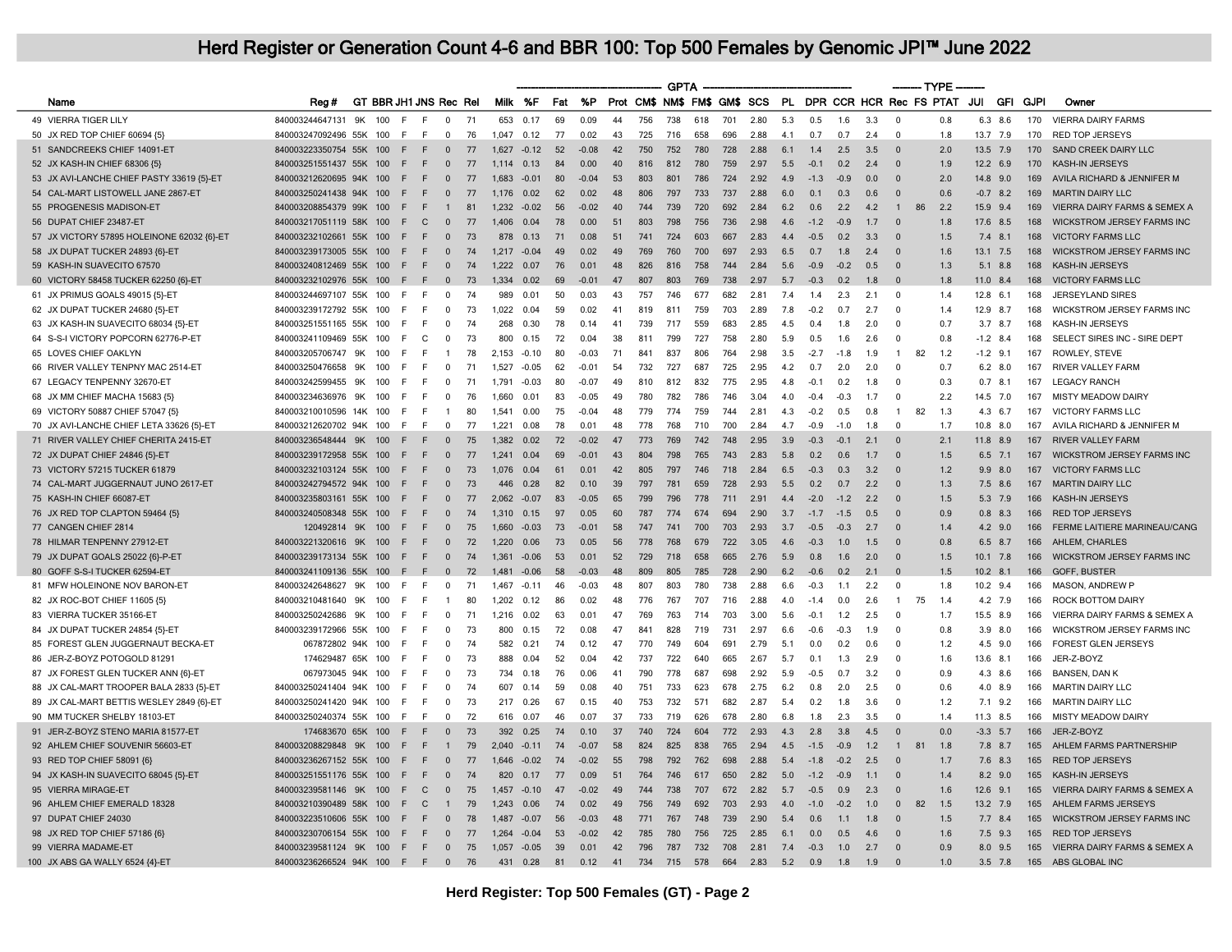|                                            |                             |     |            |                        |                         |          |                |                 |          |                 |          |            | <b>GPTA</b> |            |            |                              |     |               |                         |            | ------- TYPE             |    |                       |                  |             |             |                                   |
|--------------------------------------------|-----------------------------|-----|------------|------------------------|-------------------------|----------|----------------|-----------------|----------|-----------------|----------|------------|-------------|------------|------------|------------------------------|-----|---------------|-------------------------|------------|--------------------------|----|-----------------------|------------------|-------------|-------------|-----------------------------------|
| Name                                       | Reg #                       |     |            | GT BBR JH1 JNS Rec Rel |                         |          | Milk %F        |                 | Fat      | %P              |          |            |             |            |            | Prot CM\$ NM\$ FM\$ GM\$ SCS | PL. |               | DPR CCR HCR Rec FS PTAT |            |                          |    |                       | JUI              | <b>GFI</b>  | <b>GJPI</b> | Owner                             |
| 49 VIERRA TIGER LILY                       | 840003244647131             | 9K  | 100        | F                      | $\Omega$                | 71       | 653            | 0.17            | 69       | 0.09            | 44       | 756        | 738         | 618        | 701        | 2.80                         | 5.3 | 0.5           | 1.6                     | 3.3        | $\Omega$                 |    | 0.8                   | 6.3              | 8.6         | 170         | <b>VIERRA DAIRY FARMS</b>         |
| 50 JX RED TOP CHIEF 60694 {5}              | 840003247092496 55K 100     |     |            | E<br>E                 | $\Omega$                | 76       | 1.047          | 0.12            | 77       | 0.02            | 43       | 725        | 716         | 658        | 696        | 2.88                         | 41  | 0.7           | 0.7                     | 24         | $\Omega$                 |    | 18                    | 13.7 7.9         |             | 170         | <b>RED TOP JERSEYS</b>            |
| 51 SANDCREEKS CHIEF 14091-ET               | 840003223350754 55K         |     | 100        | F                      | $\Omega$                | 77       | 1.627          | $-0.12$         | 52       | $-0.08$         | 42       | 750        | 752         | 780        | 728        | 2.88                         | 6.1 | 1.4           | 2.5                     | 3.5        | $\Omega$                 |    | 2.0                   | 13.5 7.9         |             | 170         | SAND CREEK DAIRY LLC              |
| 52 JX KASH-IN CHIEF 68306 {5}              | 840003251551437 55K         |     | 100        | E<br>F                 | $\Omega$                | 77       | 1 1 1 4        | 0.13            | 84       | 0.00            | 40       | 816        | 812         | 780        | 759        | 2.97                         | 5.5 | $-0.1$        | 0.2                     | 24         | $\Omega$                 |    | 19                    | $12.2 \quad 6.9$ |             | 170         | <b>KASH-IN JERSEYS</b>            |
| 53 JX AVI-LANCHE CHIEF PASTY 33619 (5)-ET  | 840003212620695 94K         |     | 100        | F<br>F                 | $\Omega$                | 77       | 1.683          | $-0.01$         | 80       | $-0.04$         | 53       | 803        | 801         | 786        | 724        | 2.92                         | 4.9 | $-1.3$        | $-0.9$                  | 0.0        | $\Omega$                 |    | 2.0                   | $14.8$ 9.0       |             | 169         | AVILA RICHARD & JENNIFER M        |
| 54 CAL-MART LISTOWELL JANE 2867-ET         | 840003250241438 94K         |     | 100        | F                      | $\Omega$                | 77       | 1 1 7 6        | 0.02            | 62       | 0.02            | 48       | 806        | 797         | 733        | 737        | 2.88                         | 6.0 | 0.1           | 0.3                     | 0.6        | $\Omega$                 |    | 0.6                   | $-0.7$           | 8.2         | 169         | <b>MARTIN DAIRY LLC</b>           |
| 55 PROGENESIS MADISON-ET                   | 840003208854379 99K         |     | 100        | F                      |                         | 81       | 1.232          | $-0.02$         | 56       | $-0.02$         | 40       | 744        | 739         | 720        | 692        | 2.84                         | 6.2 | 0.6           | 2.2                     | 4.2        | $\mathbf{1}$             | 86 | 2.2                   | 15.9 9.4         |             | 169         | VIERRA DAIRY FARMS & SEMEX A      |
| 56 DUPAT CHIEF 23487-ET                    | 840003217051119 58K         |     | 100        | F.<br>C                | $\Omega$                | 77       | 1.406          | 0.04            | 78       | 0.00            | 51       | 803        | 798         | 756        | 736        | 2.98                         | 4.6 | $-1.2$        | $-0.9$                  | 1.7        | $\Omega$                 |    | 1.8                   | 17.6 8.5         |             | 168         | WICKSTROM JERSEY FARMS INC        |
| 57 JX VICTORY 57895 HOLEINONE 62032 {6}-ET | 840003232102661 55K         |     | 100        | E<br>E                 | $\Omega$                | 73       | 878            | 0.13            | 71       | 0.08            | 51       | 741        | 724         | 603        | 667        | 2.83                         | 4.4 | $-0.5$        | 0.2                     | 3.3        | $\Omega$                 |    | 1.5                   | 7.4              | 8.1         | 168         | <b>VICTORY FARMS LLC</b>          |
| 58 JX DUPAT TUCKER 24893 {6}-ET            | 840003239173005 55K         |     | 100        | E<br>F                 | $\mathbf 0$             | 74       | 1,217          | $-0.04$         | 49       | 0.02            | 49       | 769        | 760         | 700        | 697        | 2.93                         | 6.5 | 0.7           | 1.8                     | 2.4        | $\mathbf{0}$             |    | 1.6                   | $13.1$ 7.5       |             | 168         | WICKSTROM JERSEY FARMS INC        |
| 59 KASH-IN SUAVECITO 67570                 | 840003240812469 55K         |     | 100        | F<br>E                 | $\mathbf 0$             | 74       | 1,222          | 0.07            | 76       | 0.01            | 48       | 826        | 816         | 758        | 744        | 2.84                         | 5.6 | $-0.9$        | $-0.2$                  | 0.5        | $\mathbf{0}$             |    | 1.3                   | 5.1              | 8.8         | 168         | KASH-IN JERSEYS                   |
| 60 VICTORY 58458 TUCKER 62250 {6}-ET       | 840003232102976 55K         |     | 100        | F.<br>F                | $\Omega$                | 73       | 1.334          | 0.02            | 69       | $-0.01$         | 47       | 807        | 803         | 769        | 738        | 2.97                         | 5.7 | $-0.3$        | 0.2                     | 1.8        | $\Omega$                 |    | 1.8                   | 11.0             | 8.4         | 168         | <b>VICTORY FARMS LLC</b>          |
| 61 JX PRIMUS GOALS 49015 {5}-ET            | 840003244697107 55K         |     | 100        | E<br>F                 | $\Omega$                | 74       | 989            | 0.01            | 50       | 0.03            | 43       | 757        | 746         | 677        | 682        | 2.81                         | 7.4 | 1.4           | 2.3                     | 2.1        | $\Omega$                 |    | 1.4                   | 12.8             | 6.1         | 168         | <b>JERSEYLAND SIRES</b>           |
| 62 JX DUPAT TUCKER 24680 {5}-ET            | 840003239172792 55K         |     | 100        | F.<br>E                | $\Omega$                | 73       | 1.022          | 0.04            | 59       | 0.02            | 41       | 819        | 811         | 759        | 703        | 2.89                         | 7.8 | $-0.2$        | 0.7                     | 2.7        | $^{\circ}$               |    | 1.4                   | 12.9 8.7         |             | 168         | WICKSTROM JERSEY FARMS INC        |
| 63 JX KASH-IN SUAVECITO 68034 {5}-ET       | 840003251551165 55K         |     | 100        | F<br>F                 | $\Omega$                | 74       | 268            | 0.30            | 78       | 0.14            | 41       | 739        | 717         | 559        | 683        | 2.85                         | 4.5 | 0.4           | 1.8                     | 2.0        | $\Omega$                 |    | 0.7                   | $3.7$ 8.7        |             | 168         | KASH-IN JERSEYS                   |
| 64 S-S-I VICTORY POPCORN 62776-P-ET        | 840003241109469 55K         |     | 100        | F.<br>C                | $\Omega$                | 73       | 800            | 0.15            | 72       | 0.04            | 38       | 811        | 799         | 727        | 758        | 2.80                         | 5.9 | 0.5           | 1.6                     | 2.6        | $\Omega$                 |    | 0.8                   | $-1.2$ 8.4       |             | 168         | SELECT SIRES INC - SIRE DEPT      |
| 65 LOVES CHIEF OAKLYN                      | 840003205706747             | .9K | 100        | F<br>F                 |                         | 78       | 2.153          | $-0.10$         | 80       | $-0.03$         | 71       | 841        | 837         | 806        | 764        | 2.98                         | 3.5 | $-2.7$        | $-1.8$                  | 1.9        | $\mathbf{1}$             | 82 | 1.2                   | $-1.2$ 9.1       |             | 167         | ROWLEY, STEVE                     |
| 66 RIVER VALLEY TENPNY MAC 2514-ET         | 840003250476658             | 9K  | 100        | E<br>F                 | 0                       | 71       | 1,527          | $-0.05$         | 62       | $-0.01$         | 54       | 732        | 727         | 687        | 725        | 2.95                         | 4.2 | 0.7           | 2.0                     | 2.0        | $\Omega$                 |    | 0.7                   |                  | $6.2$ $8.0$ | 167         | RIVER VALLEY FARM                 |
| 67 LEGACY TENPENNY 32670-ET                | 840003242599455             | 9K  | 100        | F<br>E                 | $\mathbf 0$             | 71       | 1,79           | $-0.03$         | 80       | $-0.07$         | 49       | 810        | 812         | 832        | 775        | 2.95                         | 4.8 | $-0.1$        | 0.2                     | 1.8        | $\mathbf 0$              |    | 0.3                   | $0.7$ 8.1        |             | 167         | <b>LEGACY RANCH</b>               |
| 68 JX MM CHIEF MACHA 15683 {5}             | 840003234636976             | 9K  | 100        | F.<br>F                | $\Omega$                | 76       | 1.660          | 0.01            | 83       | $-0.05$         | 49       | 780        | 782         | 786        | 746        | 3.04                         | 4.0 | $-0.4$        | $-0.3$                  | 17         | $\Omega$                 |    | 2.2                   | 14.5 7.0         |             | 167         | MISTY MEADOW DAIRY                |
| 69 VICTORY 50887 CHIEF 57047 {5}           | 840003210010596 14K         |     | 100        | E<br>E                 | $\mathbf{1}$            | 80       | 1,541          | 0.00            | 75       | $-0.04$         | 48       | 779        | 774         | 759        | 744        | 2.81                         | 4.3 | $-0.2$        | 0.5                     | 0.8        | $\overline{1}$           | 82 | 1.3                   | 4.3              | 6.7         | 167         | <b>VICTORY FARMS LLC</b>          |
| 70 JX AVI-LANCHE CHIEF LETA 33626 {5}-ET   | 840003212620702 94K         |     | 100        | E<br>F.                | $\Omega$                | 77       | 1,221          | 0.08            | 78       | 0.01            | 48       | 778        | 768         | 710        | 700        | 2.84                         | 4.7 | $-0.9$        | $-1.0$                  | 1.8        | $\Omega$                 |    | 1.7                   | 10.8             | 8.0         | 167         | AVILA RICHARD & JENNIFER M        |
| 71 RIVER VALLEY CHIEF CHERITA 2415-ET      | 840003236548444             | 9K  | 100        | E                      | $\Omega$                | 75       | 1.382          | 0.02            | 72       | $-0.02$         | 47       | 773        | 769         | 742        | 748        | 2.95                         | 3.9 | $-0.3$        | $-0.1$                  | 2.1        | $\Omega$                 |    | 2.1                   | 11.8 8.9         |             | 167         | <b>RIVER VALLEY FARM</b>          |
| 72 JX DUPAT CHIEF 24846 {5}-ET             | 840003239172958 55K         |     | 100        | E<br>F                 | $\Omega$                | 77       | 1,241          | 0.04            | 69       | $-0.01$         | 43       | 804        | 798         | 765        | 743        | 2.83                         | 5.8 | 0.2           | 0.6                     | 1.7        | $\Omega$                 |    | 1.5                   | $6.5$ 7.1        |             | 167         | <b>WICKSTROM JERSEY FARMS INC</b> |
| 73 VICTORY 57215 TUCKER 61879              | 840003232103124 55K         |     | 100        | E<br>E                 | $\Omega$                | 73       | 1.076          | 0.04            | 61       | 0 <sup>0</sup>  | 42       | 805        | 797         | 746        | 718        | 284                          | 6.5 | $-0.3$        | 0.3                     | 32         | $\Omega$                 |    | 1.2                   | 9.9              | 8.0         | 167         | <b>VICTORY FARMS LLC</b>          |
| 74 CAL-MART JUGGERNAUT JUNO 2617-ET        | 840003242794572 94K         |     | 100        | F.<br>F                | $\mathbf 0$             | 73       | 446            | 0.28            | 82       | 0.10            | 39       | 797        | 781         | 659        | 728        | 2.93                         | 5.5 | 0.2           | 0.7                     | 2.2        | $\Omega$                 |    | 1.3                   | 7.5              | 8.6         | 167         | <b>MARTIN DAIRY LLC</b>           |
| 75 KASH-IN CHIEF 66087-ET                  | 840003235803161 55K         |     | 100        | E<br>F                 | $\mathbf{0}$            | 77       | 2.062          | $-0.07$         | 83       | $-0.05$         | 65       | 799        | 796         | 778        | 711        | 2.91                         | 4.4 | $-2.0$        | $-1.2$                  | 2.2        | $\Omega$                 |    | 1.5                   | 5.3 7.9          |             | 166         | KASH-IN JERSEYS                   |
| 76 JX RED TOP CLAPTON 59464 {5}            | 840003240508348 55K         |     | 100        | F<br>F                 | $\mathbf{0}$            | 74       | 1,310          | 0.15            | 97       | 0.05            | 60       | 787        | 774         | 674        | 694        | 2.90                         | 3.7 | $-1.7$        | $-1.5$                  | 0.5        | $\Omega$                 |    | 0.9                   | 0.8              | 8.3         | 166         | <b>RED TOP JERSEYS</b>            |
| 77 CANGEN CHIEF 2814                       | 120492814 9K                |     | 100        | E<br>F.                | $\Omega$                | 75       | 1.660          | $-0.03$         | 73       | $-0.01$         | 58       | 747        | 741         | 700        | 703        | 2.93                         | 3.7 | $-0.5$        | $-0.3$                  | 2.7        | $\Omega$                 |    | 1.4                   | $4.2$ $9.0$      |             | 166         | FERME LAITIERE MARINEAU/CANG      |
| 78 HILMAR TENPENNY 27912-ET                | 840003221320616             | 9K  | 100        | F                      | $\mathbf{0}$            | 72       | 1,220          | 0.06            | 73       | 0.05            | 56       | 778        | 768         | 679        | 722        | 3.05                         | 4.6 | $-0.3$        | 1.0                     | 1.5        | $\mathbf{0}$             |    | 0.8                   | 6.5              | 8.7         | 166         | AHLEM, CHARLES                    |
| 79 JX DUPAT GOALS 25022 {6}-P-ET           | 840003239173134 55K         |     | 100        | E<br>E                 | $\mathbf 0$             | 74       | 1,361          | $-0.06$         | 53       | 0.01            | 52       | 729        | 718         | 658        | 665        | 2.76                         | 5.9 | 0.8           | 1.6                     | 20         | $\Omega$                 |    | 1.5                   | $10.1$ 7.8       |             | 166         | WICKSTROM JERSEY FARMS INC        |
| 80 GOFF S-S-I TUCKER 62594-E1              | 840003241109136 55K         |     | 100        | F<br>F                 | $\mathbf{0}$            | 72       | 1.48           | $-0.06$         | 58       | $-0.03$         | 48       | 809        | 805         | 785        | 728        | 2.90                         | 6.2 | $-0.6$        | 0.2                     | 2.1        | $\Omega$                 |    | 1.5                   | $10.2$ 8.1       |             | 166         | GOFF, BUSTER                      |
| 81 MFW HOLEINONE NOV BARON-ET              | 840003242648627             | 9K  | 100        | F.<br>F                | $\Omega$                | 71       | 1467           | $-0.11$         | 46       | $-0.03$         | 48       | 807        | 803         | 780        | 738        | 288                          | 66  | $-0.3$        | 1.1                     | 22         | $\Omega$                 |    | 1.8                   | 10.2 9.4         |             | 166         | MASON, ANDREW P                   |
| 82 JX ROC-BOT CHIEF 11605 {5]              | 840003210481640             | 9K  | 100        | E<br>F                 |                         | 80       | 1.202          | 0.12            | 86       | 0.02            | 48       | 776        | 767         | 707        | 716        | 2.88                         | 4.0 | $-1.4$        | 0.0                     | 2.6        | $\mathbf{1}$             | 75 | 1.4                   |                  | 4.2 7.9     | 166         | ROCK BOTTOM DAIRY                 |
| 83 VIERRA TUCKER 35166-ET                  | 840003250242686             | 9K  | 100        | F.<br>E                | $\Omega$                | 71       | 1.216          | 0.02            | 63       | 0.01            | 47       | 769        | 763         | 714        | 703        | 3.00                         | 5.6 | $-0.1$        | 1.2                     | 25         | $\Omega$                 |    | 1.7                   | 15.5             | 8.9         | 166         | VIERRA DAIRY FARMS & SEMEX A      |
| 84 JX DUPAT TUCKER 24854 {5}-ET            | 840003239172966 55K         |     | 100        | F<br>E                 | $\Omega$                | 73       | 800            | 0.15            | 72       | 0.08            | 47       | 841        | 828         | 719        | 731        | 2.97                         | 6.6 | $-0.6$        | $-0.3$                  | 1.9        | $\Omega$                 |    | 0.8                   | $3.9$ $8.0$      |             | 166         | WICKSTROM JERSEY FARMS INC        |
| 85 FOREST GLEN JUGGERNAUT BECKA-ET         | 067872802 94K               |     | 100        | E<br>F.                | $\Omega$                | 74       | 582            | 0.21            | 74       | 0.12            | 47       | 770        | 749         | 604        | 691        | 2.79                         | 5.1 | 0.0           | 0.2                     | 0.6        | $\Omega$                 |    | 1.2                   |                  | 4.5 9.0     | 166         | FOREST GLEN JERSEYS               |
| 86 JER-Z-BOYZ POTOGOLD 81291               | 174629487 65K               |     | 100        | F.<br>F                | 0                       | 73       | 888            | 0.04            | 52       | 0.04            | 42       | 737        | 722         | 640        | 665        | 2.67                         | 5.7 | 0.1           | 1.3                     | 2.9        | 0                        |    | 1.6                   | 13.6             | 8.1         | 166         | JER-Z-BOYZ                        |
| 87 JX FOREST GLEN TUCKER ANN {6}-ET        | 067973045 94K 100           |     |            | E<br>E                 | $\Omega$                | 73       | 734            | 0.18            | 76       | 0.06            | 41       | 790        | 778         | 687        | 698        | 2.92                         | 5.9 | $-0.5$        | 0.7                     | 3.2        | $\Omega$                 |    | 0.9                   |                  | 4.3 8.6     | 166         | <b>BANSEN, DAN K</b>              |
| 88 JX CAL-MART TROOPER BALA 2833 {5}-ET    | 840003250241404 94K         |     | 100        | F<br>E                 | $\mathbf 0$             | 74       | 607            | 0.14            | 59       | 0.08            | 40       | 751        | 733         | 623        | 678        | 2.75                         | 6.2 | 0.8           | 2.0                     | 2.5        | $\mathbf 0$              |    | 0.6                   | 4.0              | 8.9         | 166         | <b>MARTIN DAIRY LLC</b>           |
| 89 JX CAL-MART BETTIS WESLEY 2849 {6}-ET   | 840003250241420 94K         |     | 100        | E<br>E                 | $\Omega$                | 73       | 217            | 0.26            | 67       | 0.15            | 40       | 753        | 732         | 571        | 682        | 2.87                         | 54  | 02            | 1.8                     | 36         | $\Omega$                 |    | 12                    | 71 92            |             | 166         | <b>MARTIN DAIRY LLC</b>           |
| 90 MM TUCKER SHELBY 18103-ET               | 840003250240374 55K         |     | 100        | F<br>E                 | $\Omega$                | 72       | 616            | 0.07            | 46       | 0.07            | 37       | 733        | 719         | 626        | 678        | 2.80                         | 6.8 | 1.8           | 2.3                     | 3.5        | $\Omega$                 |    | 1.4                   | 11.3 8.5         |             | 166         | <b>MISTY MEADOW DAIRY</b>         |
| 91 JER-Z-BOYZ STENO MARIA 81577-ET         | 174683670 65K               |     | 100        | E                      | $\Omega$                | 73       | 392            | 0.25            | 74       | 0,10            | 37       | 740        | 724         | 604        | 772        | 2.93                         | 4.3 | 2.8           | 3.8                     | 4.5        | $\Omega$                 |    | 0 <sub>0</sub>        | $-3.3$ 5.7       |             | 166         | JER-Z-BOYZ                        |
| 92 AHLEM CHIEF SOUVENIR 56603-ET           | 840003208829848             | 9K  | 100        | F                      |                         | 79       | 2.040          | $-0.11$         | 74       | $-0.07$         | 58       | 824        | 825         | 838        | 765        | 2.94                         | 4.5 | $-1.5$        | $-0.9$                  | 1.2        | $\mathbf{1}$             | 81 | 1.8                   | 7.8 8.7          |             | 165         | AHLEM FARMS PARTNERSHIP           |
| 93 RED TOP CHIEF 58091 {6}                 | 840003236267152 55K         |     | 100        | E<br>E                 | $\mathbf{0}$            | 77       | 1646           | $-0.02$         | 74       | $-0.02$         | 55       | 798        | 792         | 762        | 698        | 2.88                         | 5.4 | $-1.8$        | $-0.2$                  | 25         | $\Omega$                 |    | 1.7                   |                  | $7.6$ 8.3   | 165         | <b>RED TOP JERSEYS</b>            |
| 94 JX KASH-IN SUAVECITO 68045 {5}-ET       | 840003251551176 55K         |     | 100        | F                      | $\Omega$                | 74       | 820            | 0.17            | 77       | 0.09            | 51       | 764        | 746         | 617        | 650        | 2.82                         | 5.0 | $-1.2$        | $-0.9$                  | 1.1        | $\Omega$                 |    | 1.4                   | 8.2              | 9.0         | 165         | <b>KASH-IN JERSEYS</b>            |
|                                            |                             |     |            | $\mathsf{C}$<br>F      | $\mathbf{0}$            | 75       | 1.457          | $-0.10$         | 47       |                 | 49       | 744        | 738         | 707        | 672        | 2.82                         | 5.7 | $-0.5$        |                         | 2.3        | $\Omega$                 |    | 1.6                   |                  |             | 165         | VIERRA DAIRY FARMS & SEMEX A      |
| 95 VIERRA MIRAGE-ET                        | 840003239581146             | 9K  | 100        |                        |                         |          |                |                 |          | $-0.02$         |          |            |             |            |            |                              |     |               | 0.9                     |            |                          |    |                       | 12.6             | 9.1         |             |                                   |
| 96 AHLEM CHIEF EMERALD 18328               | 840003210390489 58K         |     | 100<br>100 | F<br>C<br>F            | $\Omega$                | 79<br>78 | 1.243<br>1.487 | 0.06<br>$-0.07$ | 74<br>56 | 0.02<br>$-0.03$ | 49<br>48 | 756<br>771 | 749         | 692<br>748 | 703<br>739 | 2.93<br>2.90                 | 4.0 | $-1.0$<br>0.6 | $-0.2$                  | 1.0<br>1.8 | $\mathbf 0$<br>$\Omega$  | 82 | 1.5                   | 13.2 7.9         |             | 165<br>165  | AHLEM FARMS JERSEYS               |
| 97 DUPAT CHIEF 24030                       | 840003223510606 55K         |     |            | F.<br>E<br>E           | $\Omega$                |          |                |                 |          |                 | 42       |            | 767         |            |            |                              | 5.4 | 0.0           | 1.1                     | 4.6        | $\Omega$                 |    | 1.5<br>1.6            | $7.7$ 8.4        |             |             | <b>WICKSTROM JERSEY FARMS INC</b> |
| 98 JX RED TOP CHIEF 57186 {6}              | 840003230706154 55K         |     | 100        |                        |                         | 77       | 1,264          | $-0.04$         | 53       | $-0.02$         |          | 785        | 780         | 756        | 725        | 2.85                         | 6.1 |               | 0.5                     |            |                          |    |                       |                  | $7.5$ 9.3   | 165         | <b>RED TOP JERSEYS</b>            |
| 99 VIERRA MADAME-ET                        | 840003239581124 9K          |     | 100        | F<br>F.                | $\mathbf 0$<br>$\Omega$ | 75       | 1,057          | $-0.05$         | 39       | 0.01            | 42       | 796        | 787         | 732        | 708        | 2.81                         | 7.4 | $-0.3$        | 1.0                     | 2.7<br>19  | $\mathbf{0}$<br>$\Omega$ |    | 0.9<br>1 <sub>0</sub> | 8.0              | 9.5         | 165         | VIERRA DAIRY FARMS & SEMEX A      |
| 100 JX ABS GA WALLY 6524 {4}-ET            | 840003236266524 94K 100 F F |     |            |                        |                         | 76       |                | 431 0.28        | 81       | 0.12            | 41 734   |            | 715         | 578        | 664        | 2.83                         | 5.2 | 0.9           | 1.8                     |            |                          |    |                       |                  | $3.5$ 7.8   |             | 165 ABS GLOBAL INC                |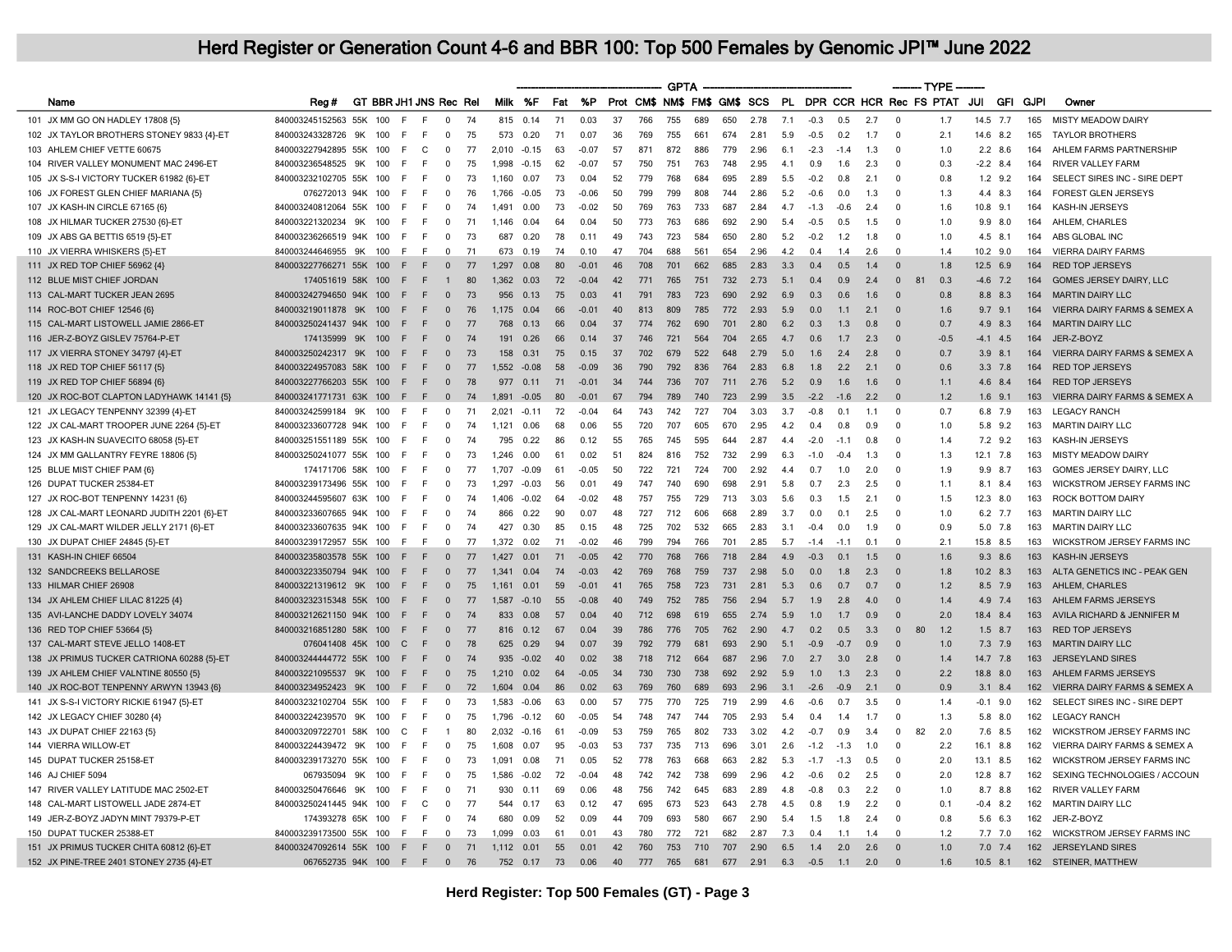|                                                                                   |                            |     |     |                        |                |    |         |             |          |         |    |           | <b>GPTA</b> |                    |     |          |     |        |                |     |                         | --- TYPE   |             |                      |             |                                            |
|-----------------------------------------------------------------------------------|----------------------------|-----|-----|------------------------|----------------|----|---------|-------------|----------|---------|----|-----------|-------------|--------------------|-----|----------|-----|--------|----------------|-----|-------------------------|------------|-------------|----------------------|-------------|--------------------------------------------|
| Name                                                                              | Reg #                      |     |     | GT BBR JH1 JNS Rec Rel |                |    | Milk %F |             | Fat      | %P      |    | Prot CM\$ |             | NM\$ FM\$ GM\$ SCS |     |          | PL. |        |                |     | DPR CCR HCR Rec FS PTAT |            | JUI         | GFI                  | <b>GJPI</b> | Owner                                      |
| 101 JX MM GO ON HADLEY 17808 {5}                                                  | 840003245152563 55K        |     | 100 | F                      | $\Omega$       | 74 | 815     | 0.14        | 71       | 0.03    | 37 | 766       | 755         | 689                | 650 | 2.78     | 7.1 | $-0.3$ | 0.5            | 2.7 | $\mathbf 0$             | 1.7        | 14.5        | 7.7                  | 165         | <b>MISTY MEADOW DAIRY</b>                  |
| 102 JX TAYLOR BROTHERS STONEY 9833 {4}-ET                                         | 840003243328726            | 9K  | 100 | F.<br>E                | $\Omega$       | 75 | 573     | 0.20        | 71       | 0.07    | 36 | 769       | 755         | 661                | 674 | 2.81     | 59  | $-0.5$ | 0.2            | 1.7 | $\Omega$                | 2.1        | 14.6 8.2    |                      | 165         | <b>TAYLOR BROTHERS</b>                     |
| 103 AHLEM CHIEF VETTE 60675                                                       | 840003227942895 55K        |     | 100 | E<br>C                 | $\Omega$       | 77 | 2.010   | $-0.15$     | 63       | $-0.07$ | 57 | 871       | 872         | 886                | 779 | 2.96     | 6.1 | $-2.3$ | $-1.4$         | 1.3 | $\Omega$                | 1.0        |             | $2.2$ 8.6            | 164         | AHLEM FARMS PARTNERSHIP                    |
| 104 RIVER VALLEY MONUMENT MAC 2496-ET                                             | 840003236548525            | 9K  | 100 | E<br>F                 | $\Omega$       | 75 | 1998    | $-0.15$     | 62       | $-0.07$ | 57 | 750       | 751         | 763                | 748 | 2.95     | 41  | 09     | 1.6            | 2.3 | $\Omega$                | 0.3        | $-2.2$ 8.4  |                      | 164         | <b>RIVER VALLEY FARM</b>                   |
| 105 JX S-S-I VICTORY TUCKER 61982 {6}-ET                                          | 840003232102705 55K        |     | 100 | F                      | $\Omega$       | 73 | 1,160   | 0.07        | 73       | 0.04    | 52 | 779       | 768         | 684                | 695 | 2.89     | 5.5 | $-0.2$ | 0.8            | 2.1 | $\Omega$                | 0.8        |             | $1.2$ 9.2            | 164         | SELECT SIRES INC - SIRE DEPT               |
| 106 JX FOREST GLEN CHIEF MARIANA {5}                                              | 076272013 94K              |     | 100 | E<br>F.                | $\Omega$       | 76 | 1.766   | $-0.05$     | 73       | $-0.06$ | 50 | 799       | 799         | 808                | 744 | 2.86     | 5.2 | $-0.6$ | 0.0            | 1.3 | $\Omega$                | 1.3        | 4.4         | 8.3                  | 164         | <b>FOREST GLEN JERSEYS</b>                 |
| 107 JX KASH-IN CIRCLE 67165 {6}                                                   | 840003240812064 55K 100    |     |     | F                      | $\Omega$       | 74 | 1.491   | 0.00        | 73       | $-0.02$ | 50 | 769       | 763         | 733                | 687 | 2.84     | 4.7 | $-1.3$ | $-0.6$         | 2.4 | $\Omega$                | 1.6        | 10.8 9.1    |                      | 164         | KASH-IN JERSEYS                            |
| 108 JX HILMAR TUCKER 27530 {6}-ET                                                 | 840003221320234 9K         |     | 100 | E<br>E                 | $\Omega$       | 71 | 1.146   | 0.04        | 64       | 0.04    | 50 | 773       | 763         | 686                | 692 | 2.90     | 5.4 | $-0.5$ | 0.5            | 1.5 | $\Omega$                | 1.0        |             | $9.9$ $8.0$          | 164         | AHLEM, CHARLES                             |
| 109 JX ABS GA BETTIS 6519 (5)-ET                                                  | 840003236266519 94K        |     | 100 | F                      | $\Omega$       | 73 | 687     | 0.20        | 78       | 0.11    | 49 | 743       | 723         | 584                | 650 | 2.80     | 5.2 | $-0.2$ | 1.2            | 1.8 | $\Omega$                | 1.0        | 4.5         | 8.1                  | 164         | ABS GLOBAL INC                             |
| 110 JX VIERRA WHISKERS {5}-ET                                                     | 840003244646955 9K         |     | 100 | F<br>E                 | $\Omega$       | 71 | 673     | 0.19        | 74       | 0.10    | 47 | 704       | 688         | 561                | 654 | 2.96     | 4.2 | 0.4    | 1.4            | 2.6 | $\Omega$                | 1.4        | 10.2 9.0    |                      | 164         | <b>VIERRA DAIRY FARMS</b>                  |
| 111 JX RED TOP CHIEF 56962 {4}                                                    | 840003227766271 55K 100    |     |     | E                      | $\Omega$       | 77 | 1,297   | 0.08        | 80       | $-0.01$ | 46 | 708       | 701         | 662                | 685 | 2.83     | 3.3 | 0.4    | 0.5            | 1.4 | $\Omega$                | 1.8        | 12.5 6.9    |                      | 164         | <b>RED TOP JERSEYS</b>                     |
| 112 BLUE MIST CHIEF JORDAN                                                        | 174051619 58K              |     | 100 | F                      |                | 80 | 1,362   | 0.03        | 72       | $-0.04$ | 42 | 771       | 765         | 751                | 732 | 2.73     | 5.1 | 0.4    | 0.9            | 2.4 | $\Omega$<br>81          | 0.3        | $-4.6$ 7.2  |                      | 164         | <b>GOMES JERSEY DAIRY, LLC</b>             |
| 113 CAL-MART TUCKER JEAN 2695                                                     | 840003242794650 94K        |     | 100 | F                      | $\Omega$       | 73 | 956     | 0.13        | 75       | 0.03    | 41 | 791       | 783         | 723                | 690 | 2.92     | 6.9 | 0.3    | 0.6            | 1.6 | $\Omega$                | 0.8        | 8.8         | 8.3                  | 164         | <b>MARTIN DAIRY LLC</b>                    |
| 114 ROC-BOT CHIEF 12546 {6}                                                       | 840003219011878            | 9K  | 100 | F<br>E                 | $\Omega$       | 76 | 1 1 7 5 | 0.04        | 66       | $-0.01$ | 40 | 813       | 809         | 785                | 772 | 2.93     | 59  | 0.0    | 1.1            | 2.1 | $\Omega$                | 1.6        | 9.7         | 9.1                  | 164         | <b>VIERRA DAIRY FARMS &amp; SEMEX A</b>    |
| 115 CAL-MART LISTOWELL JAMIE 2866-ET                                              | 840003250241437 94K 100    |     |     | F                      | $\Omega$       | 77 | 768     | 0.13        | 66       | 0.04    | 37 | 774       | 762         | 690                | 701 | 2.80     | 6.2 | 0.3    | 1.3            | 0.8 | $\Omega$                | 0.7        | 4.9         | 8.3                  | 164         | <b>MARTIN DAIRY LLC</b>                    |
| 116 JER-Z-BOYZ GISLEV 75764-P-ET                                                  | 174135999 9K               |     | 100 | F.<br>E                | $\Omega$       | 74 | 191     | 0.26        | 66       | 0.14    | 37 | 746       | 721         | 564                | 704 | 2.65     | 47  | 0.6    | 1.7            | 2.3 | $\Omega$                | $-0.5$     | $-4.1$ 4.5  |                      | 164         | JER-Z-BOYZ                                 |
| 117 JX VIERRA STONEY 34797 {4}-ET                                                 | 840003250242317            | 9K  | 100 | F                      | $\Omega$       | 73 | 158     | 0.31        | 75       | 0.15    | 37 | 702       | 679         | 522                | 648 | 2.79     | 5.0 | 1.6    | 2.4            | 2.8 | $\Omega$                | 0.7        | 3.9         | 8.1                  | 164         | VIERRA DAIRY FARMS & SEMEX A               |
| 118 JX RED TOP CHIEF 56117 {5}                                                    | 840003224957083 58K 100    |     |     | F.<br>E                | $\mathbf{0}$   | 77 | 1,552   | $-0.08$     | 58       | $-0.09$ | 36 | 790       | 792         | 836                | 764 | 2.83     | 6.8 | 1.8    | 2.2            | 2.1 | $\Omega$                | 0.6        |             | $3.3$ 7.8            | 164         | <b>RED TOP JERSEYS</b>                     |
| 119 JX RED TOP CHIEF 56894 {6}                                                    | 840003227766203 55K 100    |     |     | E<br>E                 | $\overline{0}$ | 78 | 977     | 0.11        | 71       | $-0.01$ | 34 | 744       | 736         | 707                | 711 | 2.76     | 5.2 | 0.9    | 1.6            | 1.6 | $\Omega$                | 1.1        | 4.6 8.4     |                      | 164         | <b>RED TOP JERSEYS</b>                     |
| 120 JX ROC-BOT CLAPTON LADYHAWK 14141 {5}                                         | 840003241771731 63K        |     | 100 | E                      | $\Omega$       | 74 | 1891    | $-0.05$     | 80       | $-0.01$ | 67 | 794       | 789         | 740                | 723 | 2.99     | 3.5 | $-2.2$ | $-1.6$         | 2.2 | $\Omega$                | $1.2$      | $1.6$ 9.1   |                      | 163         | VIERRA DAIRY FARMS & SEMEX A               |
| 121 JX LEGACY TENPENNY 32399 {4}-ET                                               | 840003242599184 9K         |     | 100 | E<br>E                 | 0              | 71 | 2,021   | $-0.11$     | 72       | $-0.04$ | 64 | 743       | 742         | 727                | 704 | 3.03     | 3.7 | $-0.8$ | 0.1            | 1.1 | $\Omega$                | 0.7        |             | 6.8 7.9              | 163         | <b>LEGACY RANCH</b>                        |
|                                                                                   | 840003233607728 94K        |     | 100 | F.                     | $\Omega$       | 74 | 1.121   | 0.06        |          | 0.06    | 55 | 720       | 707         | 605                | 670 | 2.95     | 4.2 | 0.4    | 0.8            | 0.9 | $\Omega$                |            |             |                      | 163         |                                            |
| 122 JX CAL-MART TROOPER JUNE 2264 {5}-ET<br>123 JX KASH-IN SUAVECITO 68058 {5}-ET | 840003251551189 55K 100    |     |     | E<br>E                 | $\Omega$       | 74 | 795     | 0.22        | 68<br>86 | 0.12    | 55 | 765       | 745         | 595                | 644 | 2.87     | 44  | $-2.0$ | $-1.1$         | 0.8 | $\Omega$                | 1.0<br>1.4 |             | 5.8 9.2<br>$7.2$ 9.2 | 163         | <b>MARTIN DAIRY LLC</b><br>KASH-IN JERSEYS |
|                                                                                   |                            |     |     | E<br>F                 | $\Omega$       | 73 | 1.246   | 0.00        | 61       |         | 51 | 824       | 816         |                    |     | 2.99     | 6.3 | $-1.0$ | $-0.4$         | 1.3 | $\Omega$                |            |             |                      | 163         |                                            |
| 124 JX MM GALLANTRY FEYRE 18806 {5}                                               | 840003250241077 55K 100    |     |     | E                      |                | 77 | 1 707   |             |          | 0.02    |    |           |             | 752                | 732 |          | 44  |        |                |     | $\Omega$                | 1.3        | 12.1 7.8    |                      |             | <b>MISTY MEADOW DAIRY</b>                  |
| 125 BLUE MIST CHIEF PAM (6)                                                       | 174171706 58K              |     | 100 |                        | $\Omega$       |    |         | $-0.09$     | 61       | $-0.05$ | 50 | 722       | 721         | 724                | 700 | 2.92     |     | 0.7    | 1.0            | 2.0 |                         | 1.9        | 9.9         | 8.7                  | 163         | <b>GOMES JERSEY DAIRY, LLC</b>             |
| 126 DUPAT TUCKER 25384-ET                                                         | 840003239173496 55K        |     | 100 | E<br>E                 | $\Omega$       | 73 | 1.297   | $-0.03$     | 56       | 0.01    | 49 | 747       | 740         | 690                | 698 | 2.91     | 5.8 | 0.7    | 2.3            | 2.5 | $\Omega$                | 1.1        | 8.1         | 8.4                  | 163         | WICKSTROM JERSEY FARMS INC                 |
| 127 JX ROC-BOT TENPENNY 14231 {6}                                                 | 840003244595607 63K        |     | 100 | F                      | $\Omega$       | 74 | 1.406   | $-0.02$     | 64       | $-0.02$ | 48 | 757       | 755         | 729                | 713 | 3.03     | 5.6 | 0.3    | 1.5            | 2.1 | $\Omega$                | 1.5        | 12.3 8.0    |                      | 163         | <b>ROCK BOTTOM DAIRY</b>                   |
| 128 JX CAL-MART LEONARD JUDITH 2201 {6}-ET                                        | 840003233607665 94K        |     | 100 | F<br>E                 | $\Omega$       | 74 | 866     | 0.22        | 90       | 0.07    | 48 | 727       | 712         | 606                | 668 | 2.89     | 3.7 | 0.0    | 0.1            | 2.5 | $\Omega$                | 1.0        | 6.2 7.7     |                      | 163         | <b>MARTIN DAIRY LLC</b>                    |
| 129 JX CAL-MART WILDER JELLY 2171 {6}-ET                                          | 840003233607635 94K 100    |     |     | F.                     | $\mathbf 0$    | 74 | 427     | 0.30        | 85       | 0.15    | 48 | 725       | 702         | 532                | 665 | 2.83     | 3.1 | $-0.4$ | 0.0            | 1.9 | $\Omega$                | 0.9        |             | 5.0 7.8              | 163         | <b>MARTIN DAIRY LLC</b>                    |
| 130 JX DUPAT CHIEF 24845 {5}-ET                                                   | 840003239172957 55K        |     | 100 | F                      | $\mathbf 0$    | 77 | 1,372   | 0.02        | 71       | $-0.02$ | 46 | 799       | 794         | 766                | 701 | 2.85     | 5.7 | $-1.4$ | $-1.1$         | 0.1 | $\Omega$                | 2.1        | 15.8        | 8.5                  | 163         | WICKSTROM JERSEY FARMS INC                 |
| 131 KASH-IN CHIEF 66504                                                           | 840003235803578 55K 100    |     |     | E<br>E                 | $\Omega$       | 77 | 1.427   | 0.01        | 71       | $-0.05$ | 42 | 770       | 768         | 766                | 718 | 2.84     | 49  | $-0.3$ | 0 <sub>1</sub> | 1.5 | $\Omega$                | 1.6        |             | $9.3$ 8.6            | 163         | <b>KASH-IN JERSEYS</b>                     |
| 132 SANDCREEKS BELLAROSE                                                          | 840003223350794 94K        |     | 100 | F                      | $\mathbf{0}$   | 77 | 1,341   | 0.04        | 74       | $-0.03$ | 42 | 769       | 768         | 759                | 737 | 2.98     | 5.0 | 0.0    | 1.8            | 2.3 | $\Omega$                | 1.8        | 10.2 8.3    |                      | 163         | ALTA GENETICS INC - PEAK GEN               |
| 133 HILMAR CHIEF 26908                                                            | 840003221319612 9K         |     | 100 | E                      | $\Omega$       | 75 | 1 1 6 1 | 0.01        | 59       | $-0.01$ | 41 | 765       | 758         | 723                | 731 | 2.81     | 5.3 | 06     | 07             | 07  | $\Omega$                | 1.2        | 8.5         | 79                   | 163         | AHLEM, CHARLES                             |
| 134 JX AHLEM CHIEF LILAC 81225 {4}                                                | 840003232315348 55K        |     | 100 | F                      | $\Omega$       | 77 | 1.587   | $-0.10$     | 55       | $-0.08$ | 40 | 749       | 752         | 785                | 756 | 2.94     | 5.7 | 1.9    | 2.8            | 4.0 | $\Omega$                | 1.4        | 4.9         | 7.4                  | 163         | AHLEM FARMS JERSEYS                        |
| 135 AVI-LANCHE DADDY LOVELY 34074                                                 | 840003212621150 94K        |     | 100 | E<br>F                 | $\Omega$       | 74 | 833     | 0.08        | 57       | 0.04    | 40 | 712       | 698         | 619                | 655 | 274      | 59  | 1.0    | 1.7            | 0.9 | $\Omega$                | 2.0        | 18.4        | 8.4                  | 163         | AVILA RICHARD & JENNIFER M                 |
| 136 RED TOP CHIEF 53664 {5}                                                       | 840003216851280 58K 100    |     |     | F.                     | $\Omega$       | 77 | 816     | 0.12        | 67       | 0.04    | 39 | 786       | 776         | 705                | 762 | 2.90     | 4.7 | 0.2    | 0.5            | 3.3 | $\Omega$<br>80          | 1.2        | $1.5$ 8.7   |                      | 163         | <b>RED TOP JERSEYS</b>                     |
| 137 CAL-MART STEVE JELLO 1408-ET                                                  | 076041408 45K 100          |     |     | C <sub>1</sub><br>E    | $\Omega$       | 78 | 625     | 0.29        | 94       | 0.07    | 39 | 792       | 779         | 681                | 693 | 2.90     | 5.1 | $-0.9$ | $-0.7$         | 0.9 | $\Omega$                | 1.0        |             | $7.3$ $7.9$          | 163         | <b>MARTIN DAIRY LLC</b>                    |
| 138 JX PRIMUS TUCKER CATRIONA 60288 {5}-ET                                        | 840003244444772 55K        |     | 100 | F<br>F                 | $\mathbf{0}$   | 74 | 935     | $-0.02$     | 40       | 0.02    | 38 | 718       | 712         | 664                | 687 | 2.96     | 7.0 | 2.7    | 3.0            | 2.8 | $\Omega$                | 1.4        | 14.7        | 7.8                  | 163         | <b>JERSEYLAND SIRES</b>                    |
| 139 JX AHLEM CHIEF VALNTINE 80550 {5}                                             | 840003221095537 9K 100     |     |     | F<br>E                 | $\Omega$       | 75 | 1.210   | 0.02        | 64       | $-0.05$ | 34 | 730       | 730         | 738                | 692 | 2.92     | 5.9 | 1.0    | 1.3            | 2.3 | $\Omega$                | 2.2        | 18.8 8.0    |                      | 163         | AHLEM FARMS JERSEYS                        |
| 140 JX ROC-BOT TENPENNY ARWYN 13943 {6}                                           | 840003234952423            | 9K  | 100 | F                      | $\overline{0}$ | 72 | 1.604   | 0.04        | 86       | 0.02    | 63 | 769       | 760         | 689                | 693 | 2.96     | 3.1 | $-2.6$ | $-0.9$         | 2.1 | $\Omega$                | 0.9        | $3.1$ 8.4   |                      | 162         | VIERRA DAIRY FARMS & SEMEX A               |
| 141 JX S-S-I VICTORY RICKIE 61947 {5}-ET                                          | 840003232102704 55K        |     | 100 | E<br>E                 | $\Omega$       | 73 | 1.583   | $-0.06$     | 63       | 0.00    | 57 | 775       | 770         | 725                | 719 | 2.99     | 46  | $-0.6$ | 07             | 3.5 | $\Omega$                | 1.4        | $-0.1$ 9.0  |                      | 162         | SELECT SIRES INC - SIRE DEPT               |
| 142 JX LEGACY CHIEF 30280 {4}                                                     | 840003224239570            | 9K  | 100 | F<br>E                 | 0              | 75 | 1,796   | $-0.12$     | 60       | $-0.05$ | 54 | 748       | 747         | 744                | 705 | 2.93     | 5.4 | 0.4    | 1.4            | 1.7 | $\Omega$                | 1.3        | 5.8 8.0     |                      | 162         | <b>LEGACY RANCH</b>                        |
| 143 JX DUPAT CHIEF 22163 {5}                                                      | 840003209722701            | 58K | 100 | С<br>F                 | $\mathbf{1}$   | 80 | 2.032   | $-0.16$     | 61       | $-0.09$ | 53 | 759       | 765         | 802                | 733 | 3.02     | 4.2 | $-0.7$ | 0.9            | 3.4 | $\Omega$<br>82          | 2.0        | 7.6         | 8.5                  | 162         | WICKSTROM JERSEY FARMS INC                 |
| 144 VIERRA WILLOW-ET                                                              | 840003224439472            | 9K  | 100 | F                      | $\Omega$       | 75 | 1.608   | 0.07        | 95       | $-0.03$ | 53 | 737       | 735         | 713                | 696 | 3.01     | 2.6 | $-1.2$ | $-1.3$         | 1.0 | $\Omega$                | 2.2        | 16.1 8.8    |                      | 162         | VIERRA DAIRY FARMS & SEMEX A               |
| 145 DUPAT TUCKER 25158-ET                                                         | 840003239173270 55K        |     | 100 | E<br>F                 | $\Omega$       | 73 | 1.091   | 0.08        | 71       | 0.05    | 52 | 778       | 763         | 668                | 663 | 2.82     | 53  | $-1.7$ | $-1.3$         | 0.5 | $\Omega$                | 2.0        | 13.1 8.5    |                      | 162         | <b>WICKSTROM JERSEY FARMS INC</b>          |
| 146 AJ CHIEF 5094                                                                 | 067935094                  | 9K  | 100 | F                      | $\Omega$       | 75 | 1.586   | $-0.02$     | 72       | $-0.04$ | 48 | 742       | 742         | 738                | 699 | 2.96     | 4.2 | $-0.6$ | 0.2            | 2.5 | $\Omega$                | 2.0        | 12.8        | 8.7                  | 162         | SEXING TECHNOLOGIES / ACCOUN               |
| 147 RIVER VALLEY LATITUDE MAC 2502-ET                                             | 840003250476646            | 9K  | 100 | E<br>E                 | $\Omega$       | 71 | 930     | 0.11        | 69       | 0.06    | 48 | 756       | 742         | 645                | 683 | 2.89     | 4.8 | $-0.8$ | 0.3            | 2.2 | $\Omega$                | 1.0        |             | 8.7 8.8              | 162         | <b>RIVER VALLEY FARM</b>                   |
| 148 CAL-MART LISTOWELL JADE 2874-ET                                               | 840003250241445 94K 100    |     |     | E<br>C                 | $\Omega$       | 77 | 544     | 0.17        | 63       | 0.12    | 47 | 695       | 673         | 523                | 643 | 2.78     | 4.5 | 0.8    | 1.9            | 2.2 | $\Omega$                | 0.1        | $-0.4$      | 8.2                  | 162         | <b>MARTIN DAIRY LLC</b>                    |
| 149 JER-Z-BOYZ JADYN MINT 79379-P-ET                                              | 174393278 65K 100          |     |     | F.<br>E                | $\Omega$       | 74 | 680     | 0.09        | 52       | 0.09    | 44 | 709       | 693         | 580                | 667 | 2.90     | 5.4 | 1.5    | 1.8            | 2.4 | $\Omega$                | 0.8        | 5.6         | 6.3                  | 162         | JER-Z-BOYZ                                 |
| 150 DUPAT TUCKER 25388-ET                                                         | 840003239173500 55K 100    |     |     | F<br>E                 | $\Omega$       | 73 | 1,099   | 0.03        | 61       | 0.01    | 43 | 780       | 772         | 721                | 682 | 2.87     | 7.3 | 0.4    | 1.1            | 1.4 | $\Omega$                | 1.2        | $7.7$ $7.0$ |                      | 162         | WICKSTROM JERSEY FARMS INC                 |
| 151 JX PRIMUS TUCKER CHITA 60812 {6}-ET                                           | 840003247092614 55K 100    |     |     | F.<br>F                | $\mathbf 0$    | 71 | 1,112   | 0.01        | 55       | 0.01    | 42 | 760       | 753         | 710                | 707 | 2.90     | 6.5 | $1.4$  | 2.0            | 2.6 | $\Omega$                | 1.0        |             | $7.0$ $7.4$          | 162         | <b>JERSEYLAND SIRES</b>                    |
| 152 JX PINE-TREE 2401 STONEY 2735 {4}-ET                                          | 067652735 94K 100 F F 0 76 |     |     |                        |                |    |         | 752 0.17 73 |          | 0.06    | 40 | 777       | 765         | 681                |     | 677 2.91 | 6.3 | $-0.5$ | 1.1            | 2.0 | $\Omega$                | 1.6        | $10.5$ 8.1  |                      |             | 162 STEINER, MATTHEW                       |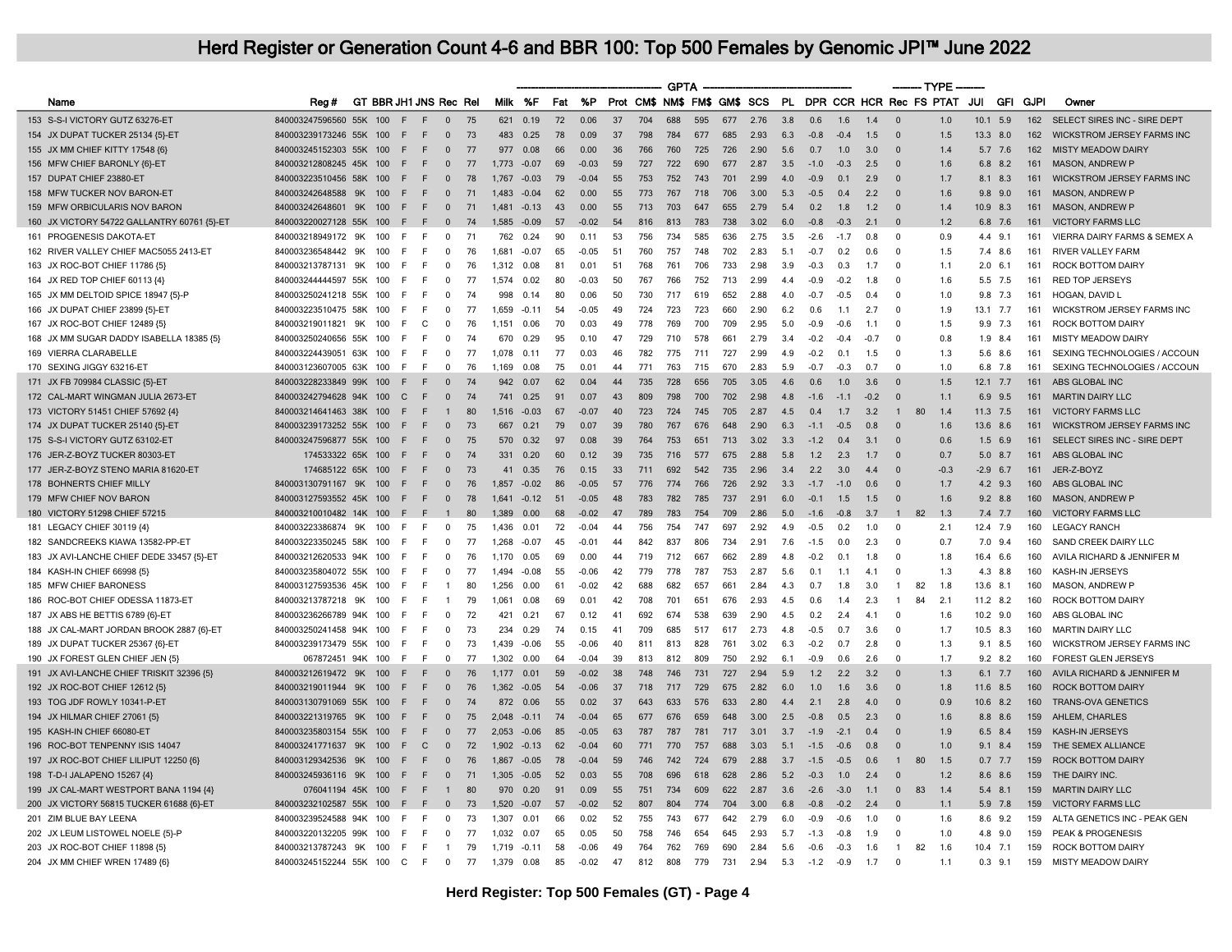|                                             |                           |     |                     |                        |                |    |         |         |     |         |    |                              | <b>GPTA</b> |     |     |      |           |        |        |        | ------- TYPE            |        |            |                |             |                                   |
|---------------------------------------------|---------------------------|-----|---------------------|------------------------|----------------|----|---------|---------|-----|---------|----|------------------------------|-------------|-----|-----|------|-----------|--------|--------|--------|-------------------------|--------|------------|----------------|-------------|-----------------------------------|
| Name                                        | Reg #                     |     |                     | GT BBR JH1 JNS Rec Rel |                |    | Milk    | %F      | Fat | %P      |    | Prot CM\$ NM\$ FM\$ GM\$ SCS |             |     |     |      | <b>PL</b> |        |        |        | DPR CCR HCR Rec FS PTAT |        | JUI        | <b>GFI</b>     | <b>GJPI</b> | Owner                             |
| 153 S-S-I VICTORY GUTZ 63276-ET             | 840003247596560 55K       |     | 100<br>E            | F                      | $\mathbf{0}$   | 75 | 621     | 0.19    | 72  | 0.06    | 37 | 704                          | 688         | 595 | 677 | 2.76 | 3.8       | 0.6    | 1.6    | 1.4    | $\Omega$                | 1.0    | 10.1       | 5.9            | 162         | SELECT SIRES INC - SIRE DEPT      |
| 154 JX DUPAT TUCKER 25134 {5}-ET            | 840003239173246 55K 100   |     | E                   | F                      | $\Omega$       | 73 | 483     | 0.25    | 78  | 0.09    | 37 | 798                          | 784         | 677 | 685 | 2.93 | 6.3       | $-0.8$ | $-0.4$ | 1.5    | $\Omega$                | 1.5    | 13.3 8.0   |                | 162         | <b>WICKSTROM JERSEY FARMS INC</b> |
| 155 JX MM CHIEF KITTY 17548 {6]             | 840003245152303 55K       |     | 100<br>E            | F                      | $\mathbf 0$    | 77 | 977     | 0.08    | 66  | 0.00    | 36 | 766                          | 760         | 725 | 726 | 2.90 | 5.6       | 0.7    | 1.0    | 3.0    | $\Omega$                | 1.4    |            | 5.7 7.6        | 162         | <b>MISTY MEADOW DAIRY</b>         |
| 156 MFW CHIEF BARONLY {6}-ET                | 840003212808245 45K       |     | 100<br>÷            | E                      | $\Omega$       | 77 | 1 7 7 3 | $-0.07$ | 69  | $-0.03$ | 59 | 727                          | 722         | 690 | 677 | 2.87 | 3.5       | $-10$  | $-0.3$ | 25     | $\Omega$                | 16     |            | 68 82          | 161         | <b>MASON, ANDREW P</b>            |
| 157 DUPAT CHIEF 23880-E1                    | 840003223510456 58K       |     | 100<br>F            | F                      | $\mathbf{0}$   | 78 | 1,767   | $-0.03$ | 79  | $-0.04$ | 55 | 753                          | 752         | 743 | 701 | 2.99 | 4.0       | $-0.9$ | 0.1    | 2.9    | $\overline{0}$          | 1.7    | 8.1        | 8.3            | 161         | WICKSTROM JERSEY FARMS INC        |
| 158 MFW TUCKER NOV BARON-ET                 | 840003242648588 9K        |     | 100<br>E            | F                      | $\Omega$       | 71 | 1483    | $-0.04$ | 62  | 0.00    | 55 | 773                          | 767         | 718 | 706 | 3.00 | 5.3       | $-0.5$ | 0.4    | 2.2    | $\Omega$                | 1.6    |            | $9.8$ 9.0      | 161         | <b>MASON, ANDREW P</b>            |
| 159 MFW ORBICULARIS NOV BARON               | 840003242648601 9K        |     | 100<br>E            | F                      | $\mathbf{0}$   | 71 | 1.481   | $-0.13$ | 43  | 0.00    | 55 | 713                          | 703         | 647 | 655 | 2.79 | 5.4       | 0.2    | 1.8    | 1.2    | $\Omega$                | 1.4    | 10.9 8.3   |                | 161         | MASON, ANDREW P                   |
| 160 JX VICTORY 54722 GALLANTRY 60761 {5}-ET | 840003220027128 55K       |     | E<br>100            | F                      | $\Omega$       | 74 | 1,585   | $-0.09$ | 57  | $-0.02$ | 54 | 816                          | 813         | 783 | 738 | 3.02 | 6.0       | $-0.8$ | $-0.3$ | 21     | $\Omega$                | 1.2    |            | 6.8 7.6        | 161         | <b>VICTORY FARMS LLC</b>          |
| 161 PROGENESIS DAKOTA-ET                    | 840003218949172           | 9K  | 100<br>F            |                        | $\Omega$       | 71 | 762     | 0.24    | 90  | 0.11    | 53 | 756                          | 734         | 585 | 636 | 2.75 | 3.5       | $-2.6$ | $-1.7$ | 0.8    | $\Omega$                | 0.9    | 4.4        | 9.1            | 161         | VIERRA DAIRY FARMS & SEMEX A      |
| 162 RIVER VALLEY CHIEF MAC5055 2413-ET      | 840003236548442 9K        |     | 100<br>E            | E                      | $\Omega$       | 76 | 1681    | $-0.07$ | 65  | $-0.05$ | 51 | 760                          | 757         | 748 | 702 | 2.83 | 5.1       | $-0.7$ | 0.2    | 0.6    | $\Omega$                | 1.5    |            | 7.4 8.6        | 161         | <b>RIVER VALLEY FARM</b>          |
| 163 JX ROC-BOT CHIEF 11786 {5}              | 840003213787131           | 9K  | 100<br>E            | F                      | $\Omega$       | 76 | 1.312   | 0.08    | 81  | 0.01    | 51 | 768                          | 761         | 706 | 733 | 2.98 | 3.9       | $-0.3$ | 0.3    | 1.7    | $\Omega$                | 1.1    |            | $2.0\quad 6.1$ | 161         | ROCK BOTTOM DAIRY                 |
| 164 JX RED TOP CHIEF 60113 {4}              | 840003244444597 55K       |     | 100<br>E            | E                      | $\Omega$       | 77 | 1.574   | 0.02    | 80  | $-0.03$ | 50 | 767                          | 766         | 752 | 713 | 2.99 | 44        | $-0.9$ | $-0.2$ | 1.8    | $\Omega$                | 1.6    |            | 5.5 7.5        | 161         | <b>RED TOP JERSEYS</b>            |
| 165 JX MM DELTOID SPICE 18947 {5}-P         | 840003250241218 55K       |     | E<br>100            | E                      | $\Omega$       | 74 | 998     | 0.14    | 80  | 0.06    | 50 | 730                          | 717         | 619 | 652 | 2.88 | 4.0       | $-0.7$ | $-0.5$ | 0.4    | $\Omega$                | 1.0    |            | 9.8 7.3        | 161         | HOGAN, DAVID L                    |
| 166 JX DUPAT CHIEF 23899 {5}-ET             | 840003223510475 58K       |     | 100<br>E            | E                      | $\Omega$       | 77 | 1.659   | $-0.11$ | 54  | $-0.05$ | 49 | 724                          | 723         | 723 | 660 | 2.90 | 6.2       | 0.6    | 1.1    | 2.7    | $\Omega$                | 1.9    | $13.1$ 7.7 |                | 161         | <b>WICKSTROM JERSEY FARMS INC</b> |
| 167 JX ROC-BOT CHIEF 12489 {5}              | 840003219011821           | 9K  | 100<br>E            | C                      | $\Omega$       | 76 | 1.151   | 0.06    | 70  | 0.03    | 49 | 778                          | 769         | 700 | 709 | 2.95 | 5.0       | $-0.9$ | $-0.6$ | 1.1    | $\Omega$                | 1.5    | 9.9        | 7.3            | 161         | ROCK BOTTOM DAIRY                 |
| 168 JX MM SUGAR DADDY ISABELLA 18385 (5)    | 840003250240656 55K       |     | 100<br>E            | E                      | $\Omega$       | 74 | 670     | 0.29    | 95  | 0.10    | 47 | 729                          | 710         | 578 | 661 | 2.79 | 3.4       | $-0.2$ | $-0.4$ | $-0.7$ | $\Omega$                | 0.8    | 1.9        | 8.4            | 161         | <b>MISTY MEADOW DAIRY</b>         |
| 169 VIERRA CLARABELLE                       | 840003224439051           | 63K | E<br>100            | F                      | $\Omega$       | 77 | 1.078   | 0.11    | 77  | 0.03    | 46 | 782                          | 775         | 711 | 727 | 2.99 | 4.9       | $-0.2$ | 0.1    | 1.5    | $\Omega$                | 1.3    |            | 5.6 8.6        | 161         | SEXING TECHNOLOGIES / ACCOUN      |
| 170 SEXING JIGGY 63216-ET                   | 840003123607005 63K       |     | 100<br>E            | E                      | $\Omega$       | 76 | 1.169   | 0.08    | 75  | 0.01    | 44 | 771                          | 763         | 715 | 670 | 2.83 | 5.9       | $-0.7$ | $-0.3$ | 0.7    | $\Omega$                | 1.0    |            | 6.8 7.8        | 161         | SEXING TECHNOLOGIES / ACCOUN      |
| 171 JX FB 709984 CLASSIC {5}-ET             | 840003228233849 99K 100   |     | E                   | F                      | $\Omega$       | 74 | 942     | 0.07    | 62  | 0.04    | 44 | 735                          | 728         | 656 | 705 | 3.05 | 4.6       | 0.6    | 1.0    | 3.6    | $\Omega$                | 1.5    | $12.1$ 7.7 |                | 161         | ABS GLOBAL INC                    |
| 172 CAL-MART WINGMAN JULIA 2673-ET          | 840003242794628 94K       |     | $\mathsf{C}$<br>100 | F                      | $\Omega$       | 74 | 741     | 0.25    | 91  | 0.07    | 43 | 809                          | 798         | 700 | 702 | 2.98 | 48        | $-1.6$ | $-1.1$ | $-0.2$ | $\Omega$                | 1.1    | 6.9        | 9.5            | 161         | <b>MARTIN DAIRY LLC</b>           |
| 173 VICTORY 51451 CHIEF 57692 {4}           | 840003214641463 38K       |     | 100<br>F.           | F                      | $\mathbf{1}$   | 80 | 1,516   | $-0.03$ | 67  | $-0.07$ | 40 | 723                          | 724         | 745 | 705 | 2.87 | 4.5       | 0.4    | 1.7    | 3.2    | $\overline{1}$<br>80    | 1.4    | $11.3$ 7.5 |                | 161         | <b>VICTORY FARMS LLC</b>          |
| 174 JX DUPAT TUCKER 25140 {5}-ET            | 840003239173252 55K       |     | 100<br>F            | F                      | $\Omega$       | 73 | 667     | 0.21    | 79  | 0.07    | 39 | 780                          | 767         | 676 | 648 | 2.90 | 6.3       | $-1.1$ | $-0.5$ | 0.8    | $\Omega$                | 1.6    | 13.6 8.6   |                | 161         | <b>WICKSTROM JERSEY FARMS INC</b> |
| 175 S-S-I VICTORY GUTZ 63102-ET             | 840003247596877 55K 100   |     | -F                  | F                      | $\Omega$       | 75 | 570     | 0.32    | 97  | 0.08    | 39 | 764                          | 753         | 651 | 713 | 3.02 | 3.3       | $-1.2$ | 0.4    | 3.1    | $\Omega$                | 0.6    |            | $1.5$ 6.9      | 161         | SELECT SIRES INC - SIRE DEPT      |
| 176 JER-Z-BOYZ TUCKER 80303-ET              | 174533322 65K 100         |     | F                   | F                      | $\Omega$       | 74 | 331     | 0.20    | 60  | 0.12    | 39 | 735                          | 716         | 577 | 675 | 2.88 | 5.8       | 1.2    | 2.3    | 1.7    | $\Omega$                | 0.7    |            | 5.0 8.7        | 161         | ABS GLOBAL INC                    |
| 177 JER-Z-BOYZ STENO MARIA 81620-ET         | 174685122 65K             |     | 100<br>E            | F                      | $\mathbf{0}$   | 73 | 41      | 0.35    | 76  | 0.15    | 33 | 711                          | 692         | 542 | 735 | 2.96 | 3.4       | 2.2    | 3.0    | 4.4    | $\Omega$                | $-0.3$ | $-2.9$ 6.7 |                | 161         | JER-Z-BOYZ                        |
| 178 BOHNERTS CHIEF MILLY                    | 840003130791167 9K 100    |     | F                   | F                      | $\Omega$       | 76 | 1.857   | $-0.02$ | 86  | $-0.05$ | 57 | 776                          | 774         | 766 | 726 | 2.92 | 3.3       | $-1.7$ | $-1.0$ | 0.6    | $\Omega$                | 1.7    |            | $4.2$ 9.3      | 160         | ABS GLOBAL INC                    |
| 179 MFW CHIEF NOV BARON                     | 840003127593552 45K       |     | 100<br>-F           | F                      | $\mathbf{0}$   | 78 | 1,641   | $-0.12$ | 51  | $-0.05$ | 48 | 783                          | 782         | 785 | 737 | 2.91 | 6.0       | $-0.1$ | 1.5    | 1.5    | $\Omega$                | 1.6    |            | $9.2$ 8.8      | 160         | <b>MASON, ANDREW P</b>            |
| 180 VICTORY 51298 CHIEF 57215               | 840003210010482 14K       |     | -F<br>100           | F                      |                | 80 | 1.389   | 0.00    | 68  | $-0.02$ | 47 | 789                          | 783         | 754 | 709 | 2.86 | 5.0       | $-1.6$ | $-0.8$ | 3.7    | 82                      | 1.3    |            | 7.4 7.7        | 160         | <b>VICTORY FARMS LLC</b>          |
| 181 LEGACY CHIEF 30119 {4}                  | 840003223386874 9K        |     | 100<br>E            | E                      | $\mathbf 0$    | 75 | 1,436   | 0.01    | 72  | $-0.04$ | 44 | 756                          | 754         | 747 | 697 | 2.92 | 4.9       | $-0.5$ | 0.2    | 1.0    | $\Omega$                | 2.1    | 12.4 7.9   |                | 160         | <b>LEGACY RANCH</b>               |
| 182 SANDCREEKS KIAWA 13582-PP-ET            | 840003223350245 58K       |     | 100<br>E            | E                      | $\Omega$       | 77 | 1.268   | $-0.07$ | 45  | $-0.01$ | 44 | 842                          | 837         | 806 | 734 | 2.91 | 7.6       | $-1.5$ | 0.0    | 2.3    | $\Omega$                | 0.7    |            | 7.0 9.4        | 160         | SAND CREEK DAIRY LLC              |
| 183 JX AVI-LANCHE CHIEF DEDE 33457 {5}-ET   | 840003212620533 94K       |     | E<br>100            |                        | $\mathbf 0$    | 76 | 1.170   | 0.05    | 69  | 0.00    | 44 | 719                          | 712         | 667 | 662 | 2.89 | 4.8       | $-0.2$ | 0.1    | 1.8    | $\Omega$                | 1.8    | 16.4 6.6   |                | 160         | AVILA RICHARD & JENNIFER M        |
| 184 KASH-IN CHIEF 66998 {5}                 | 840003235804072 55K       |     | F<br>100            | E                      | $\Omega$       | 77 | 1.494   | $-0.08$ | 55  | $-0.06$ | 42 | 779                          | 778         | 787 | 753 | 2.87 | 5.6       | 0.1    | 1.1    | 4.1    | $\Omega$                | 1.3    |            | 4.3 8.8        | 160         | KASH-IN JERSEYS                   |
| 185 MFW CHIEF BARONESS                      | 840003127593536 45K       |     | 100<br>E            |                        |                | 80 | 1,256   | 0.00    | 61  | $-0.02$ | 42 | 688                          | 682         | 657 | 661 | 2.84 | 4.3       | 0.7    | 1.8    | 3.0    | $\overline{1}$<br>82    | 1.8    | 13.6 8.1   |                | 160         | <b>MASON, ANDREW P</b>            |
| 186 ROC-BOT CHIEF ODESSA 11873-ET           | 840003213787218 9K        |     | 100<br>E            | F                      | $\overline{1}$ | 79 | 1.061   | 0.08    | 69  | 0.01    | 42 | 708                          | 701         | 651 | 676 | 2.93 | 4.5       | 0.6    | 1.4    | 2.3    | 84<br>$\overline{1}$    | 2.1    | $11.2$ 8.2 |                | 160         | ROCK BOTTOM DAIRY                 |
| 187 JX ABS HE BETTIS 6789 {6}-E1            | 840003236266789 94K       |     | 100<br>E            |                        | $\mathbf 0$    | 72 | 421     | 0.21    | 67  | 0.12    | 41 | 692                          | 674         | 538 | 639 | 2.90 | 4.5       | 0.2    | 2.4    | 4.1    | $\Omega$                | 1.6    | 10.2 9.0   |                | 160         | ABS GLOBAL INC                    |
| 188 JX CAL-MART JORDAN BROOK 2887 {6}-ET    | 840003250241458 94K       |     | E<br>100            | E                      | $\Omega$       | 73 | 234     | 0.29    | 74  | 0.15    | 41 | 709                          | 685         | 517 | 617 | 2.73 | 48        | $-0.5$ | 0 7    | 36     | $\Omega$                | 17     | 10.5 8.3   |                | 160         | <b>MARTIN DAIRY LLC</b>           |
| 189 JX DUPAT TUCKER 25367 {6}-ET            | 840003239173479 55K       |     | 100<br>E            | F                      | $\mathbf 0$    | 73 | 1,439   | $-0.06$ | 55  | $-0.06$ | 40 | 811                          | 813         | 828 | 761 | 3.02 | 6.3       | $-0.2$ | 0.7    | 2.8    | $\mathbf 0$             | 1.3    |            | 9.1 8.5        | 160         | WICKSTROM JERSEY FARMS INC        |
| 190 JX FOREST GLEN CHIEF JEN (5)            | 067872451 94K             |     | 100<br>E            | E                      | $\Omega$       | 77 | 1.302   | 0.00    | 64  | $-0.04$ | 39 | 813                          | 812         | 809 | 750 | 2.92 | 6.1       | $-0.9$ | 0.6    | 2.6    | $\Omega$                | 17     |            | $9.2$ 8.2      | 160         | <b>FOREST GLEN JERSEYS</b>        |
| 191 JX AVI-LANCHE CHIEF TRISKIT 32396 {5}   | 840003212619472 9K        |     | 100<br>E            | F                      | $\Omega$       | 76 | 1.177   | 0.01    | 59  | $-0.02$ | 38 | 748                          | 746         | 731 | 727 | 2.94 | 5.9       | 1.2    | 2.2    | 3.2    | $\Omega$                | 1.3    |            | 6.1 7.7        | 160         | AVILA RICHARD & JENNIFER M        |
| 192 JX ROC-BOT CHIEF 12612 {5}              | 840003219011944 9K        |     | 100<br>E            | F                      | $\Omega$       | 76 | 1,362   | $-0.05$ | 54  | $-0.06$ | 37 | 718                          | 717         | 729 | 675 | 2.82 | 6.0       | 1.0    | 1.6    | 3.6    | $\Omega$                | 1.8    | 11.6 8.5   |                | 160         | <b>ROCK BOTTOM DAIRY</b>          |
| 193 TOG JDF ROWLY 10341-P-ET                | 840003130791069 55K       |     | 100<br>F            | F                      | $\Omega$       | 74 | 872     | 0.06    | 55  | 0.02    | 37 | 643                          | 633         | 576 | 633 | 2.80 | 4.4       | 2.1    | 2.8    | 4.0    | $\Omega$                | 0.9    | 10.6 8.2   |                | 160         | <b>TRANS-OVA GENETICS</b>         |
| 194 JX HILMAR CHIEF 27061 (5)               | 840003221319765 9K        |     | 100<br>E            | F                      | $\Omega$       | 75 | 2.048   | $-0.11$ | 74  | $-0.04$ | 65 | 677                          | 676         | 659 | 648 | 3.00 | 2.5       | $-0.8$ | 0.5    | 2.3    | $\Omega$                | 1.6    |            | 8.8 8.6        | 159         | AHLEM, CHARLES                    |
| 195 KASH-IN CHIEF 66080-ET                  | 840003235803154 55K       |     | E<br>100            | F                      | $\Omega$       | 77 | 2.053   | $-0.06$ | 85  | $-0.05$ | 63 | 787                          | 787         | 781 | 717 | 3.01 | 3.7       | $-1.9$ | $-2.1$ | 04     | $\Omega$                | 1.9    |            | 6.5 8.4        | 159         | KASH-IN JERSEYS                   |
| 196 ROC-BOT TENPENNY ISIS 14047             | 840003241771637           | 9K  | 100<br>E            | $\mathsf{C}$           | $\overline{0}$ | 72 | 1.902   | $-0.13$ | 62  | $-0.04$ | 60 | 771                          | 770         | 757 | 688 | 3.03 | 5.1       | $-1.5$ | $-0.6$ | 0.8    | $\Omega$                | 1.0    | 9.1        | 8.4            | 159         | THE SEMEX ALLIANCE                |
| 197 JX ROC-BOT CHIEF LILIPUT 12250 {6}      | 840003129342536 9K        |     | 100<br>F            | F                      | $\mathbf{0}$   | 76 | 1.867   | $-0.05$ | 78  | $-0.04$ | 59 | 746                          | 742         | 724 | 679 | 2.88 | 3.7       | $-1.5$ | $-0.5$ | 0.6    | 80<br>$\mathbf{1}$      | 1.5    |            | $0.7$ 7.7      | 159         | <b>ROCK BOTTOM DAIRY</b>          |
| 198 T-D-I JALAPENO 15267 {4}                | 840003245936116 9K        |     | 100<br>E            | E                      | $\Omega$       | 71 | 1.305   | $-0.05$ | 52  | 0.03    | 55 | 708                          | 696         | 618 | 628 | 2.86 | 5.2       | $-0.3$ | 1.0    | 2.4    | $\Omega$                | 1.2    |            | 8.6 8.6        | 159         | THE DAIRY INC                     |
| 199 JX CAL-MART WESTPORT BANA 1194 {4}      | 076041194 45K             |     | 100<br>E            | F                      | $\overline{1}$ | 80 | 970     | 0.20    | 91  | 0.09    | 55 | 751                          | 734         | 609 | 622 | 2.87 | 3.6       | $-2.6$ | $-3.0$ | 1.1    | $\Omega$<br>83          | 1.4    |            | $5.4$ 8.1      | 159         | <b>MARTIN DAIRY LLC</b>           |
| 200 JX VICTORY 56815 TUCKER 61688 {6}-ET    | 840003232102587 55K 100   |     | F                   | E                      | $\overline{0}$ | 73 | 1.520   | $-0.07$ | 57  | $-0.02$ | 52 | 807                          | 804         | 774 | 704 | 3.00 | 6.8       | $-0.8$ | $-0.2$ | 2.4    | $\Omega$                | 1.1    |            | 5.9 7.8        | 159         | <b>VICTORY FARMS LLC</b>          |
| 201 ZIM BLUE BAY LEENA                      | 840003239524588 94K       |     | 100<br>E            | F                      | $\mathbf 0$    | 73 | 1.307   | 0.01    | 66  | 0.02    | 52 | 755                          | 743         | 677 | 642 | 2.79 | 6.0       | $-0.9$ | $-0.6$ | 1.0    | $\Omega$                | 1.6    |            | 8.6 9.2        | 159         | ALTA GENETICS INC - PEAK GEN      |
| 202 JX LEUM LISTOWEL NOELE {5}-P            | 840003220132205 99K       |     | 100<br>E            | F                      | $\Omega$       | 77 | 1.032   | 0.07    | 65  | 0.05    | 50 | 758                          | 746         | 654 | 645 | 2.93 | 5.7       | $-1.3$ | $-0.8$ | 1.9    | $\Omega$                | 1.0    |            | 4.8 9.0        | 159         | <b>PEAK &amp; PROGENESIS</b>      |
| 203 JX ROC-BOT CHIEF 11898 {5}              | 840003213787243 9K        |     | E<br>100            | E                      | $\overline{1}$ | 79 | 1.719   | $-0.11$ | 58  | $-0.06$ | 49 | 764                          | 762         | 769 | 690 | 2.84 | 5.6       | $-0.6$ | $-0.3$ | 1.6    | $\overline{1}$<br>82    | 1.6    | $10.4$ 7.1 |                | 159         | ROCK BOTTOM DAIRY                 |
| 204 JX MM CHIEF WREN 17489 (6)              | 840003245152244 55K 100 C |     |                     | F                      | $\overline{0}$ | 77 | 1.379   | 0.08    | 85  | $-0.02$ | 47 | 812                          | 808         | 779 | 731 | 2.94 | 5.3       | $-1.2$ | $-0.9$ | 1.7    | $\Omega$                | 11     | 0.3        | 9.1            | 159         | <b>MISTY MEADOW DAIRY</b>         |
|                                             |                           |     |                     |                        |                |    |         |         |     |         |    |                              |             |     |     |      |           |        |        |        |                         |        |            |                |             |                                   |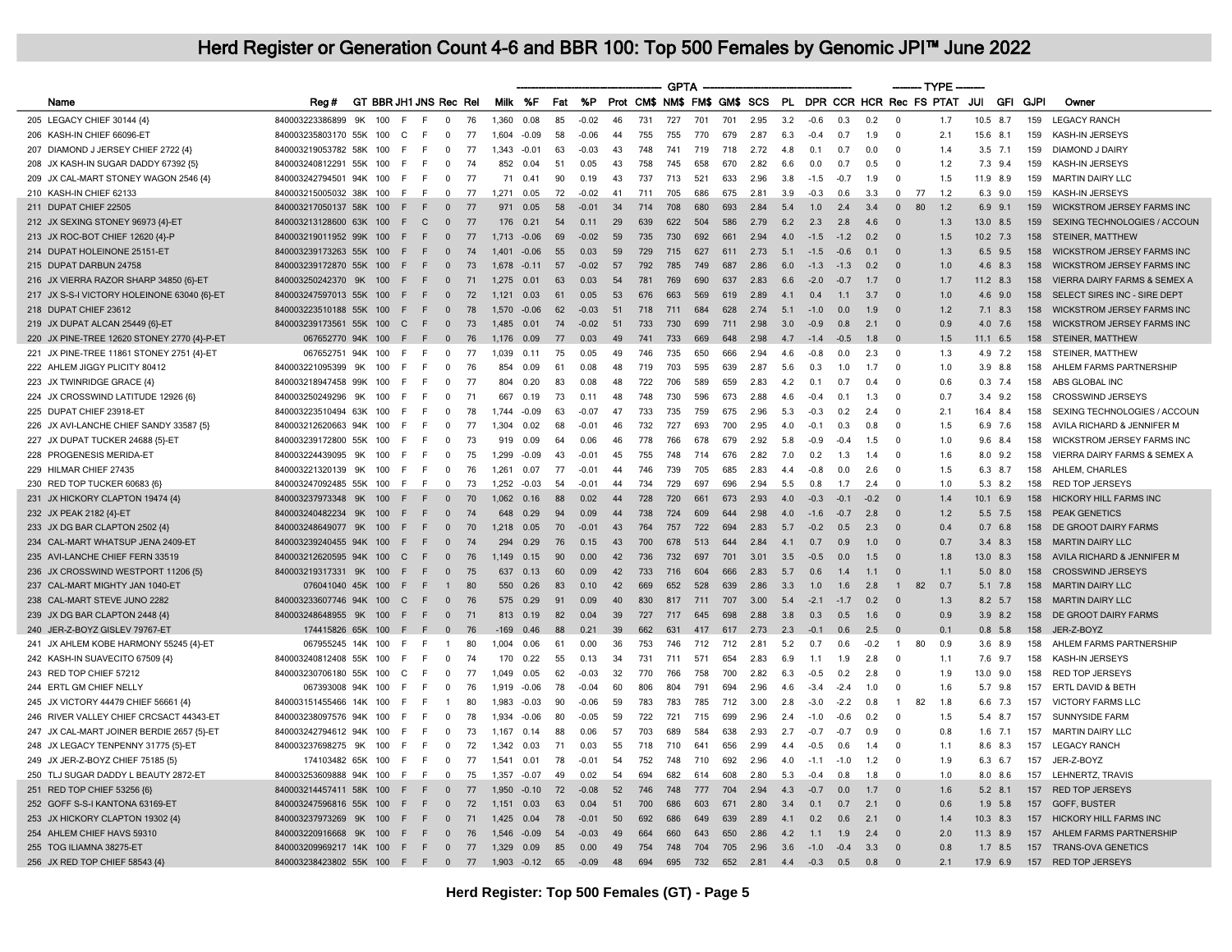|                                             |                                  |     |     |                        |                |    |                |         |        |         |    |                              | <b>GPTA</b> |     |     |      |     |            |        |                |                | ------- TYPE            |      |             |             |                                   |
|---------------------------------------------|----------------------------------|-----|-----|------------------------|----------------|----|----------------|---------|--------|---------|----|------------------------------|-------------|-----|-----|------|-----|------------|--------|----------------|----------------|-------------------------|------|-------------|-------------|-----------------------------------|
| Name                                        | Rea#                             |     |     | GT BBR JH1 JNS Rec Rel |                |    | Milk %F        |         | Fat %P |         |    | Prot CM\$ NM\$ FM\$ GM\$ SCS |             |     |     |      | PL. |            |        |                |                | DPR CCR HCR Rec FS PTAT | JUI  | <b>GFI</b>  | <b>GJPI</b> | Owner                             |
| 205 LEGACY CHIEF 30144 {4}                  | 840003223386899                  | 9K  | 100 | F.<br>F                | $\Omega$       | 76 | 1.360          | 0.08    | 85     | $-0.02$ | 46 | 731                          | 727         | 701 | 701 | 2.95 | 3.2 | $-0.6$     | 0.3    | 0.2            | $\Omega$       | 1.7                     | 10.5 | 8.7         | 159         | <b>LEGACY RANCH</b>               |
| 206 KASH-IN CHIEF 66096-ET                  | 840003235803170 55K 100          |     |     | C<br>E                 | $\Omega$       | 77 | 1.604          | $-0.09$ | 58     | $-0.06$ | 44 | 755                          | 755         | 770 | 679 | 2.87 | 6.3 | $-0.4$     | 0.7    | 1.9            | $\Omega$       | 2.1                     |      | 15.6 8.1    | 159         | KASH-IN JERSEYS                   |
| 207 DIAMOND J JERSEY CHIEF 2722 {4}         | 840003219053782 58K              |     | 100 | E<br>F                 | $\Omega$       | 77 | 1.343          | $-0.01$ | 63     | $-0.03$ | 43 | 748                          | 741         | 719 | 718 | 2.72 | 4.8 | 0.1        | 0.7    | 0.0            | $\Omega$       | 1.4                     |      | $3.5$ 7.1   | 159         | DIAMOND J DAIRY                   |
| 208 JX KASH-IN SUGAR DADDY 67392 {5}        | 840003240812291 55K              |     | 100 | E<br>F                 | $\Omega$       | 74 | 852            | 0.04    | 51     | 0.05    | 43 | 758                          | 745         | 658 | 670 | 2.82 | 6.6 | 0.0        | 0.7    | 0.5            | $\Omega$       | 1.2                     | 7.3  | 9.4         | 159         | KASH-IN JERSEYS                   |
| 209 JX CAL-MART STONEY WAGON 2546 {4}       | 840003242794501 94K              |     | 100 | F.<br>F                | 0              | 77 | 71             | 0.41    | 90     | 0.19    | 43 | 737                          | 713         | 521 | 633 | 2.96 | 3.8 | $-1.5$     | $-0.7$ | 1.9            | $\Omega$       | 1.5                     |      | 11.9 8.9    | 159         | <b>MARTIN DAIRY LLC</b>           |
| 210 KASH-IN CHIEF 62133                     | 840003215005032 38K              |     | 100 | E<br>F                 | $\Omega$       | 77 | 1.271          | 0.05    | 72     | $-0.02$ | 41 | 711                          | 705         | 686 | 675 | 2.81 | 3.9 | $-0.3$     | 0.6    | 3.3            | $\Omega$       | 77<br>1.2               |      | 6.3 9.0     | 159         | KASH-IN JERSEYS                   |
| 211 DUPAT CHIEF 22505                       | 840003217050137 58K 100          |     |     | F<br>F                 | $\mathbf{0}$   | 77 | 971            | 0.05    | 58     | $-0.01$ | 34 | 714                          | 708         | 680 | 693 | 2.84 | 5.4 | 1.0        | 2.4    | 3.4            | $\Omega$       | 80<br>1.2               | 6.9  | 9.1         | 159         | <b>WICKSTROM JERSEY FARMS INC</b> |
| 212 JX SEXING STONEY 96973 {4}-ET           | 840003213128600 63K 100          |     |     | F<br>$\Omega$          | $\Omega$       | 77 | 176            | 0.21    | 54     | 0.11    | 29 | 639                          | 622         | 504 | 586 | 2.79 | 62  | 2.3        | 28     | 4.6            | $\Omega$       | 1.3                     |      | 13.0 8.5    | 159         | SEXING TECHNOLOGIES / ACCOUN      |
| 213 JX ROC-BOT CHIEF 12620 {4}-P            | 840003219011952 99K              |     | 100 | E<br>F                 | $\Omega$       | 77 | 1,713          | $-0.06$ | 69     | $-0.02$ | 59 | 735                          | 730         | 692 | 661 | 2.94 | 4.0 | $-1.5$     | $-1.2$ | 0.2            | $\Omega$       | 1.5                     | 10.2 | 7.3         | 158         | <b>STEINER, MATTHEW</b>           |
| 214 DUPAT HOLEINONE 25151-ET                | 840003239173263 55K 100          |     |     | E<br>E                 | $\overline{0}$ | 74 | 1401           | $-0.06$ | 55     | 0.03    | 59 | 729                          | 715         | 627 | 611 | 2.73 | 5.1 | $-1.5$     | $-06$  | 0 <sub>1</sub> | $\Omega$       | 1.3                     |      | 6.5 9.5     | 158         | <b>WICKSTROM JERSEY FARMS INC</b> |
| 215 DUPAT DARBUN 24758                      | 840003239172870 55K              |     | 100 | F<br>F                 | $\Omega$       | 73 | 1.678          | $-0.11$ | 57     | $-0.02$ | 57 | 792                          | 785         | 749 | 687 | 2.86 | 6.0 | $-1.3$     | $-1.3$ | 0.2            | $\Omega$       | 1.0                     |      | 4.6 8.3     | 158         | <b>WICKSTROM JERSEY FARMS INC</b> |
| 216 JX VIERRA RAZOR SHARP 34850 {6}-ET      | 840003250242370 9K               |     | 100 | E<br>F                 | $\Omega$       | 71 | 1 2 7 5        | 0.01    | 63     | 0.03    | 54 | 781                          | 769         | 690 | 637 | 2.83 | 6.6 | $-20$      | $-0.7$ | 1.7            | $\Omega$       | 1.7                     |      | $11.2$ 8.3  | 158         | VIERRA DAIRY FARMS & SEMEX A      |
| 217 JX S-S-I VICTORY HOLEINONE 63040 {6}-ET | 840003247597013 55K              |     | 100 | F<br>F                 | $\mathbf{0}$   | 72 | 1,121          | 0.03    | 61     | 0.05    | 53 | 676                          | 663         | 569 | 619 | 2.89 | 4.1 | 0.4        | 1.1    | 3.7            | $\Omega$       | 1.0                     | 4.6  | 9.0         | 158         | SELECT SIRES INC - SIRE DEPT      |
| 218 DUPAT CHIEF 23612                       | 840003223510188 55K              |     | 100 | F<br>F                 | $\Omega$       | 78 | 1.570          | $-0.06$ | 62     | $-0.03$ | 51 | 718                          | 711         | 684 | 628 | 2.74 | 5.1 | $-1.0$     | 0.0    | 1.9            | $\Omega$       | 1.2                     |      | $7.1$ 8.3   | 158         | <b>WICKSTROM JERSEY FARMS INC</b> |
| 219 JX DUPAT ALCAN 25449 {6}-ET             | 840003239173561 55K              |     | 100 | $\mathsf{C}$<br>F      | $\mathbf{0}$   | 73 | 1,485          | 0.01    | 74     | $-0.02$ | 51 | 733                          | 730         | 699 | 711 | 2.98 | 3.0 | $-0.9$     | 0.8    | 2.1            | $\Omega$       | 0.9                     |      | 4.0 7.6     | 158         | <b>WICKSTROM JERSEY FARMS INC</b> |
| 220 JX PINE-TREE 12620 STONEY 2770 {4}-P-ET | 067652770 94K 100                |     |     | F.<br>E                | $\overline{0}$ | 76 | 1.176          | 0.09    | 77     | 0.03    | 49 | 741                          | 733         | 669 | 648 | 2.98 | 47  | $-14$      | $-0.5$ | 1.8            | $\Omega$       | 1.5                     |      | $11.1$ 6.5  | 158         | <b>STEINER, MATTHEW</b>           |
| 221 JX PINE-TREE 11861 STONEY 2751 {4}-ET   | 067652751                        | 94K | 100 | E                      | $\Omega$       | 77 | 1,039          | 011     | 75     | 0.05    | 49 | 746                          | 735         | 650 | 666 | 2.94 | 4.6 | $-0.8$     | 0.0    | 2.3            | $\Omega$       | 1.3                     | 4.9  | 7.2         | 158         | STEINER, MATTHEW                  |
| 222 AHLEM JIGGY PLICITY 80412               | 840003221095399                  | 9K  | 100 | E<br>E                 | $\Omega$       | 76 | 854            | 0.09    | 61     | 0.08    | 48 | 719                          | 703         | 595 | 639 | 2.87 | 5.6 | 0.3        | 1.0    | 1.7            | $\Omega$       | 1.0                     |      | $3.9$ $8.8$ | 158         | AHLEM FARMS PARTNERSHIP           |
| 223 JX TWINRIDGE GRACE {4}                  | 840003218947458 99K              |     | 100 | E                      | $\Omega$       | 77 | 804            | 0.20    | 83     | 0.08    | 48 | 722                          | 706         | 589 | 659 | 2.83 | 4.2 | 0.1        | 0.7    | 0.4            | $\Omega$       | 0.6                     |      | $0.3$ 7.4   | 158         | ABS GLOBAL INC                    |
| 224 JX CROSSWIND LATITUDE 12926 {6}         | 840003250249296                  | 9K  | 100 | E<br>F                 | $\Omega$       | 71 | 667            | 0 19    | 73     | 0.11    | 48 | 748                          | 730         | 596 | 673 | 2.88 | 46  | $-0.4$     | 0.1    | 1.3            | $\Omega$       | 0.7                     | 3.4  | 9.2         | 158         | <b>CROSSWIND JERSEYS</b>          |
| 225 DUPAT CHIEF 23918-ET                    | 840003223510494 63K              |     | 100 | F<br>F                 | $\Omega$       | 78 | 1.744          | $-0.09$ | 63     | $-0.07$ | 47 | 733                          | 735         | 759 | 675 | 2.96 | 5.3 | $-0.3$     | 0.2    | 2.4            | $\Omega$       | 2.1                     | 16.4 | 8.4         | 158         | SEXING TECHNOLOGIES / ACCOUN      |
| 226 JX AVI-LANCHE CHIEF SANDY 33587 {5}     | 840003212620663 94K              |     | 100 | F.<br>E                | 0              | 77 | 1.304          | 0.02    | 68     | $-0.01$ | 46 | 732                          | 727         | 693 | 700 | 2.95 | 4.0 | $-0.7$     | 0.3    | 0.8            | $\Omega$       | 1.5                     | 6.9  | 7.6         | 158         | AVILA RICHARD & JENNIFER M        |
| 227 JX DUPAT TUCKER 24688 {5}-ET            | 840003239172800 55K              |     | 100 | F<br>F                 | $\Omega$       | 73 | 919            | 0.09    | 64     | 0.06    | 46 | 778                          | 766         | 678 | 679 | 2.92 | 5.8 | $-0.9$     | $-0.4$ | 1.5            | $\Omega$       | 1.0                     | 9.6  | 8.4         | 158         | WICKSTROM JERSEY FARMS INC        |
| 228 PROGENESIS MERIDA-ET                    | 840003224439095 9K               |     | 100 | F<br>E                 | $\Omega$       | 75 | 1.299          | $-0.09$ | 43     | $-0.01$ | 45 | 755                          | 748         | 714 | 676 | 2.82 | 7.0 | 0.2        | 1.3    | 1.4            | $\Omega$       | 1.6                     |      | 8.0 9.2     | 158         | VIERRA DAIRY FARMS & SEMEX A      |
| 229 HILMAR CHIEF 27435                      | 840003221320139                  | 9K  | 100 | E<br>F                 | $\mathbf 0$    | 76 | 1 261          | 0.07    | 77     | $-0.01$ | 44 | 746                          | 739         | 705 | 685 | 2.83 | 44  | $-0.8$     | 0.0    | 2.6            | $\Omega$       | 1.5                     | 6.3  | 8.7         | 158         | AHLEM, CHARLES                    |
| 230 RED TOP TUCKER 60683 {6}                | 840003247092485 55K              |     | 100 | E<br>F                 | $\Omega$       | 73 | 1,252          | $-0.03$ | 54     | $-0.01$ | 44 | 734                          | 729         | 697 | 696 | 2.94 | 5.5 | 0.8        | 1.7    | 2.4            | $\Omega$       | 1 <sub>0</sub>          |      | 5.3 8.2     | 158         | RED TOP JERSEYS                   |
| 231 JX HICKORY CLAPTON 19474 {4}            | 840003237973348 9K               |     | 100 | E<br>F                 | $\Omega$       | 70 | 1.062          | 0.16    | 88     | 0.02    | 44 | 728                          | 720         | 661 | 673 | 2.93 | 40  | $-0.3$     | $-0.1$ | $-0.2$         | $\Omega$       | 1.4                     | 10.1 | 6.9         | 158         | <b>HICKORY HILL FARMS INC</b>     |
| 232 JX PEAK 2182 {4}-ET                     | 840003240482234                  | 9K  | 100 | F<br>F                 | $\Omega$       | 74 | 648            | 0.29    | 94     | 0.09    | 44 | 738                          | 724         | 609 | 644 | 2.98 | 4.0 | $-1.6$     | $-0.7$ | 2.8            | $\Omega$       | 1.2                     |      | 5.5 7.5     | 158         | <b>PEAK GENETICS</b>              |
| 233 JX DG BAR CLAPTON 2502 {4}              | 840003248649077 9K               |     | 100 | E<br>F                 | $\Omega$       | 70 | 1.218          | 0.05    | 70     | $-0.01$ | 43 | 764                          | 757         | 722 | 694 | 2.83 | 5.7 | $-0.2$     | 0.5    | 2.3            | $\Omega$       | 0.4                     |      | $0.7$ 6.8   | 158         | DE GROOT DAIRY FARMS              |
| 234 CAL-MART WHATSUP JENA 2409-ET           | 840003239240455 94K              |     | 100 | F<br>F                 | $\Omega$       | 74 | 294            | 0.29    | 76     | 0.15    | 43 | 700                          | 678         | 513 | 644 | 2.84 | 4.1 | 0.7        | 0.9    | 1.0            | $\Omega$       | 0.7                     | 3.4  | 8.3         | 158         | <b>MARTIN DAIRY LLC</b>           |
| 235 AVI-LANCHE CHIEF FERN 33519             | 840003212620595 94K              |     | 100 | $\mathsf{C}$<br>F      | $\Omega$       | 76 | 1.149          | 0.15    | 90     | 0.00    | 42 | 736                          | 732         | 697 | 701 | 3.01 | 3.5 | $-0.5$     | 0.0    | 1.5            | $\Omega$       | 1.8                     |      | 13.0 8.3    | 158         | AVILA RICHARD & JENNIFER M        |
| 236 JX CROSSWIND WESTPORT 11206 {5}         | 840003219317331 9K               |     | 100 | F.<br>F                | $\Omega$       | 75 | 637            | 0.13    | 60     | 0.09    | 42 | 733                          | 716         | 604 | 666 | 2.83 | 5.7 | 0.6        | 1.4    | 1.1            | $\Omega$       | 1.1                     |      | $5.0$ $8.0$ | 158         | <b>CROSSWIND JERSEYS</b>          |
| 237 CAL-MART MIGHTY JAN 1040-ET             | 076041040 45K                    |     | 100 | F<br>E                 | 1              | 80 | 550            | 0.26    | 83     | 0.10    | 42 | 669                          | 652         | 528 | 639 | 2.86 | 3.3 | 1.0        | 1.6    | 2.8            | $\mathbf{1}$   | 82<br>0.7               | 5.1  | 7.8         | 158         | <b>MARTIN DAIRY LLC</b>           |
| 238 CAL-MART STEVE JUNO 2282                | 840003233607746 94K              |     | 100 | $\mathsf{C}$<br>F      | $\mathbf{0}$   | 76 | 575            | 0.29    | 91     | 0.09    | 40 | 830                          | 817         | 711 | 707 | 3.00 | 5.4 | $-2.1$     | $-1.7$ | 0.2            | $\overline{0}$ | 1.3                     |      | 8.2 5.7     | 158         | <b>MARTIN DAIRY LLC</b>           |
| 239 JX DG BAR CLAPTON 2448 {4}              | 840003248648955 9K               |     | 100 | F<br>E                 | $\mathbf{0}$   | 71 | 813            | 0.19    | 82     | 0.04    | 39 | 727                          | 717         | 645 | 698 | 2.88 | 3.8 | 0.3        | 0.5    | 1.6            | $\Omega$       | 0.9                     |      | $3.9$ $8.2$ | 158         | DE GROOT DAIRY FARMS              |
| 240 JER-Z-BOYZ GISLEV 79767-E1              | 174415826 65K 100                |     |     | -F<br>F                | $\Omega$       | 76 | $-169$         | 0.46    | 88     | 0.21    | 39 | 662                          | 631         | 417 | 617 | 2.73 | 2.3 | $-0.1$     | 0.6    | 2.5            | $\Omega$       | 0.1                     |      | $0.8$ 5.8   | 158         | JER-Z-BOYZ                        |
| 241 JX AHLEM KOBE HARMONY 55245 {4}-ET      | 067955245 14K 100                |     |     | F<br>E                 | $\mathbf{1}$   | 80 | 1 0 0 4        | 0.06    | 61     | 0.00    | 36 | 753                          | 746         | 712 | 712 | 2.81 | 5.2 | 0.7        | 0.6    | $-0.2$         | $\mathbf{1}$   | 80<br>0.9               |      | $3.6$ $8.9$ | 158         | AHLEM FARMS PARTNERSHIP           |
| 242 KASH-IN SUAVECITO 67509 {4}             | 840003240812408 55K              |     | 100 | E<br>F                 | $\mathbf 0$    | 74 | 170            | 0.22    | 55     | 0.13    | 34 | 731                          | 711         | 571 | 654 | 2.83 | 6.9 | 1.1        | 1.9    | 2.8            | $\Omega$       | 1.1                     |      | 7.6 9.7     | 158         | KASH-IN JERSEYS                   |
| 243 RED TOP CHIEF 57212                     | 840003230706180 55K              |     | 100 | C<br>F                 | $\Omega$       | 77 | 1.049          | 0.05    | 62     | $-0.03$ | 32 | 770                          | 766         | 758 | 700 | 2.82 | 6.3 | $-0.5$     | 0.2    | 2.8            | $\Omega$       | 1.9                     |      | 13.0 9.0    | 158         | <b>RED TOP JERSEYS</b>            |
| 244 ERTL GM CHIEF NELLY                     | 067393008 94K 100                |     |     | F.<br>F                | 0              | 76 | 1.919          | $-0.06$ | 78     | $-0.04$ | 60 | 806                          | 804         | 791 | 694 | 2.96 | 4.6 | $-3.4$     | $-2.4$ | 1.0            | $\Omega$       | 1.6                     |      | 5.7 9.8     | 157         | ERTL DAVID & BETH                 |
| 245 JX VICTORY 44479 CHIEF 56661 {4}        | 840003151455466 14K              |     | 100 | F<br>E                 | -1             | 80 | 1.983          | $-0.03$ | 90     | $-0.06$ | 59 | 783                          | 783         | 785 | 712 | 3.00 | 2.8 | $-3.0$     | $-2.2$ | 0.8            | $\overline{1}$ | 82<br>1.8               | 6.6  | 7.3         | 157         | <b>VICTORY FARMS LLC</b>          |
| 246 RIVER VALLEY CHIEF CRCSACT 44343-ET     | 840003238097576 94K              |     | 100 | F<br>F                 | $\mathbf 0$    | 78 | 1,934          | $-0.06$ | 80     | $-0.05$ | 59 | 722                          | 721         | 715 | 699 | 2.96 | 2.4 | $-1.0$     | $-0.6$ | 0.2            | $\Omega$       | 1.5                     |      | 5.4 8.7     | 157         | SUNNYSIDE FARM                    |
| 247 JX CAL-MART JOINER BERDIE 2657 {5}-ET   | 840003242794612 94K              |     | 100 | E<br>E                 | $\mathbf 0$    | 73 | 1 1 6 7        | 0.14    | 88     | 0.06    | 57 | 703                          | 689         | 584 | 638 | 2.93 | 2.7 | $-07$      | $-07$  | 09             | $\Omega$       | 0.8                     |      | $1.6$ 7.1   | 157         | <b>MARTIN DAIRY LLC</b>           |
| 248 JX LEGACY TENPENNY 31775 {5}-ET         | 840003237698275 9K               |     | 100 | E<br>F                 | $\Omega$       | 72 | 1.342          | 0.03    | 71     | 0.03    | 55 | 718                          | 710         | 641 | 656 | 2.99 | 4.4 | $-0.5$     | 0.6    | 1.4            | $\Omega$       | 1.1                     | 8.6  | 8.3         | 157         | <b>LEGACY RANCH</b>               |
| 249 JX JER-Z-BOYZ CHIEF 75185 {5}           | 174103482 65K                    |     | 100 | F<br>F.                | $\Omega$       | 77 | 1.541          | 001     | 78     | $-0.01$ | 54 | 752                          | 748         | 710 | 692 | 2.96 | 40  | $-1.1$     | $-1.0$ | 1.2            | $\Omega$       | 1.9                     |      | 6.3 6.7     | 157         | JER-Z-BOYZ                        |
| 250 TLJ SUGAR DADDY L BEAUTY 2872-ET        | 840003253609888 94K              |     | 100 | F<br>F                 | $\Omega$       | 75 | 1.357          | $-0.07$ | 49     | 0.02    | 54 | 694                          | 682         | 614 | 608 | 2.80 | 5.3 | $-0.4$     | 0.8    | 1.8            | $\Omega$       | 1.0                     | 8.0  | 8.6         | 157         | LEHNERTZ, TRAVIS                  |
| 251 RED TOP CHIEF 53256 {6}                 | 840003214457411 58K              |     | 100 | F<br>F                 | $\mathbf{0}$   | 77 | 1.950          | $-0.10$ | 72     | $-0.08$ | 52 | 746                          | 748         | 777 | 704 | 2.94 | 4.3 | $-0.7$     | 0.0    | 1.7            | $\Omega$       | 1.6                     |      | $5.2$ 8.1   | 157         | <b>RED TOP JERSEYS</b>            |
| 252 GOFF S-S-I KANTONA 63169-ET             | 840003247596816 55K              |     | 100 | F<br>F                 | $\Omega$       | 72 | 1.151          | 0.03    | 63     | 0.04    | 51 | 700                          | 686         | 603 | 671 | 2.80 | 3.4 | 0.1        | 0.7    | 2.1            | $\Omega$       | 0.6                     | 1.9  | 5.8         | 157         | GOFF, BUSTER                      |
| 253 JX HICKORY CLAPTON 19302 {4}            | 840003237973269 9K               |     | 100 | E<br>F                 | $\Omega$       | 71 | 1.425          | 0.04    | 78     | $-0.01$ | 50 | 692                          | 686         | 649 | 639 | 2.89 | 4.1 | 0.2        | 0.6    | 2.1            | $\Omega$       | 1.4                     |      | $10.3$ 8.3  | 157         | <b>HICKORY HILL FARMS INC</b>     |
| 254 AHLEM CHIEF HAVS 59310                  | 840003220916668 9K               |     | 100 | F<br>F                 | $\Omega$       | 76 | 1.546          | $-0.09$ | 54     | $-0.03$ | 49 | 664                          | 660         | 643 | 650 | 2.86 | 4.2 | 1.1        | 1.9    | 2.4            | $\Omega$       | 2.0                     |      | 11.3 8.9    | 157         | AHLEM FARMS PARTNERSHIP           |
| 255 TOG ILIAMNA 38275-ET                    | 840003209969217 14K              |     | 100 | F.<br>F                | $\mathbf{0}$   | 77 | 1,329          | 0.09    | 85     | 0.00    | 49 | 754                          | 748         | 704 | 705 | 2.96 | 3.6 | $-1.0$     | $-0.4$ | 3.3            | $\Omega$       | 0.8                     |      | $1.7$ 8.5   | 157         | <b>TRANS-OVA GENETICS</b>         |
| 256 JX RED TOP CHIEF 58543 {4}              | 840003238423802 55K 100 F F 0 77 |     |     |                        |                |    | 1,903 -0.12 65 |         |        | $-0.09$ | 48 | 694                          | 695         | 732 | 652 | 2.81 |     | $4.4 -0.3$ | 0.5    | 0.8            | $\Omega$       | 21                      |      | 17.9 6.9    |             | 157 RED TOP JERSEYS               |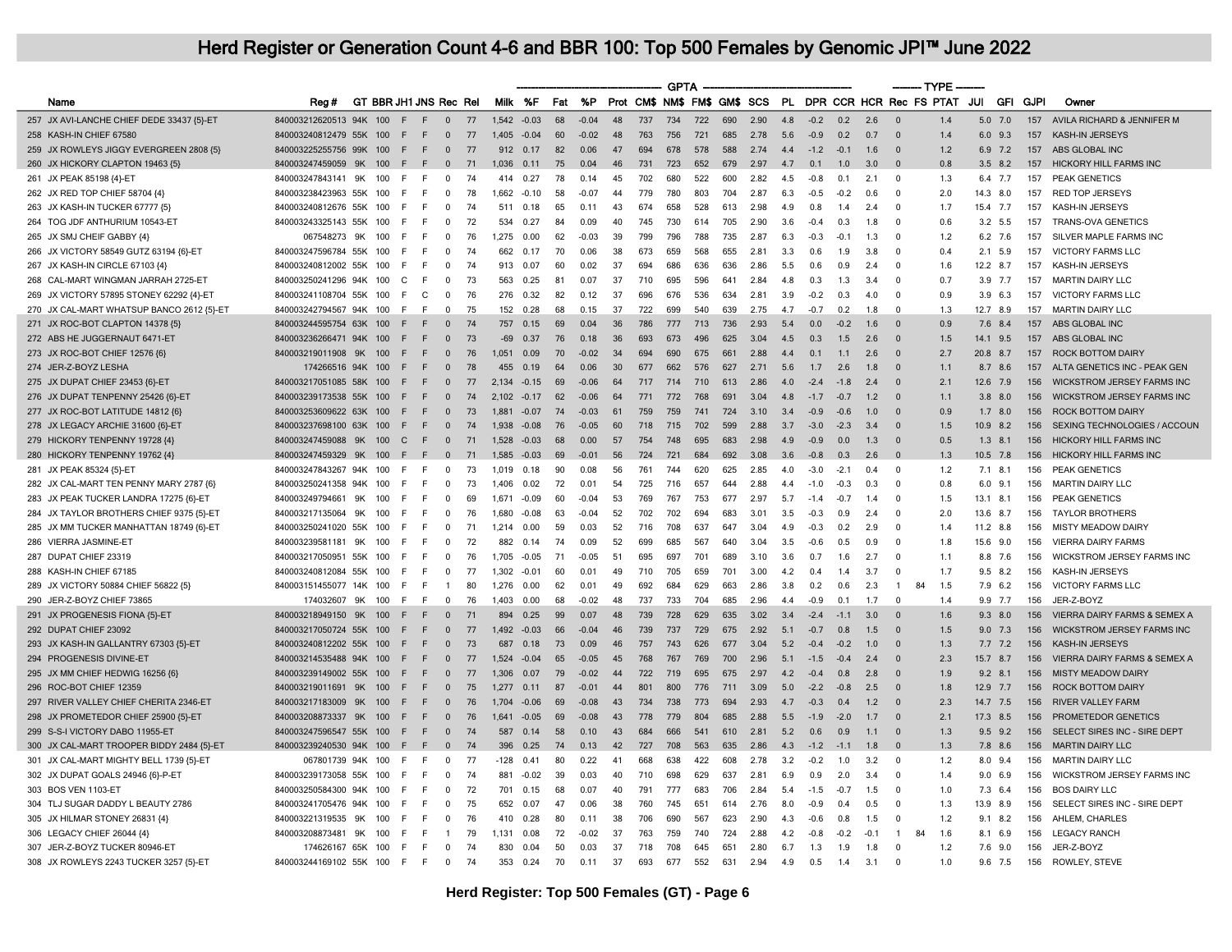|                                           |                         |     |     |                        |                |    |        |         |     |         |          |                              | <b>GPTA</b> |     |     |      |     |                |        |        | ------- TYPE            |                         |                |            |      |                               |
|-------------------------------------------|-------------------------|-----|-----|------------------------|----------------|----|--------|---------|-----|---------|----------|------------------------------|-------------|-----|-----|------|-----|----------------|--------|--------|-------------------------|-------------------------|----------------|------------|------|-------------------------------|
| Name                                      | Reg#                    |     |     | GT BBR JH1 JNS Rec Rel |                |    |        | Milk %F | Fat | %P      |          | Prot CM\$ NM\$ FM\$ GM\$ SCS |             |     |     |      | PL  |                |        |        |                         | DPR CCR HCR Rec FS PTAT | JUI            | <b>GFI</b> | GJPI | Owner                         |
| 257 JX AVI-LANCHE CHIEF DEDE 33437 {5}-ET | 840003212620513 94K     |     | 100 | F.                     | $\mathbf{0}$   | 77 | 1,542  | $-0.03$ | 68  | $-0.04$ | 48       | 737                          | 734         | 722 | 690 | 2.90 | 4.8 | $-0.2$         | 0.2    | 2.6    | - 0                     | 1.4                     | $5.0$ 7.0      |            | 157  | AVILA RICHARD & JENNIFER M    |
| 258 KASH-IN CHIEF 67580                   | 840003240812479 55K     |     | 100 | F<br>F                 | $\mathbf 0$    | 77 | 1,405  | $-0.04$ | 60  | $-0.02$ | 48       | 763                          | 756         | 721 | 685 | 2.78 | 5.6 | $-0.9$         | 0.2    | 0.7    | $\Omega$                | 1.4                     | 6.0 9.3        |            | 157  | KASH-IN JERSEYS               |
| 259 JX ROWLEYS JIGGY EVERGREEN 2808 {5}   | 840003225255756 99K     |     | 100 | F<br>F.                | $\mathbf 0$    | 77 | 912    | 0.17    | 82  | 0.06    | 47       | 694                          | 678         | 578 | 588 | 2.74 | 4.4 | $-1.2$         | $-0.1$ | 1.6    | $\Omega$                | 1.2                     | 6.9 7.2        |            | 157  | ABS GLOBAL INC                |
| 260 JX HICKORY CLAPTON 19463 {5}          | 840003247459059         | 9K  | 100 | F.<br>F                | $\Omega$       | 71 | 1.036  | 0.11    | 75  | 0.04    | 46       | 731                          | 723         | 652 | 679 | 2.97 | 4.7 | 0.1            | 1.0    | 3.0    |                         | 0.8                     | $3.5$ 8.2      |            | 157  | HICKORY HILL FARMS INC        |
| 261 JX PEAK 85198 {4}-ET                  | 840003247843141 9K      |     | 100 | F<br>F                 | 0              | 74 | 414    | 0.27    | 78  | 0.14    | 45       | 702                          | 680         | 522 | 600 | 2.82 | 4.5 | $-0.8$         | 0.1    | 2.1    | $\overline{\mathbf{0}}$ | 1.3                     | 6.4 7.7        |            | 157  | PEAK GENETICS                 |
| 262 JX RED TOP CHIEF 58704 {4}            | 840003238423963 55K     |     | 100 | F<br>E                 | $\mathbf 0$    | 78 | 1,662  | $-0.10$ | 58  | $-0.07$ | 44       | 779                          | 780         | 803 | 704 | 2.87 | 6.3 | $-0.5$         | $-0.2$ | 0.6    | $\overline{0}$          | 2.0                     | 14.3 8.0       |            | 157  | <b>RED TOP JERSEYS</b>        |
| 263 JX KASH-IN TUCKER 67777 {5}           | 840003240812676 55K     |     | 100 | F<br>E                 | $\Omega$       | 74 | 511    | 0.18    | 65  | 0.11    | 43       | 674                          | 658         | 528 | 613 | 2.98 | 4.9 | 0.8            | 1.4    | 2.4    | $\Omega$                | 1.7                     | 15.4 7.7       |            | 157  | KASH-IN JERSEYS               |
| 264 TOG JDF ANTHURIUM 10543-ET            | 840003243325143 55K     |     | 100 | F<br>E                 | $\mathbf 0$    | 72 | 534    | 0.27    | 84  | 0.09    | 40       | 745                          | 730         | 614 | 705 | 2.90 | 3.6 | $-0.4$         | 0.3    | 1.8    | $\Omega$                | 0.6                     | 3.2 5.5        |            | 157  | <b>TRANS-OVA GENETICS</b>     |
| 265 JX SMJ CHEIF GABBY {4}                | 067548273               | 9K  | 100 | E<br>F                 | 0              | 76 | 1,275  | 0.00    | 62  | $-0.03$ | 39       | 799                          | 796         | 788 | 735 | 2.87 | 6.3 | $-0.3$         | $-0.7$ | 1.3    | $\overline{0}$          | 1.2                     | 6.2 7.6        |            | 157  | SILVER MAPLE FARMS INC        |
| 266 JX VICTORY 58549 GUTZ 63194 {6}-ET    | 840003247596784 55K     |     | 100 | F<br>F                 | $\Omega$       | 74 | 662    | 0.17    | 70  | 0.06    | 38       | 673                          | 659         | 568 | 655 | 2.81 | 3.3 | 0.6            | 1.9    | 3.8    | $\Omega$                | 0.4                     | $2.1$ 5.9      |            | 157  | <b>VICTORY FARMS LLC</b>      |
| 267 JX KASH-IN CIRCLE 67103 {4}           | 840003240812002 55K     |     | 100 | E<br>F                 | $\Omega$       | 74 | 913    | 0.07    | 60  | 0.02    | 37       | 694                          | 686         | 636 | 636 | 2.86 | 5.5 | 0.6            | 0.9    | 2.4    | $\Omega$                | 1.6                     | 12.2 8.7       |            | 157  | KASH-IN JERSEYS               |
| 268 CAL-MART WINGMAN JARRAH 2725-ET       | 840003250241296 94K     |     | 100 | C<br>E                 | 0              | 73 | 563    | 0.25    | 81  | 0.07    | 37       | 710                          | 695         | 596 | 641 | 2.84 | 4.8 | 0.3            | 1.3    | 3.4    | $\Omega$                | 0.7                     | 3.9 7.7        |            | 157  | <b>MARTIN DAIRY LLC</b>       |
| 269 JX VICTORY 57895 STONEY 62292 {4}-ET  | 840003241108704 55K     |     | 100 | C<br>E                 | $\mathbf 0$    | 76 | 276    | 0.32    | 82  | 0.12    | 37       | 696                          | 676         | 536 | 634 | 2.81 | 3.9 | $-0.2$         | 0.3    | 40     | $\Omega$                | 0.9                     | $3.9$ 6.3      |            | 157  | <b>VICTORY FARMS LLC</b>      |
| 270 JX CAL-MART WHATSUP BANCO 2612 {5}-ET | 840003242794567 94K     |     | 100 | E<br>E                 | 0              | 75 | 152    | 0.28    | 68  | 0.15    | 37       | 722                          | 699         | 540 | 639 | 2.75 | 4.7 | $-0.7$         | 0.2    | 1.8    | $\Omega$                | 1.3                     | 12.7 8.9       |            | 157  | <b>MARTIN DAIRY LLC</b>       |
| 271 JX ROC-BOT CLAPTON 14378 {5}          | 840003244595754 63K     |     | 100 | E<br>F                 | $\Omega$       | 74 | 757    | 0.15    | 69  | 0.04    | 36       | 786                          | 777         | 713 | 736 | 2.93 | 54  | 0 <sub>0</sub> | $-0.2$ | 16     | $\Omega$                | 0.9                     | 76 84          |            | 157  | ABS GLOBAL INC                |
| 272 ABS HE JUGGERNAUT 6471-ET             | 840003236266471 94K     |     | 100 | F<br>F                 | $\mathbf{0}$   | 73 | $-69$  | 0.37    | 76  | 0.18    | 36       | 693                          | 673         | 496 | 625 | 3.04 | 4.5 | 0.3            | 1.5    | 2.6    | $\overline{0}$          | 1.5                     | 14.1 9.5       |            | 157  | ABS GLOBAL INC                |
| 273 JX ROC-BOT CHIEF 12576 {6}            | 840003219011908         | 9K  | 100 | E<br>E                 | $\Omega$       | 76 | 1.051  | 0.09    | 70  | $-0.02$ | 34       | 694                          | 690         | 675 | 661 | 2.88 | 44  | 0.1            | 11     | 26     | $\Omega$                | 27                      | 20.8 8.7       |            | 157  | <b>ROCK BOTTOM DAIRY</b>      |
| 274 JER-Z-BOYZ LESHA                      | 174266516 94K           |     | 100 | F<br>F                 | $\mathbf{0}$   | 78 | 455    | 0.19    | 64  | 0.06    | 30       | 677                          | 662         | 576 | 627 | 2.71 | 5.6 | 1.7            | 2.6    | 1.8    | $\Omega$                | 1.1                     | 8.7 8.6        |            | 157  | ALTA GENETICS INC - PEAK GEN  |
| 275 JX DUPAT CHIEF 23453 {6}-ET           | 840003217051085 58K     |     | 100 | E<br>F                 | $\Omega$       | 77 | 2,134  | $-0.15$ | 69  | $-0.06$ | 64       | 717                          | 714         | 710 | 613 | 2.86 | 4.0 | $-2.4$         | $-1.8$ | 2.4    | $\Omega$                | 2.1                     | 12.6 7.9       |            | 156  | WICKSTROM JERSEY FARMS INC    |
| 276 JX DUPAT TENPENNY 25426 {6}-ET        | 840003239173538 55K     |     | 100 | F<br>F                 | $\mathbf{0}$   | 74 | 2.102  | $-0.17$ | 62  | $-0.06$ | 64       | 771                          | 772         | 768 | 691 | 3.04 | 4.8 | $-1.7$         | $-0.7$ | 1.2    | $\overline{0}$          | 1.1                     | $3.8$ $8.0$    |            | 156  | WICKSTROM JERSEY FARMS INC    |
| 277 JX ROC-BOT LATITUDE 14812 {6}         | 840003253609622 63K     |     | 100 | E<br>F                 | $\Omega$       | 73 | 1.881  | $-0.07$ | 74  | $-0.03$ | 61       | 759                          | 759         | 741 | 724 | 3.10 | 3.4 | $-0.9$         | $-0.6$ | 1.0    | $\Omega$                | 0.9                     | $1.7$ 8.0      |            | 156  | <b>ROCK BOTTOM DAIRY</b>      |
| 278 JX LEGACY ARCHIE 31600 {6}-ET         | 840003237698100 63K     |     | 100 | F<br>F                 | $\mathbf{0}$   | 74 | 1,938  | $-0.08$ | 76  | $-0.05$ | 60       | 718                          | 715         | 702 | 599 | 2.88 | 3.7 | $-3.0$         | $-2.3$ | 3.4    | $\Omega$                | 1.5                     | 10.9 8.2       |            | 156  | SEXING TECHNOLOGIES / ACCOUN  |
| 279 HICKORY TENPENNY 19728 {4}            | 840003247459088         | 9K  | 100 | $\mathcal{C}$<br>F     | $\Omega$       | 71 | 1.528  | $-0.03$ | 68  | 0.00    | 57       | 754                          | 748         | 695 | 683 | 2.98 | 4.9 | $-0.9$         | 0.0    | 1.3    | $\Omega$                | 0.5                     | $1.3$ 8.1      |            | 156  | <b>HICKORY HILL FARMS INC</b> |
| 280 HICKORY TENPENNY 19762 {4}            | 840003247459329 9K      |     | 100 | F<br>F                 | $\mathbf{0}$   | 71 | 1,585  | $-0.03$ | 69  | $-0.01$ | 56       | 724                          | 721         | 684 | 692 | 3.08 | 3.6 | $-0.8$         | 0.3    | 2.6    | $\Omega$                | 1.3                     | 10.5 7.8       |            | 156  | HICKORY HILL FARMS INC        |
| 281 JX PEAK 85324 {5}-ET                  | 840003247843267 94K     |     | 100 | E<br>E                 | 0              | 73 | 1.019  | 0.18    | 90  | 0.08    | 56       | 761                          | 744         | 620 | 625 | 2.85 | 4.0 | $-3.0$         | $-2.1$ | 0.4    | $\Omega$                | 1.2                     | $7.1$ 8.1      |            | 156  | PEAK GENETICS                 |
| 282 JX CAL-MART TEN PENNY MARY 2787 {6}   | 840003250241358 94K     |     | 100 | F<br>F                 | $\Omega$       | 73 | 1,406  | 0.02    | 72  | 0.01    | 54       | 725                          | 716         | 657 | 644 | 2.88 | 4.4 | $-1.0$         | $-0.3$ | 0.3    | $\Omega$                | 0.8                     | $6.0$ $9.1$    |            | 156  | <b>MARTIN DAIRY LLC</b>       |
| 283 JX PEAK TUCKER LANDRA 17275 {6}-ET    | 840003249794661         | 9K  | 100 | F<br>E                 | $\Omega$       | 69 | 1,671  | $-0.09$ | 60  | $-0.04$ | 53       | 769                          | 767         | 753 | 677 | 2.97 | 5.7 | $-1.4$         | $-0.7$ | 1.4    | $\Omega$                | 1.5                     | $13.1$ 8.1     |            | 156  | PEAK GENETICS                 |
| 284 JX TAYLOR BROTHERS CHIEF 9375 {5}-ET  | 840003217135064         | 9K  | 100 | F<br>F                 | 0              | 76 | 1,680  | $-0.08$ | 63  | $-0.04$ | 52       | 702                          | 702         | 694 | 683 | 3.01 | 3.5 | $-0.3$         | 0.9    | 2.4    | $\mathbf 0$             | 2.0                     | 13.6 8.7       |            | 156  | <b>TAYLOR BROTHERS</b>        |
| 285 JX MM TUCKER MANHATTAN 18749 {6}-ET   | 840003250241020 55K     |     | 100 | F<br>E                 | $\Omega$       | 71 | 1,214  | 0.00    | 59  | 0.03    | 52       | 716                          | 708         | 637 | 647 | 3.04 | 4.9 | $-0.3$         | 0.2    | 2.9    | $\Omega$                | 1.4                     | 11.2 8.8       |            | 156  | <b>MISTY MEADOW DAIRY</b>     |
| 286 VIERRA JASMINE-ET                     | 840003239581181         | 9K  | 100 | F<br>F                 | $\mathbf 0$    | 72 | 882    | 0.14    | 74  | 0.09    | 52       | 699                          | 685         | 567 | 640 | 3.04 | 3.5 | $-0.6$         | 0.5    | 0.9    | $\Omega$                | 1.8                     | 15.6 9.0       |            | 156  | <b>VIERRA DAIRY FARMS</b>     |
| 287 DUPAT CHIEF 23319                     | 840003217050951         | 55K | 100 | F<br>F                 | $\Omega$       | 76 | 1.705  | $-0.05$ | 71  | $-0.05$ | 51       | 695                          | 697         | 701 | 689 | 3.10 | 3.6 | 0.7            | 1.6    | 2.7    | $\Omega$                | 1.1                     | 8.8 7.6        |            | 156  | WICKSTROM JERSEY FARMS INC    |
| 288 KASH-IN CHIEF 67185                   | 840003240812084 55K     |     | 100 | F<br>F                 | 0              | 77 | 1,302  | $-0.01$ | 60  | 0.01    | 49       | 710                          | 705         | 659 | 701 | 3.00 | 4.2 | 0.4            | 1.4    | 3.7    | $\overline{0}$          | 1.7                     | $9.5$ 8.2      |            | 156  | KASH-IN JERSEYS               |
| 289 JX VICTORY 50884 CHIEF 56822 {5}      | 840003151455077 14K     |     | 100 | E<br>F                 | $\overline{1}$ | 80 | 1.276  | 0.00    | 62  | 0.01    | 49       | 692                          | 684         | 629 | 663 | 2.86 | 3.8 | 0.2            | 0.6    | 2.3    | 84<br>$\overline{1}$    | 1.5                     | 7.9 6.2        |            | 156  | <b>VICTORY FARMS LLC</b>      |
| 290 JER-Z-BOYZ CHIEF 73865                | 174032607               | 9K  | 100 | F<br>F                 | $\Omega$       | 76 | 1,403  | 0.00    | 68  | $-0.02$ | 48       | 737                          | 733         | 704 | 685 | 2.96 | 4.4 | $-0.9$         | 0.1    | 1.7    | $\Omega$                | 1.4                     | 9.9 7.7        |            | 156  | JER-Z-BOYZ                    |
| 291 JX PROGENESIS FIONA {5}-ET            | 840003218949150 9K      |     | 100 | E<br>F                 | $\Omega$       | 71 | 894    | 0.25    | 99  | 0.07    | 48       | 739                          | 728         | 629 | 635 | 3.02 | 3.4 | $-2.4$         | $-1.1$ | 3.0    | $\Omega$                | 1.6                     | $9.3$ 8.0      |            | 156  | VIERRA DAIRY FARMS & SEMEX A  |
| 292 DUPAT CHIEF 23092                     | 840003217050724 55K     |     | 100 | F<br>F                 | $\mathbf{0}$   | 77 | 1,492  | $-0.03$ | 66  | $-0.04$ | 46       | 739                          | 737         | 729 | 675 | 2.92 | 5.1 | $-0.7$         | 0.8    | 1.5    | $\overline{0}$          | 1.5                     | $9.0$ 7.3      |            | 156  | WICKSTROM JERSEY FARMS INC    |
| 293 JX KASH-IN GALLANTRY 67303 {5}-ET     | 840003240812202 55K     |     | 100 | E<br>F                 | $\Omega$       | 73 | 687    | 0.18    | 73  | 0.09    | 46       | 757                          | 743         | 626 | 677 | 3.04 | 5.2 | $-0.4$         | $-0.2$ | 1.0    | $\Omega$                | 1.3                     | 7.7 7.2        |            | 156  | KASH-IN JERSEYS               |
| 294 PROGENESIS DIVINE-ET                  | 840003214535488 94K     |     | 100 | E<br>E                 | $\mathbf 0$    | 77 | 1,524  | $-0.04$ | 65  | $-0.05$ | 45       | 768                          | 767         | 769 | 700 | 2.96 | 5.1 | $-1.5$         | $-0.4$ | 2.4    | $\Omega$                | 2.3                     | 15.7 8.7       |            | 156  | VIERRA DAIRY FARMS & SEMEX A  |
| 295 JX MM CHIEF HEDWIG 16256 {6}          | 840003239149002 55K     |     | 100 | F<br>F                 | $\Omega$       | 77 | 1.306  | 0.07    | 79  | $-0.02$ | 44       | 722                          | 719         | 695 | 675 | 2.97 | 4.2 | $-0.4$         | 0.8    | 2.8    | $\Omega$                | 1.9                     | $9.2$ 8.1      |            | 156  | <b>MISTY MEADOW DAIRY</b>     |
| 296 ROC-BOT CHIEF 12359                   | 840003219011691         | 9K  | 100 | F<br>F                 | $\mathbf{0}$   | 75 | 1,277  | 0.11    | 87  | $-0.01$ | 44       | 801                          | 800         | 776 | 711 | 3.09 | 5.0 | $-2.2$         | $-0.8$ | 2.5    | $\Omega$                | 1.8                     | 12.9 7.7       |            | 156  | <b>ROCK BOTTOM DAIRY</b>      |
| 297 RIVER VALLEY CHIEF CHERITA 2346-ET    | 840003217183009         | 9K  | 100 | E<br>F                 | $\mathbf{0}$   | 76 | 1.704  | $-0.06$ | 69  | $-0.08$ | 43       | 734                          | 738         | 773 | 694 | 2.93 | 4.7 | $-0.3$         | 0.4    | 1.2    | $\Omega$                | 2.3                     | 14.7 7.5       |            | 156  | <b>RIVER VALLEY FARM</b>      |
| 298 JX PROMETEDOR CHIEF 25900 {5}-ET      | 840003208873337         | 9K  | 100 | F<br>F                 | $\Omega$       | 76 | 1.641  | $-0.05$ | 69  | $-0.08$ | 43       | 778                          | 779         | 804 | 685 | 2.88 | 5.5 | $-1.9$         | $-2.0$ | 1.7    | $\Omega$                | 2.1                     | 17.3 8.5       |            | 156  | PROMETEDOR GENETICS           |
| 299 S-S-I VICTORY DABO 11955-ET           | 840003247596547 55K     |     | 100 | E<br>F                 | $\mathbf 0$    | 74 | 587    | 0.14    | 58  | 0.10    | 43       | 684                          | 666         | 541 | 610 | 2.81 | 5.2 | 0.6            | 0.9    | 1.1    | $\Omega$                | 1.3                     | $9.5$ $9.2$    |            | 156  | SELECT SIRES INC - SIRE DEPT  |
| 300 JX CAL-MART TROOPER BIDDY 2484 {5}-ET | 840003239240530 94K     |     | 100 | F<br>F                 | $\Omega$       | 74 | 396    | 0.25    | 74  | 0.13    | $\Delta$ | 727                          | 708         | 563 | 635 | 2.86 | 4.3 | $-1.2$         | $-1.1$ | 1.8    | $\Omega$                | 1.3                     | 7.8 8.6        |            | 156  | <b>MARTIN DAIRY LLC</b>       |
| 301 JX CAL-MART MIGHTY BELL 1739 {5}-ET   | 067801739 94K 100       |     |     | E<br>E                 | $\mathbf 0$    | 77 | $-128$ | 0.41    | 80  | 0.22    | 41       | 668                          | 638         | 422 | 608 | 2.78 | 3.2 | $-0.2$         | 1.0    | 3.2    | $\Omega$                | 1.2                     | 8.0 9.4        |            | 156  | <b>MARTIN DAIRY LLC</b>       |
| 302 JX DUPAT GOALS 24946 {6}-P-ET         | 840003239173058 55K     |     | 100 | E<br>F                 | $\mathbf 0$    | 74 | 881    | $-0.02$ | 39  | 0.03    | 40       | 710                          | 698         | 629 | 637 | 2.81 | 6.9 | 0.9            | 2.0    | 3.4    | $\Omega$                | 1.4                     | 9.06.9         |            | 156  | WICKSTROM JERSEY FARMS INC    |
| 303 BOS VEN 1103-ET                       | 840003250584300 94K     |     | 100 | F<br>E                 | 0              | 72 | 701    | 0.15    | 68  | 0.07    | 40       | 791                          | 777         | 683 | 706 | 2.84 | 5.4 | $-1.5$         | $-0.7$ | 1.5    | $\Omega$                | 1.0                     | $7.3\quad 6.4$ |            | 156  | <b>BOS DAIRY LLC</b>          |
| 304 TLJ SUGAR DADDY L BEAUTY 2786         | 840003241705476 94K     |     | 100 | E<br>E                 | 0              | 75 | 652    | 0.07    | 47  | 0.06    | 38       | 760                          | 745         | 651 | 614 | 2.76 | 8.0 | $-0.9$         | 0.4    | 0.5    | $\Omega$                | 1.3                     | 13.9 8.9       |            | 156  | SELECT SIRES INC - SIRE DEPT  |
| 305 JX HILMAR STONEY 26831 {4}            | 840003221319535         | 9K  | 100 | E<br>F                 | 0              | 76 | 410    | 0.28    | 80  | 0.11    | 38       | 706                          | 690         | 567 | 623 | 2.90 | 4.3 | $-0.6$         | 0.8    | 1.5    | $\Omega$                | 1.2                     | $9.1$ 8.2      |            | 156  | AHLEM, CHARLES                |
| 306 LEGACY CHIEF 26044 {4}                | 840003208873481         | 9K  | 100 | E<br>E                 | $\mathbf{1}$   | 79 | 1,131  | 0.08    | 72  | $-0.02$ | 37       | 763                          | 759         | 740 | 724 | 2.88 | 4.2 | $-0.8$         | $-0.2$ | $-0.7$ | 84<br>$\overline{1}$    | 1.6                     | 8.1 6.9        |            | 156  | <b>LEGACY RANCH</b>           |
| 307 JER-Z-BOYZ TUCKER 80946-ET            | 174626167 65K 100       |     |     | F<br>E                 | $\mathbf 0$    | 74 | 830    | 0.04    | 50  | 0.03    | 37       | 718                          | 708         | 645 | 651 | 2.80 | 6.7 | 1.3            | 1.9    | 1.8    | $\Omega$                | 1.2                     | $7.6$ 9.0      |            | 156  | JER-Z-BOYZ                    |
| 308 JX ROWLEYS 2243 TUCKER 3257 {5}-ET    | 840003244169102 55K 100 |     |     | E<br>E                 | 0              | 74 | 353    | 0.24    | 70  | 0.11    | 37       | 693                          | 677         | 552 | 631 | 2.94 | 4.9 | 0.5            | 1.4    | 3.1    | $\Omega$                | 1.0                     | 9.6 7.5        |            | 156  | ROWLEY, STEVE                 |
|                                           |                         |     |     |                        |                |    |        |         |     |         |          |                              |             |     |     |      |     |                |        |        |                         |                         |                |            |      |                               |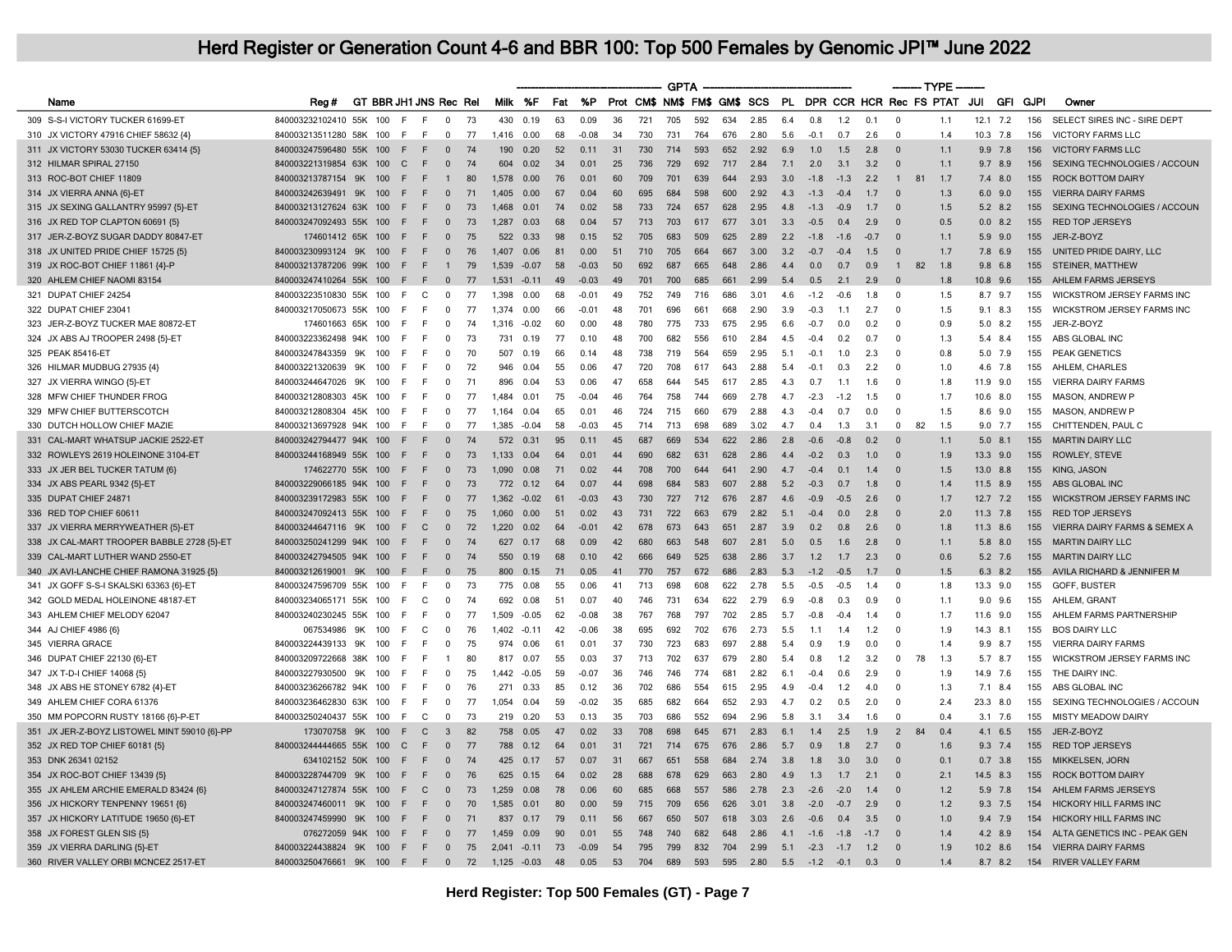|                                              |                                 |    |     |                        |              |     |             |         |     |         |    |     | <b>GPTA</b> |     |     |                              |     |             |        |        | ------- TYPE               |     |      |                |             |                                   |
|----------------------------------------------|---------------------------------|----|-----|------------------------|--------------|-----|-------------|---------|-----|---------|----|-----|-------------|-----|-----|------------------------------|-----|-------------|--------|--------|----------------------------|-----|------|----------------|-------------|-----------------------------------|
| Name                                         | Rea#                            |    |     | GT BBR JH1 JNS Rec Rel |              |     | Milk %F     |         | Fat | %P      |    |     |             |     |     | Prot CM\$ NM\$ FM\$ GM\$ SCS |     |             |        |        | PL DPR CCR HCR Rec FS PTAT |     | JUI  | GFI            | <b>GJPI</b> | Owner                             |
| 309 S-S-I VICTORY TUCKER 61699-ET            | 840003232102410 55K             |    | 100 | E<br>F                 | $^{\circ}$   | -73 | 430         | 0.19    | 63  | 0.09    | 36 | 721 | 705         | 592 | 634 | 2.85                         | 6.4 | 0.8         | 1.2    | 0.1    | $\overline{0}$             | 1.1 | 12.1 | 7.2            | 156         | SELECT SIRES INC - SIRE DEPT      |
| 310 JX VICTORY 47916 CHIEF 58632 {4}         | 840003213511280 58K 100         |    |     | E<br>E                 | $\Omega$     | 77  | 1.416       | 0.00    | 68  | $-0.08$ | 34 | 730 | 731         | 764 | 676 | 2.80                         | 5.6 | $-0.1$      | 0.7    | 2.6    | $\Omega$                   | 1.4 |      | $10.3$ 7.8     | 156         | <b>VICTORY FARMS LLC</b>          |
| 311 JX VICTORY 53030 TUCKER 63414 {5]        | 840003247596480 55K 100         |    |     | F.<br>F                | $\Omega$     | 74  | 190         | 0.20    | 52  | 0.11    | 31 | 730 | 714         | 593 | 652 | 2.92                         | 6.9 | 1.0         | 1.5    | 2.8    | $\Omega$                   | 1.1 |      | $9.9$ 7.8      | 156         | <b>VICTORY FARMS LLC</b>          |
| 312 HILMAR SPIRAL 27150                      | 840003221319854 63K 100         |    |     | $\mathbf{C}$<br>F      | $\Omega$     | 74  | 604         | 0.02    | 34  | 0.01    | 25 | 736 | 729         | 692 | 717 | 2.84                         | 7.1 | 2.0         | 3.1    | 3.2    | $\Omega$                   | 1.1 | 9.7  | 8.9            | 156         | SEXING TECHNOLOGIES / ACCOUN      |
| 313 ROC-BOT CHIEF 11809                      | 840003213787154                 | 9K | 100 | F<br>F.                |              | 80  | 1,578       | 0.00    | 76  | 0.01    | 60 | 709 | 701         | 639 | 644 | 2.93                         | 3.0 | $-1.8$      | $-1.3$ | 2.2    | 81<br>$\overline{1}$       | 1.7 |      | $7.4$ 8.0      | 155         | <b>ROCK BOTTOM DAIRY</b>          |
| 314 JX VIERRA ANNA {6}-ET                    | 840003242639491                 | 9K | 100 | E<br>E                 | $\Omega$     | 71  | 1.405       | 0.00    | 67  | 0.04    | 60 | 695 | 684         | 598 | 600 | 2.92                         | 4.3 | $-1.3$      | $-0.4$ | 1.7    | $\Omega$                   | 1.3 | 6.0  | 9.0            | 155         | <b>VIERRA DAIRY FARMS</b>         |
| 315 JX SEXING GALLANTRY 95997 {5}-ET         | 840003213127624 63K 100         |    |     | E                      | $\mathbf{0}$ | 73  | 1,468       | 0.01    | 74  | 0.02    | 58 | 733 | 724         | 657 | 628 | 2.95                         | 4.8 | $-1.3$      | $-0.9$ | 1.7    | $\Omega$                   | 1.5 |      | 5.2 8.2        | 155         | SEXING TECHNOLOGIES / ACCOUN      |
| 316 JX RED TOP CLAPTON 60691 {5}             | 840003247092493 55K 100         |    |     | E<br>E                 | $\Omega$     | 73  | 1.287       | 0.03    | 68  | 0.04    | 57 | 713 | 703         | 617 | 677 | 3.01                         | 3.3 | $-0.5$      | 04     | 2.9    | $\Omega$                   | 0.5 |      | $0.0$ 8.2      | 155         | <b>RED TOP JERSEYS</b>            |
| 317 JER-Z-BOYZ SUGAR DADDY 80847-ET          | 174601412 65K                   |    | 100 | F.                     | $\Omega$     | 75  | 522         | 0.33    | 98  | 0.15    | 52 | 705 | 683         | 509 | 625 | 2.89                         | 2.2 | $-1.8$      | $-1.6$ | $-0.7$ | $\Omega$                   | 1.1 | 5.9  | 9.0            | 155         | JER-Z-BOYZ                        |
| 318 JX UNITED PRIDE CHIEF 15725 {5}          | 840003230993124 9K 100          |    |     | E<br>E                 | $\mathbf{0}$ | 76  | 1407        | 0.06    | 81  | 0.00    | 51 | 710 | 705         | 664 | 667 | 3.00                         | 3.2 | $-0.7$      | $-0.4$ | 1.5    | $\Omega$                   | 1.7 |      | 7.8 6.9        | 155         | UNITED PRIDE DAIRY, LLC           |
| 319 JX ROC-BOT CHIEF 11861 {4}-P             | 840003213787206 99K 100         |    |     | F                      |              | 79  | 1.539       | $-0.07$ | 58  | $-0.03$ | 50 | 692 | 687         | 665 | 648 | 2.86                         | 4.4 | 0.0         | 0.7    | 0.9    | $\overline{1}$<br>82       | 1.8 |      | $9.8\quad 6.8$ | 155         | STEINER, MATTHEW                  |
| 320 AHLEM CHIEF NAOMI 83154                  | 840003247410264 55K 100         |    |     | F.<br>F                | $\Omega$     | 77  | 1.531       | $-0.11$ | 49  | $-0.03$ | 49 | 701 | 700         | 685 | 661 | 2.99                         | 5.4 | 0.5         | 2.1    | 2.9    | $\Omega$                   | 1.8 | 10.8 | 9.6            | 155         | AHLEM FARMS JERSEYS               |
| 321 DUPAT CHIEF 24254                        | 840003223510830 55K 100         |    |     | F.<br>C                | $\mathbf 0$  | 77  | 1,398       | 0.00    | 68  | $-0.01$ | 49 | 752 | 749         | 716 | 686 | 3.01                         | 4.6 | $-1.2$      | $-0.6$ | 1.8    | - 0                        | 1.5 |      | 8.7<br>9.7     | 155         | <b>WICKSTROM JERSEY FARMS INC</b> |
| 322 DUPAT CHIEF 23041                        | 840003217050673 55K 100         |    |     | E<br>E                 | $\Omega$     | 77  | 1.374       | 0.00    | 66  | $-0.01$ | 48 | 701 | 696         | 661 | 668 | 2.90                         | 3.9 | $-0.3$      | 1.1    | 2.7    | $\Omega$                   | 1.5 | 9.1  | 8.3            | 155         | <b>WICKSTROM JERSEY FARMS INC</b> |
| 323 JER-Z-BOYZ TUCKER MAE 80872-ET           | 174601663 65K 100               |    |     | F<br>F                 | $\Omega$     | 74  | 1,316       | $-0.02$ | 60  | 0.00    | 48 | 780 | 775         | 733 | 675 | 2.95                         | 6.6 | $-0.7$      | 0.0    | 0.2    | $\Omega$                   | 0.9 |      | $5.0$ 8.2      | 155         | JER-Z-BOYZ                        |
| 324 JX ABS AJ TROOPER 2498 {5}-ET            | 840003223362498 94K 100         |    |     | E<br>E                 | $\Omega$     | 73  | 731         | 0.19    | 77  | 0.10    | 48 | 700 | 682         | 556 | 610 | 2.84                         | 4.5 | $-0.4$      | 02     | 0.7    | $\Omega$                   | 1.3 |      | 5.4 8.4        | 155         | ABS GLOBAL INC                    |
| 325 PEAK 85416-ET                            | 840003247843359                 | 9K | 100 | E                      | $\Omega$     | 70  | 507         | 0.19    | 66  | 0.14    | 48 | 738 | 719         | 564 | 659 | 2.95                         | 5.1 | $-0.1$      | 1.0    | 2.3    | $\Omega$                   | 0.8 | 5.0  | 7.9            | 155         | PEAK GENETICS                     |
| 326 HILMAR MUDBUG 27935 {4}                  | 840003221320639                 | 9K | 100 | E<br>E                 | $\Omega$     | 72  | 946         | 0.04    | 55  | 0.06    | 47 | 720 | 708         | 617 | 643 | 2.88                         | 5.4 | $-0.1$      | 0.3    | 2.2    | $\Omega$                   | 1.0 |      | 4.6 7.8        | 155         | AHLEM, CHARLES                    |
| 327 JX VIERRA WINGO {5}-ET                   | 840003244647026                 | 9K | 100 | F                      | $\Omega$     | 71  | 896         | 0.04    | 53  | 0.06    | 47 | 658 | 644         | 545 | 617 | 2.85                         | 4.3 | 0.7         | 1.1    | 1.6    | $\Omega$                   | 1.8 |      | 11.9 9.0       | 155         | <b>VIERRA DAIRY FARMS</b>         |
| 328 MFW CHIEF THUNDER FROG                   | 840003212808303 45K             |    | 100 | E<br>F                 | $\Omega$     | 77  | 1484        | 0.01    | 75  | $-0.04$ | 46 | 764 | 758         | 744 | 669 | 2.78                         | 4.7 | $-2.3$      | $-1.2$ | 1.5    | $\Omega$                   | 1.7 |      | 10.6 8.0       | 155         | MASON, ANDREW P                   |
| 329 MFW CHIEF BUTTERSCOTCH                   | 840003212808304 45K             |    | 100 | F.<br>F                | $^{\circ}$   | 77  | 1.164       | 0.04    | 65  | 0.01    | 46 | 724 | 715         | 660 | 679 | 2.88                         | 4.3 | $-0.4$      | 0.7    | 0.0    | $\Omega$                   | 1.5 |      | 8.6<br>9.0     | 155         | MASON, ANDREW P                   |
| 330 DUTCH HOLLOW CHIEF MAZIE                 | 840003213697928 94K 100         |    |     | F.<br>F                | $\Omega$     | 77  | 1.385       | $-0.04$ | 58  | $-0.03$ | 45 | 714 | 713         | 698 | 689 | 3.02                         | 4.7 | 0.4         | 1.3    | 3.1    | $\overline{0}$<br>82       | 1.5 |      | $9.0$ 7.7      | 155         | CHITTENDEN, PAUL C                |
| 331 CAL-MART WHATSUP JACKIE 2522-ET          | 840003242794477 94K 100         |    |     | F                      | $\Omega$     | 74  | 572         | 0.31    | 95  | 0.11    | 45 | 687 | 669         | 534 | 622 | 2.86                         | 2.8 | $-0.6$      | $-0.8$ | 0.2    | $\Omega$                   | 1.1 | 5.0  | 8.1            | 155         | <b>MARTIN DAIRY LLC</b>           |
| 332 ROWLEYS 2619 HOLEINONE 3104-ET           | 840003244168949 55K 100         |    |     | $\mathsf{F}$<br>E      | $\Omega$     | 73  | 1,133       | 0.04    | 64  | 0.01    | 44 | 690 | 682         | 631 | 628 | 2.86                         | 4.4 | $-0.2$      | 0.3    | 1.0    | $\Omega$                   | 1.9 |      | 13.3 9.0       | 155         | ROWLEY, STEVE                     |
| 333 JX JER BEL TUCKER TATUM {6}              | 174622770 55K                   |    | 100 | E                      | $\Omega$     | 73  | 1.090       | 0.08    | 71  | 0.02    | 44 | 708 | 700         | 644 | 641 | 2.90                         | 47  | $-0.4$      | 0.1    | 14     | $\Omega$                   | 1.5 | 13.0 | 8.8            | 155         | <b>KING, JASON</b>                |
| 334 JX ABS PEARL 9342 {5}-ET                 | 840003229066185 94K 100         |    |     | E<br>F.                | $\Omega$     | 73  | 772         | 0.12    | 64  | 0.07    | 44 | 698 | 684         | 583 | 607 | 2.88                         | 5.2 | $-0.3$      | 0.7    | 1.8    | $\Omega$                   | 1.4 |      | 11.5 8.9       | 155         | ABS GLOBAL INC                    |
| 335 DUPAT CHIEF 24871                        | 840003239172983 55K 100         |    |     | E<br>E                 | $\Omega$     | 77  | 1.362       | $-0.02$ | 61  | $-0.03$ | 43 | 730 | 727         | 712 | 676 | 2.87                         | 4.6 | $-0.9$      | $-0.5$ | 2.6    | $\Omega$                   | 1.7 |      | $12.7$ 7.2     | 155         | <b>WICKSTROM JERSEY FARMS INC</b> |
| 336 RED TOP CHIEF 60611                      | 840003247092413 55K 100         |    |     | F.<br>F                | $\Omega$     | 75  | 1.060       | 0.00    | 51  | 0.02    | 43 | 731 | 722         | 663 | 679 | 2.82                         | 5.1 | $-0.4$      | 0.0    | 2.8    | $\Omega$                   | 2.0 |      | $11.3$ 7.8     | 155         | <b>RED TOP JERSEYS</b>            |
| 337 JX VIERRA MERRYWEATHER {5}-ET            | 840003244647116 9K              |    | 100 | F<br>$\mathsf{C}$      | $\mathbf{0}$ | 72  | 1.220       | 0.02    | 64  | $-0.01$ | 42 | 678 | 673         | 643 | 651 | 2.87                         | 3.9 | 0.2         | 0.8    | 2.6    | $\Omega$                   | 1.8 |      | 11.3 8.6       | 155         | VIERRA DAIRY FARMS & SEMEX A      |
| 338 JX CAL-MART TROOPER BABBLE 2728 {5}-ET   | 840003250241299 94K             |    | 100 | F.<br>F                | $\mathbf{0}$ | 74  | 627         | 0.17    | 68  | 0.09    | 42 | 680 | 663         | 548 | 607 | 2.81                         | 5.0 | 0.5         | 1.6    | 2.8    | $\Omega$                   | 1.1 | 5.8  | 8.0            | 155         | <b>MARTIN DAIRY LLC</b>           |
| 339 CAL-MART LUTHER WAND 2550-ET             | 840003242794505 94K 100         |    |     | F<br>F.                | $\Omega$     | 74  | 550         | 0.19    | 68  | 0.10    | 42 | 666 | 649         | 525 | 638 | 2.86                         | 3.7 | 1.2         | 1.7    | 2.3    | $\Omega$                   | 0.6 |      | 5.2 7.6        | 155         | <b>MARTIN DAIRY LLC</b>           |
| 340 JX AVI-LANCHE CHIEF RAMONA 31925 {5}     | 840003212619001 9K 100          |    |     | F<br>F                 | $\mathbf{0}$ | 75  | 800         | 0.15    | 71  | 0.05    | 41 | 770 | 757         | 672 | 686 | 2.83                         | 5.3 | $-1.2$      | $-0.5$ | 1.7    | $\Omega$                   | 1.5 |      | 6.3 8.2        | 155         | AVILA RICHARD & JENNIFER M        |
| 341 JX GOFF S-S-I SKALSKI 63363 {6}-ET       | 840003247596709 55K 100         |    |     | F<br>E                 | $\Omega$     | 73  | 775         | 0.08    | 55  | 0.06    | 41 | 713 | 698         | 608 | 622 | 2.78                         | 5.5 | $-0.5$      | $-0.5$ | 1.4    | $\mathbf{0}$               | 1.8 |      | 13.3 9.0       | 155         | GOFF, BUSTER                      |
| 342 GOLD MEDAL HOLEINONE 48187-ET            | 840003234065171 55K             |    | 100 | F<br>C                 | 0            | 74  | 692         | 0.08    | 51  | 0.07    | 40 | 746 | 731         | 634 | 622 | 2.79                         | 6.9 | $-0.8$      | 0.3    | 0.9    | $\overline{0}$             | 1.1 |      | $9.0$ $9.6$    | 155         | AHLEM, GRANT                      |
| 343 AHLEM CHIEF MELODY 62047                 | 840003240230245 55K 100         |    |     | E<br>E                 | $^{\circ}$   | 77  | 1.509       | $-0.05$ | 62  | $-0.08$ | 38 | 767 | 768         | 797 | 702 | 2.85                         | 5.7 | $-0.8$      | $-0.4$ | 1.4    | $\Omega$                   | 1.7 |      | 11.6 9.0       | 155         | AHLEM FARMS PARTNERSHIP           |
| 344 AJ CHIEF 4986 {6}                        | 067534986                       | 9K | 100 | F<br>C                 | 0            | 76  | 1,402       | $-0.11$ | 42  | $-0.06$ | 38 | 695 | 692         | 702 | 676 | 2.73                         | 5.5 | 1.1         | 1.4    | 1.2    | $\Omega$                   | 1.9 |      | 14.3 8.1       | 155         | <b>BOS DAIRY LLC</b>              |
| 345 VIERRA GRACE                             | 840003224439133 9K              |    | 100 | E<br>F                 | $\Omega$     | 75  | 974         | 0.06    | 61  | 0.01    | 37 | 730 | 723         | 683 | 697 | 2.88                         | 5.4 | 0.9         | 1.9    | 0.0    | $\Omega$                   | 1.4 | 9.9  | 8.7            | 155         | <b>VIERRA DAIRY FARMS</b>         |
| 346 DUPAT CHIEF 22130 {6}-ET                 | 840003209722668 38K             |    | 100 | E                      | $\mathbf{1}$ | 80  | 817         | 0.07    | 55  | 0.03    | 37 | 713 | 702         | 637 | 679 | 2.80                         | 5.4 | 0.8         | 1.2    | 3.2    | $\mathbf 0$<br>78          | 1.3 | 5.7  | 8.7            | 155         | WICKSTROM JERSEY FARMS INC        |
| 347 JX T-D-I CHIEF 14068 {5}                 | 840003227930500                 | 9K | 100 | F.<br>E                | $\Omega$     | 75  | 1.442       | $-0.05$ | 59  | $-0.07$ | 36 | 746 | 746         | 774 | 681 | 2.82                         | 6.1 | $-0.4$      | 0.6    | 2.9    | $\Omega$                   | 1.9 |      | 14.9 7.6       | 155         | THE DAIRY INC                     |
| 348 JX ABS HE STONEY 6782 {4}-ET             | 840003236266782 94K             |    | 100 | E<br>F                 | $\Omega$     | 76  | 271         | 0.33    | 85  | 0.12    | 36 | 702 | 686         | 554 | 615 | 2.95                         | 4.9 | $-0.4$      | 1.2    | 4.0    | - 0                        | 1.3 |      | $7.1$ 8.4      | 155         | ABS GLOBAL INC                    |
| 349 AHLEM CHIEF CORA 61376                   | 840003236462830 63K             |    | 100 | E<br>E                 | $\Omega$     | 77  | 1.054       | 0.04    | 59  | $-0.02$ | 35 | 685 | 682         | 664 | 652 | 2.93                         | 4.7 | 0.2         | 0.5    | 2.0    | $\Omega$                   | 2.4 |      | 23.3 8.0       | 155         | SEXING TECHNOLOGIES / ACCOUN      |
| 350 MM POPCORN RUSTY 18166 {6}-P-ET          | 840003250240437 55K 100         |    |     | F.<br>C                | 0            | 73  | 219         | 0.20    | 53  | 0.13    | 35 | 703 | 686         | 552 | 694 | 2.96                         | 5.8 | 3.1         | 3.4    | 1.6    | $\Omega$                   | 0.4 |      | $3.1$ 7.6      | 155         | <b>MISTY MEADOW DAIRY</b>         |
| 351 JX JER-Z-BOYZ LISTOWEL MINT 59010 {6}-PP | 173070758 9K                    |    | 100 | E<br>$\Gamma$          | $\mathbf{3}$ | 82  | 758         | 0.05    | 47  | 0.02    | 33 | 708 | 698         | 645 | 671 | 2.83                         | 6.1 | 1.4         | 25     | 1.9    | $\overline{2}$<br>84       | 0.4 | 41   | 65             | 155         | JER-Z-BOYZ                        |
| 352 JX RED TOP CHIEF 60181 {5}               | 840003244444665 55K 100         |    |     | $\mathsf{C}$<br>F      | $\Omega$     | 77  | 788         | 0.12    | 64  | 0.01    | 31 | 721 | 714         | 675 | 676 | 2.86                         | 5.7 | 0.9         | 1.8    | 2.7    | $\Omega$                   | 1.6 |      | $9.3$ 7.4      | 155         | <b>RED TOP JERSEYS</b>            |
| 353 DNK 26341 02152                          | 634102152 50K 100               |    |     | E<br>E                 | $\Omega$     | 74  | 425         | 0.17    | 57  | 0.07    | 31 | 667 | 651         | 558 | 684 | 2.74                         | 3.8 | 1.8         | 3.0    | 3.0    | $\Omega$                   | 0.1 |      | $0.7$ 3.8      | 155         | <b>MIKKELSEN, JORN</b>            |
| 354 JX ROC-BOT CHIEF 13439 {5}               | 840003228744709                 | 9K | 100 | F                      | $\Omega$     | 76  | 625         | 0.15    | 64  | 0.02    | 28 | 688 | 678         | 629 | 663 | 2.80                         | 4.9 | 1.3         | 1.7    | 2.1    | $\Omega$                   | 2.1 | 14.5 | 8.3            | 155         | <b>ROCK BOTTOM DAIRY</b>          |
| 355 JX AHLEM ARCHIE EMERALD 83424 {6}        | 840003247127874 55K 100         |    |     | F<br>$\mathsf{C}$      | $\Omega$     | 73  | 1.259       | 0.08    | 78  | 0.06    | 60 | 685 | 668         | 557 | 586 | 2.78                         | 2.3 | $-2.6$      | $-2.0$ | 1.4    | $\Omega$                   | 1.2 |      | 5.9 7.8        | 154         | AHLEM FARMS JERSEYS               |
| 356 JX HICKORY TENPENNY 19651 {6}            | 840003247460011 9K              |    | 100 | F                      | $\Omega$     | 70  | 1.585       | 0.01    | 80  | 0.00    | 59 | 715 | 709         | 656 | 626 | 3.01                         | 3.8 | $-2.0$      | $-0.7$ | 2.9    | $\Omega$                   | 1.2 | 9.3  | 7.5            | 154         | HICKORY HILL FARMS INC            |
| 357 JX HICKORY LATITUDE 19650 {6}-ET         | 840003247459990                 | 9K | 100 | F.<br>F                | $\Omega$     | 71  | 837         | 0.17    | 79  | 0.11    | 56 | 667 | 650         | 507 | 618 | 3.03                         | 2.6 | $-0.6$      | 0.4    | 3.5    | $\Omega$                   | 1.0 | 9.4  | 7.9            | 154         | <b>HICKORY HILL FARMS INC</b>     |
| 358 JX FOREST GLEN SIS (5)                   | 076272059 94K 100               |    |     | F.<br>F                | $\Omega$     | 77  | 1,459       | 0.09    | 90  | 0.01    | 55 | 748 | 740         | 682 | 648 | 2.86                         | 4.1 | $-1.6$      | $-1.8$ | $-1.7$ | $\Omega$                   | 1.4 |      | 4.2 8.9        | 154         | ALTA GENETICS INC - PEAK GEN      |
| 359 JX VIERRA DARLING {5}-ET                 | 840003224438824 9K 100          |    |     | F.<br>F                | $\mathbf 0$  | 75  | 2,041       | $-0.11$ | 73  | $-0.09$ | 54 | 795 | 799         | 832 | 704 | 2.99                         | 5.1 | $-2.3$      | $-1.7$ | 1.2    | $\Omega$                   | 1.9 |      | 10.2 8.6       | 154         | <b>VIERRA DAIRY FARMS</b>         |
| 360 RIVER VALLEY ORBI MCNCEZ 2517-ET         | 840003250476661 9K 100 F F 0 72 |    |     |                        |              |     | 1,125 -0.03 |         | 48  | 0.05    | 53 | 704 | 689         | 593 |     | 595 2.80                     |     | $5.5 - 1.2$ | $-0.1$ | 0.3    | $\Omega$                   | 14  |      | 8782           |             | 154 RIVER VALLEY FARM             |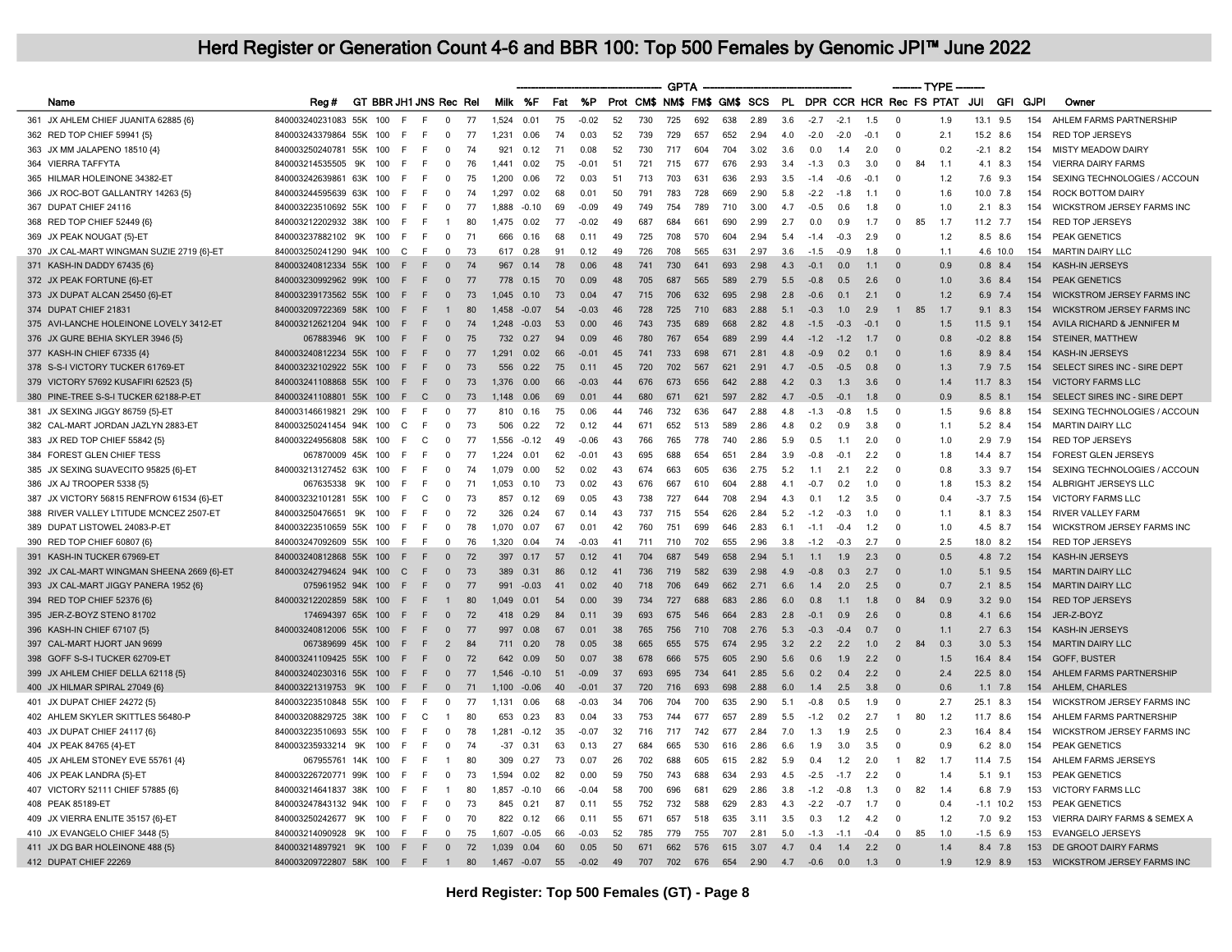|                                            |                               |    |     |                              |                |    |         |             |     |         |    |     | <b>GPTA</b> |     |     |                              |     |                            |        |        |                | ------- TYPE |     |             |     |      |                                   |
|--------------------------------------------|-------------------------------|----|-----|------------------------------|----------------|----|---------|-------------|-----|---------|----|-----|-------------|-----|-----|------------------------------|-----|----------------------------|--------|--------|----------------|--------------|-----|-------------|-----|------|-----------------------------------|
| Name                                       | Reg #                         |    |     | GT BBR JH1 JNS Rec Rel       |                |    |         | Milk %F     | Fat | %P      |    |     |             |     |     | Prot CM\$ NM\$ FM\$ GM\$ SCS |     | PL DPR CCR HCR Rec FS PTAT |        |        |                |              |     | JUI         | GFI | GJPI | Owner                             |
| 361 JX AHLEM CHIEF JUANITA 62885 {6}       | 840003240231083 55K           |    | 100 | F<br>E                       | $\Omega$       | 77 | 1,524   | 0.01        | 75  | $-0.02$ | 52 | 730 | 725         | 692 | 638 | 2.89                         | 3.6 | $-2.7$                     | $-2.1$ | 1.5    | $\Omega$       |              | 1.9 | 13.1        | 9.5 | 154  | AHLEM FARMS PARTNERSHIP           |
| 362 RED TOP CHIEF 59941 {5}                | 840003243379864 55K           |    | 100 | E<br>E                       | $\Omega$       | 77 | 1.231   | 0.06        | 74  | 0.03    | 52 | 739 | 729         | 657 | 652 | 2.94                         | 4.0 | $-2.0$                     | $-2.0$ | $-0.1$ | $\Omega$       |              | 2.1 | 15.2 8.6    |     | 154  | <b>RED TOP JERSEYS</b>            |
| 363 JX MM JALAPENO 18510 {4}               | 840003250240781 55K           |    | 100 | E<br>E                       | $\Omega$       | 74 | 921     | 0.12        | 71  | 0.08    | 52 | 730 | 717         | 604 | 704 | 3.02                         | 3.6 | 0.0                        | 1.4    | 2.0    | $\Omega$       |              | 0.2 | $-2.1$ 8.2  |     | 154  | <b>MISTY MEADOW DAIRY</b>         |
| 364 VIERRA TAFFYTA                         | 840003214535505               | 9K | 100 | E<br>E                       | $\Omega$       | 76 | 1.441   | 0.02        | 75  | $-0.01$ | 51 | 721 | 715         | 677 | 676 | 2.93                         | 3.4 | $-1.3$                     | 0.3    | 3.0    | $^{\circ}$     | 84           | 1.1 | 4.1         | 8.3 | 154  | <b>VIERRA DAIRY FARMS</b>         |
| 365 HILMAR HOLEINONE 34382-ET              | 840003242639861 63K           |    | 100 | E<br>-F                      | $\mathbf{0}$   | 75 | 1,200   | 0.06        | 72  | 0.03    | 51 | 713 | 703         | 631 | 636 | 2.93                         | 3.5 | $-1.4$                     | $-0.6$ | $-0.1$ | $\Omega$       |              | 1.2 | 7.6         | 9.3 | 154  | SEXING TECHNOLOGIES / ACCOUN      |
| 366 JX ROC-BOT GALLANTRY 14263 {5}         | 840003244595639 63K           |    | 100 | E<br>E                       | $\Omega$       | 74 | 1.297   | 0.02        | 68  | 0.01    | 50 | 791 | 783         | 728 | 669 | 2.90                         | 5.8 | $-2.2$                     | $-1.8$ | 1.1    | $\Omega$       |              | 1.6 | 10.0 7.8    |     | 154  | <b>ROCK BOTTOM DAIRY</b>          |
| 367 DUPAT CHIEF 24116                      | 840003223510692 55K           |    | 100 | E<br>E                       | $\Omega$       | 77 | 1.888   | $-0.10$     | 69  | $-0.09$ | 49 | 749 | 754         | 789 | 710 | 3.00                         | 4.7 | $-0.5$                     | 0.6    | 1.8    | $\Omega$       |              | 1.0 | 2.1         | 8.3 | 154  | WICKSTROM JERSEY FARMS INC        |
| 368 RED TOP CHIEF 52449 {6}                | 840003212202932 38K           |    | 100 | E<br>F                       | -1             | 80 | 1.475   | 0.02        | 77  | $-0.02$ | 49 | 687 | 684         | 661 | 690 | 2.99                         | 2.7 | 0.0                        | 0.9    | 1.7    | $\mathbf 0$    | 85           | 1.7 | $11.2$ 7.7  |     | 154  | <b>RED TOP JERSEYS</b>            |
| 369 JX PEAK NOUGAT {5}-ET                  | 840003237882102               | 9K | 100 | E<br>E                       | $\mathbf 0$    | 71 | 666     | 0.16        | 68  | 0.11    | 49 | 725 | 708         | 570 | 604 | 2.94                         | 5.4 | $-1.4$                     | $-0.3$ | 2.9    | $\Omega$       |              | 1.2 | 8.5         | 8.6 | 154  | PEAK GENETICS                     |
| 370 JX CAL-MART WINGMAN SUZIE 2719 {6}-ET  | 840003250241290 94K 100       |    |     | $\mathsf{F}$<br>$\mathsf{C}$ | $\Omega$       | 73 | 617     | 0.28        | 91  | 0.12    | 49 | 726 | 708         | 565 | 631 | 2.97                         | 3.6 | $-1.5$                     | $-0.9$ | 1.8    | $\Omega$       |              | 1.1 | 4.6 10.0    |     | 154  | <b>MARTIN DAIRY LLC</b>           |
| 371 KASH-IN DADDY 67435 {6}                | 840003240812334 55K           |    | 100 | E                            | $\Omega$       | 74 | 967     | 0.14        | 78  | 0.06    | 48 | 741 | 730         | 641 | 693 | 2.98                         | 4.3 | $-0.1$                     | 0.0    | 1.1    | $\Omega$       |              | 0.9 | $0.8$ 8.4   |     | 154  | <b>KASH-IN JERSEYS</b>            |
| 372 JX PEAK FORTUNE {6}-ET                 | 840003230992962 99K           |    | 100 | E<br>F                       | $\Omega$       | 77 | 778     | 0.15        | 70  | 0.09    | 48 | 705 | 687         | 565 | 589 | 2.79                         | 5.5 | $-0.8$                     | 0.5    | 26     | $\Omega$       |              | 10  | 3.6         | 8.4 | 154  | PEAK GENETICS                     |
| 373 JX DUPAT ALCAN 25450 {6}-ET            | 840003239173562 55K           |    | 100 | F<br>F                       | $\mathbf{0}$   | 73 | 1,045   | 0.10        | 73  | 0.04    | 47 | 715 | 706         | 632 | 695 | 2.98                         | 2.8 | $-0.6$                     | 0.1    | 2.1    | $\Omega$       |              | 1.2 | 6.9         | 7.4 | 154  | <b>WICKSTROM JERSEY FARMS INC</b> |
| 374 DUPAT CHIEF 21831                      | 840003209722369 58K           |    | 100 | E<br>E                       | $\overline{1}$ | 80 | 1.458   | $-0.07$     | 54  | $-0.03$ | 46 | 728 | 725         | 710 | 683 | 2.88                         | 5.1 | $-0.3$                     | 1.0    | 2.9    | $\overline{1}$ | 85           | 1.7 | 9.1         | 8.3 | 154  | <b>WICKSTROM JERSEY FARMS INC</b> |
| 375 AVI-LANCHE HOLEINONE LOVELY 3412-ET    | 840003212621204 94K           |    | 100 | E<br>F                       | $\Omega$       | 74 | 1,248   | $-0.03$     | 53  | 0.00    | 46 | 743 | 735         | 689 | 668 | 2.82                         | 4.8 | $-1.5$                     | $-0.3$ | $-0.1$ | $\Omega$       |              | 1.5 | 11.5        | 9.1 | 154  | AVILA RICHARD & JENNIFER M        |
| 376 JX GURE BEHIA SKYLER 3946 {5}          | 067883946 9K                  |    | 100 | E<br>E                       | $\Omega$       | 75 | 732     | 0.27        | 94  | 0.09    | 46 | 780 | 767         | 654 | 689 | 2.99                         | 4.4 | $-1.2$                     | $-1.2$ | 1.7    | $\Omega$       |              | 0.8 | $-0.2$ 8.8  |     | 154  | STEINER, MATTHEW                  |
| 377 KASH-IN CHIEF 67335 {4}                | 840003240812234 55K           |    | 100 | E<br>F                       | $\mathbf{0}$   | 77 | 1,291   | 0.02        | 66  | $-0.01$ | 45 | 741 | 733         | 698 | 671 | 2.81                         | 4.8 | $-0.9$                     | 0.2    | 0.1    | $\Omega$       |              | 1.6 | 8.9         | 8.4 | 154  | <b>KASH-IN JERSEYS</b>            |
| 378 S-S-I VICTORY TUCKER 61769-ET          | 840003232102922 55K 100       |    |     | E<br>E                       | $\Omega$       | 73 | 556     | 0.22        | 75  | 0.11    | 45 | 720 | 702         | 567 | 621 | 2.91                         | 4.7 | $-0.5$                     | $-0.5$ | 0.8    | $\Omega$       |              | 1.3 | 7.9 7.5     |     | 154  | SELECT SIRES INC - SIRE DEPT      |
| 379 VICTORY 57692 KUSAFIRI 62523 {5}       | 840003241108868 55K           |    | 100 | E<br>E                       | $\mathbf{0}$   | 73 | 1,376   | 0.00        | 66  | $-0.03$ | 44 | 676 | 673         | 656 | 642 | 2.88                         | 4.2 | 0.3                        | 1.3    | 3.6    | $\Omega$       |              | 1.4 | $11.7$ 8.3  |     | 154  | <b>VICTORY FARMS LLC</b>          |
| 380 PINE-TREE S-S-I TUCKER 62188-P-ET      | 840003241108801 55K 100       |    |     | E<br>$\Gamma$                | $\Omega$       | 73 | 1 1 4 8 | 0.06        | 69  | 0.01    | 44 | 680 | 671         | 621 | 597 | 282                          | 47  | $-0.5$                     | $-0.1$ | 1.8    | $\Omega$       |              | 0.9 | 8.5 8.1     |     | 154  | SELECT SIRES INC - SIRE DEPT      |
| 381 JX SEXING JIGGY 86759 {5}-ET           | 840003146619821 29K           |    | 100 | F<br>E                       | $\Omega$       | 77 | 810     | 0.16        | 75  | 0.06    | 44 | 746 | 732         | 636 | 647 | 2.88                         | 4.8 | $-1.3$                     | $-0.8$ | 1.5    | $\Omega$       |              | 1.5 | 9.6 8.8     |     | 154  | SEXING TECHNOLOGIES / ACCOUN      |
| 382 CAL-MART JORDAN JAZLYN 2883-ET         | 840003250241454 94K           |    | 100 | E<br>C.                      | $\Omega$       | 73 | 506     | 0.22        | 72  | 0.12    | 44 | 671 | 652         | 513 | 589 | 2.86                         | 4.8 | 0.2                        | 0.9    | 3.8    | $\Omega$       |              | 1.1 | 5.2         | 8.4 | 154  | <b>MARTIN DAIRY LLC</b>           |
| 383 JX RED TOP CHIEF 55842 {5}             | 840003224956808 58K           |    | 100 | C<br>E                       | $\Omega$       | 77 | 1.556   | $-0.12$     | 49  | $-0.06$ | 43 | 766 | 765         | 778 | 740 | 2.86                         | 5.9 | 0.5                        | 1.1    | 2.0    | $\Omega$       |              | 1.0 | $2.9$ 7.9   |     | 154  | <b>RED TOP JERSEYS</b>            |
| 384 FOREST GLEN CHIEF TESS                 | 067870009 45K 100             |    |     | E<br>E                       | $\Omega$       | 77 | 1.224   | 0.01        | 62  | $-0.01$ | 43 | 695 | 688         | 654 | 651 | 2.84                         | 3.9 | $-0.8$                     | $-0.1$ | 22     | $\Omega$       |              | 1.8 | 14.4 8.7    |     | 154  | <b>FOREST GLEN JERSEYS</b>        |
| 385 JX SEXING SUAVECITO 95825 {6}-ET       | 840003213127452 63K           |    | 100 | E<br>F                       | $\Omega$       | 74 | 1.079   | 0.00        | 52  | 0.02    | 43 | 674 | 663         | 605 | 636 | 2.75                         | 5.2 | 1.1                        | 2.1    | 2.2    | $\Omega$       |              | 0.8 | 3.3         | 9.7 | 154  | SEXING TECHNOLOGIES / ACCOUN      |
| 386 JX AJ TROOPER 5338 {5}                 | 067635338                     | 9K | 100 | E<br>E                       | $\mathbf 0$    | 71 | 1,053   | 0.10        | 73  | 0.02    | 43 | 676 | 667         | 610 | 604 | 2.88                         | 4.1 | $-0.7$                     | 0.2    | 1.0    | $\Omega$       |              | 1.8 | 15.3 8.2    |     | 154  | ALBRIGHT JERSEYS LLC              |
| 387 JX VICTORY 56815 RENFROW 61534 {6}-ET  | 840003232101281 55K           |    | 100 | $\mathsf{C}$                 | $\Omega$       | 73 | 857     | 0.12        | 69  | 0.05    | 43 | 738 | 727         | 644 | 708 | 2.94                         | 4.3 | 0.1                        | 1.2    | 3.5    | $\Omega$       |              | 0.4 | $-3.7$ 7.5  |     | 154  | <b>VICTORY FARMS LLC</b>          |
| 388 RIVER VALLEY LTITUDE MCNCEZ 2507-ET    | 840003250476651               | 9K | 100 | E<br>E                       | $\Omega$       | 72 | 326     | 0.24        | 67  | 0.14    | 43 | 737 | 715         | 554 | 626 | 2.84                         | 5.2 | $-1.2$                     | $-0.3$ | 1.0    | $\Omega$       |              | 1.1 | 8.1         | 8.3 | 154  | <b>RIVER VALLEY FARM</b>          |
| 389 DUPAT LISTOWEL 24083-P-ET              | 840003223510659 55K           |    | 100 | E<br>E                       | $\Omega$       | 78 | 1,070   | 0.07        | 67  | 0.01    | 42 | 760 | 751         | 699 | 646 | 2.83                         | 6.1 | $-1.1$                     | $-0.4$ | 1.2    | $\Omega$       |              | 1.0 | 4.5         | 8.7 | 154  | WICKSTROM JERSEY FARMS INC        |
| 390 RED TOP CHIEF 60807 {6}                | 840003247092609 55K           |    | 100 | E<br>E                       | $\Omega$       | 76 | 1,320   | 0.04        | 74  | $-0.03$ | 41 | 711 | 710         | 702 | 655 | 2.96                         | 3.8 | $-1.2$                     | $-0.3$ | 2.7    | $\Omega$       |              | 2.5 | 18.0        | 8.2 | 154  | <b>RED TOP JERSEYS</b>            |
| 391 KASH-IN TUCKER 67969-ET                | 840003240812868 55K 100       |    |     | E                            | $\Omega$       | 72 | 397     | 0.17        | 57  | 0.12    | 41 | 704 | 687         | 549 | 658 | 2.94                         | 5.1 | 1.1                        | 1.9    | 2.3    |                |              | 0.5 | 4.8 7.2     |     | 154  | <b>KASH-IN JERSEYS</b>            |
| 392 JX CAL-MART WINGMAN SHEENA 2669 {6}-ET | 840003242794624 94K 100       |    |     | E<br>$\Gamma$                | $\Omega$       | 73 | 389     | 0.31        | 86  | 0.12    | 41 | 736 | 719         | 582 | 639 | 2.98                         | 4.9 | $-0.8$                     | 0.3    | 2.7    | $\Omega$       |              | 1.0 | $5.1$ 9.5   |     | 154  | <b>MARTIN DAIRY LLC</b>           |
| 393 JX CAL-MART JIGGY PANERA 1952 (6)      | 075961952 94K 100             |    |     | E<br>E                       | $\Omega$       | 77 | 991     | $-0.03$     | 41  | 0.02    | 40 | 718 | 706         | 649 | 662 | 2.71                         | 6.6 | 1.4                        | 2.0    | 2.5    | $\Omega$       |              | 0.7 | 2.1         | 8.5 | 154  | <b>MARTIN DAIRY LLC</b>           |
| 394 RED TOP CHIEF 52376 {6}                | 840003212202859 58K 100       |    |     | E<br>E                       | $\overline{1}$ | 80 | 1.049   | 0.01        | 54  | 0.00    | 39 | 734 | 727         | 688 | 683 | 2.86                         | 6.0 | 0.8                        | 1.1    | 1.8    | $\Omega$       | 84           | 0.9 | $3.2$ 9.0   |     | 154  | <b>RED TOP JERSEYS</b>            |
| 395 JER-Z-BOYZ STENO 81702                 | 174694397 65K 100             |    |     | E<br>E                       | $\Omega$       | 72 | 418     | 0.29        | 84  | 0.11    | 39 | 693 | 675         | 546 | 664 | 2.83                         | 2.8 | $-0.1$                     | 0.9    | 2.6    |                |              | 0.8 | 4.1         | 6.6 | 154  | JER-Z-BOYZ                        |
| 396 KASH-IN CHIEF 67107 {5}                | 840003240812006 55K 100       |    |     | E<br>E                       | $\Omega$       | 77 | 997     | 0.08        | 67  | 0.01    | 38 | 765 | 756         | 710 | 708 | 2.76                         | 5.3 | $-0.3$                     | $-0.4$ | 0.7    | $\Omega$       |              | 1.1 | 2.7         | 6.3 | 154  | KASH-IN JERSEYS                   |
| 397 CAL-MART HJORT JAN 9699                | 067389699 45K 100             |    |     | E<br>E                       | $\overline{2}$ | 84 | 711     | 0.20        | 78  | 0.05    | 38 | 665 | 655         | 575 | 674 | 2.95                         | 3.2 | 2.2                        | 2.2    | 1.0    | 2              | 84           | 0.3 | 3.0         | 5.3 | 154  | <b>MARTIN DAIRY LLC</b>           |
| 398 GOFF S-S-I TUCKER 62709-ET             | 840003241109425 55K 100       |    |     | E<br>E                       | $\Omega$       | 72 | 642     | 0.09        | 50  | 0.07    | 38 | 678 | 666         | 575 | 605 | 2.90                         | 5.6 | 0.6                        | 1.9    | 2.2    | $\Omega$       |              | 1.5 | 16.4        | 8.4 | 154  | <b>GOFF, BUSTER</b>               |
| 399 JX AHLEM CHIEF DELLA 62118 {5}         | 840003240230316 55K 100       |    |     | E<br>F                       | $\overline{0}$ | 77 | 1,546   | $-0.10$     | 51  | $-0.09$ | 37 | 693 | 695         | 734 | 641 | 2.85                         | 5.6 | 0.2                        | 0.4    | 2.2    | $\Omega$       |              | 2.4 | 22.5 8.0    |     | 154  | AHLEM FARMS PARTNERSHIP           |
| 400 JX HILMAR SPIRAL 27049 {6}             | 840003221319753 9K 100        |    |     | E<br>E                       | $\mathbf{0}$   | 71 | 1.100   | $-0.06$     | 40  | $-0.01$ | 37 | 720 | 716         | 693 | 698 | 2.88                         | 6.0 | 1.4                        | 2.5    | 3.8    | $\Omega$       |              | 0.6 | $1.1$ 7.8   |     | 154  | AHLEM, CHARLES                    |
| 401 JX DUPAT CHIEF 24272 {5}               | 840003223510848 55K           |    | 100 | E<br>E                       | 0              | 77 | 1.131   | 0.06        | 68  | $-0.03$ | 34 | 706 | 704         | 700 | 635 | 2.90                         | 5.1 | $-0.8$                     | 0.5    | 1.9    | $\Omega$       |              | 2.7 | 25.1        | 8.3 | 154  | WICKSTROM JERSEY FARMS INC        |
| 402 AHLEM SKYLER SKITTLES 56480-P          | 840003208829725 38K           |    | 100 | C<br>E                       | $\mathbf{1}$   | 80 | 653     | 0.23        | 83  | 0.04    | 33 | 753 | 744         | 677 | 657 | 2.89                         | 5.5 | $-1.2$                     | 0.2    | 2.7    | $\mathbf{1}$   | 80           | 1.2 | 11.7 8.6    |     | 154  | AHLEM FARMS PARTNERSHIP           |
| 403 JX DUPAT CHIEF 24117 {6}               | 840003223510693 55K           |    | 100 | E<br>E                       | $\Omega$       | 78 | 1.281   | $-0.12$     | 35  | $-0.07$ | 32 | 716 | 717         | 742 | 677 | 2.84                         | 7.0 | 1.3                        | 1.9    | 2.5    | $\Omega$       |              | 2.3 | 16.4 8.4    |     | 154  | <b>WICKSTROM JERSEY FARMS INC</b> |
| 404 JX PEAK 84765 {4}-ET                   | 840003235933214               | 9K | 100 | E<br>E                       | $\Omega$       | 74 | -37     | 0.31        | 63  | 0.13    | 27 | 684 | 665         | 530 | 616 | 2.86                         | 6.6 | 1.9                        | 3.0    | 3.5    | $\Omega$       |              | 0.9 | 6.2         | 8.0 | 154  | PEAK GENETICS                     |
| 405 JX AHLEM STONEY EVE 55761 {4}          | 067955761 14K 100             |    |     | E<br>E                       | $\mathbf{1}$   | 80 | 309     | 0.27        | 73  | 0.07    | 26 | 702 | 688         | 605 | 615 | 2.82                         | 5.9 | 0.4                        | 1.2    | 2.0    | $\mathbf{1}$   | 82           | 1.7 | 11.4 7.5    |     | 154  | AHLEM FARMS JERSEYS               |
| 406 JX PEAK LANDRA {5}-ET                  | 840003226720771 99K           |    | 100 | F<br>E                       | $\Omega$       | 73 | 1,594   | 0.02        | 82  | 0.00    | 59 | 750 | 743         | 688 | 634 | 2.93                         | 4.5 | $-2.5$                     | $-1.7$ | 2.2    | $\Omega$       |              | 1.4 | 5.1         | 9.1 | 153  | PEAK GENETICS                     |
| 407 VICTORY 52111 CHIEF 57885 {6}          | 840003214641837 38K           |    | 100 | E<br>E                       | $\mathbf{1}$   | 80 | 1.857   | $-0.10$     | 66  | $-0.04$ | 58 | 700 | 696         | 681 | 629 | 2.86                         | 3.8 | $-1.2$                     | $-0.8$ | 1.3    | $^{\circ}$     | 82           | 1.4 | 6.8 7.9     |     | 153  | <b>VICTORY FARMS LLC</b>          |
| 408 PEAK 85189-ET                          | 840003247843132 94K           |    | 100 | E<br>E                       | $\Omega$       | 73 | 845     | 0.21        | 87  | 0.11    | 55 | 752 | 732         | 588 | 629 | 2.83                         | 4.3 | $-2.2$                     | $-0.7$ | 1.7    | $\Omega$       |              | 0.4 | $-1.1$ 10.2 |     | 153  | <b>PEAK GENETICS</b>              |
| 409 JX VIERRA ENLITE 35157 {6}-ET          | 840003250242677               | 9K | 100 | E<br>E                       | $\Omega$       | 70 | 822     | 0.12        | 66  | 0.11    | 55 | 671 | 657         | 518 | 635 | 3.11                         | 3.5 | 0.3                        | 1.2    | 4.2    | $\Omega$       |              | 1.2 | 7.0         | 9.2 | 153  | VIERRA DAIRY FARMS & SEMEX A      |
| 410 JX EVANGELO CHIEF 3448 {5}             | 840003214090928               | 9K | 100 | E<br>E                       | $\mathbf 0$    | 75 | 1,607   | $-0.05$     | 66  | $-0.03$ | 52 | 785 | 779         | 755 | 707 | 2.81                         | 5.0 | $-1.3$                     | $-1.1$ | $-0.4$ | 0              | 85           | 1.0 | $-1.5$ 6.9  |     | 153  | <b>EVANGELO JERSEYS</b>           |
| 411 JX DG BAR HOLEINONE 488 {5}            | 840003214897921 9K 100        |    |     | E<br>E                       | $\Omega$       | 72 | 1.039   | 0.04        | 60  | 0.05    | 50 | 671 | 662         | 576 | 615 | 3.07                         | 4.7 | 0.4                        | 1.4    | 2.2    | $\Omega$       |              | 14  | 84 78       |     | 153  | DE GROOT DAIRY FARMS              |
| 412 DUPAT CHIEF 22269                      | 840003209722807 58K 100 F F 1 |    |     |                              |                | 80 |         | 1,467 -0.07 | 55  | $-0.02$ | 49 | 707 | 702         | 676 | 654 | 2.90                         | 4.7 | $-0.6$                     | 0.0    | 1.3    | $\Omega$       |              | 1.9 | 12.9 8.9    |     |      | 153 WICKSTROM JERSEY FARMS INC    |
|                                            |                               |    |     |                              |                |    |         |             |     |         |    |     |             |     |     |                              |     |                            |        |        |                |              |     |             |     |      |                                   |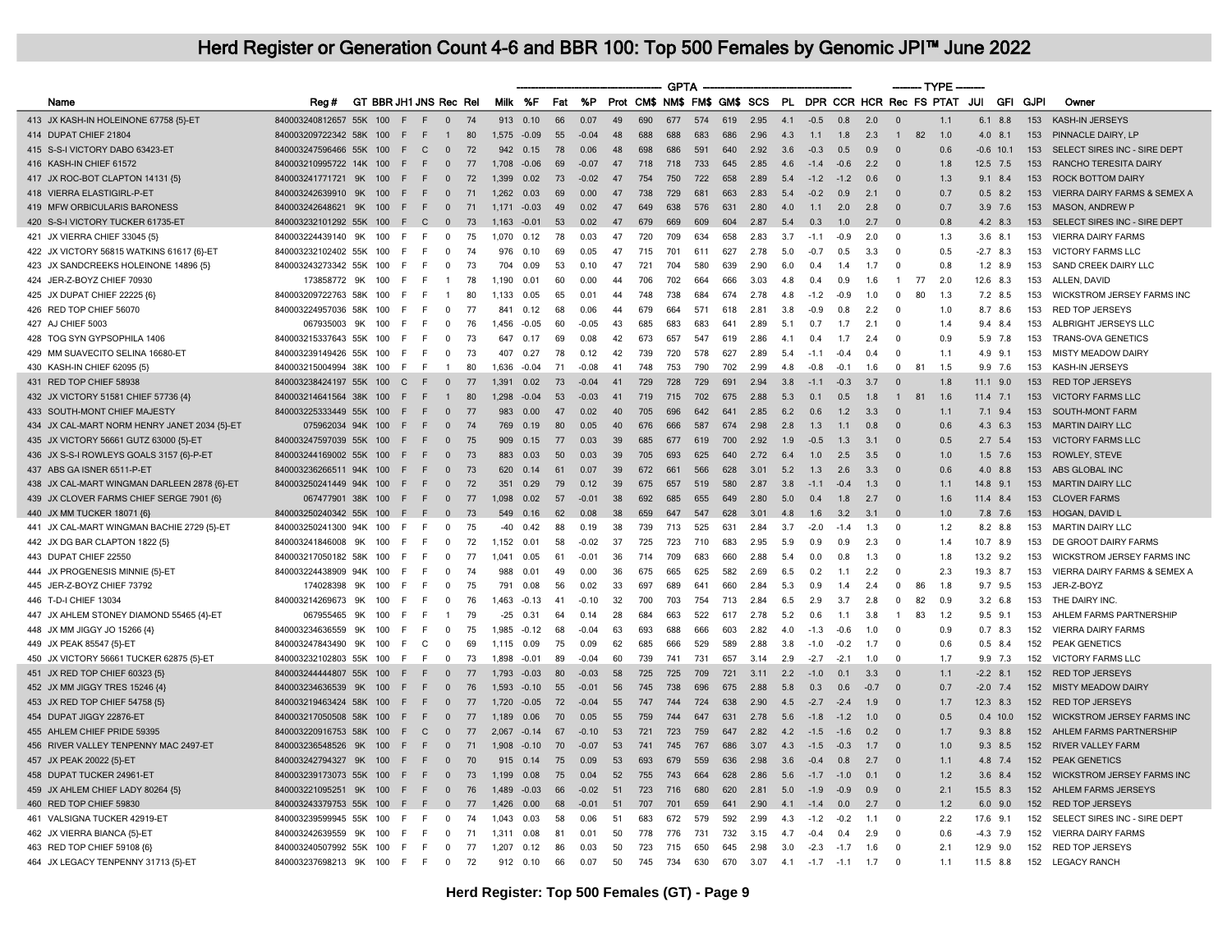|                                              |                         |     |     |                        |                |    |       |         |     |         |                              |     | <b>GPTA</b> |     |     |      |     |                            |        |                | $---$ TYPE $-$ |    |     |                |             |                                   |
|----------------------------------------------|-------------------------|-----|-----|------------------------|----------------|----|-------|---------|-----|---------|------------------------------|-----|-------------|-----|-----|------|-----|----------------------------|--------|----------------|----------------|----|-----|----------------|-------------|-----------------------------------|
| Name                                         | Rea#                    |     |     | GT BBR JH1 JNS Rec Rel |                |    | Milk  | %F      | Fat | %P      | Prot CM\$ NM\$ FM\$ GM\$ SCS |     |             |     |     |      |     | PL DPR CCR HCR Rec FS PTAT |        |                |                |    | JUI | GFI            | <b>GJPI</b> | Owner                             |
| 413 JX KASH-IN HOLEINONE 67758 {5}-ET        | 840003240812657 55K     |     | 100 | F<br>F                 | $\Omega$       | 74 | 913   | 0.10    | 66  | 0.07    | 49                           | 690 | 677         | 574 | 619 | 2.95 | 4.1 | $-0.5$                     | 0.8    | 2.0            | $\Omega$       |    | 1.1 | 8.8<br>6.1     | 153         | KASH-IN JERSEYS                   |
| 414 DUPAT CHIEF 21804                        | 840003209722342 58K     |     | 100 | -F<br>F                | $\mathbf{1}$   | 80 | 1,575 | $-0.09$ | 55  | $-0.04$ | 48                           | 688 | 688         | 683 | 686 | 2.96 | 4.3 | 1.1                        | 1.8    | 2.3            | $\overline{1}$ | 82 | 1.0 | $4.0$ $8.1$    | 153         | PINNACLE DAIRY, LP                |
| 415 S-S-I VICTORY DABO 63423-ET              | 840003247596466 55K     |     | 100 | F<br>C.                | $\overline{0}$ | 72 | 942   | 0.15    | 78  | 0.06    | 48                           | 698 | 686         | 591 | 640 | 2.92 | 3.6 | $-0.3$                     | 0.5    | 0.9            | $\Omega$       |    | 0.6 | $-0.6$ 10.1    | 153         | SELECT SIRES INC - SIRE DEPT      |
| 416 KASH-IN CHIEF 61572                      | 840003210995722 14K     |     | 100 | F<br>F                 | $\Omega$       | 77 | 1,708 | $-0.06$ | 69  | $-0.07$ | 47                           | 718 | 718         | 733 | 645 | 2.85 | 4.6 | $-1.4$                     | $-0.6$ | 2.2            | $\Omega$       |    | 1.8 | 12.5 7.5       | 153         | <b>RANCHO TERESITA DAIRY</b>      |
| 417 JX ROC-BOT CLAPTON 14131 {5}             | 840003241771721 9K      |     | 100 | F<br>E                 | $\Omega$       | 72 | 1.399 | 0.02    | 73  | $-0.02$ | 47                           | 754 | 750         | 722 | 658 | 2.89 | 5.4 | $-1.2$                     | $-1.2$ | 0.6            | $\Omega$       |    | 1.3 | $9.1$ 8.4      | 153         | <b>ROCK BOTTOM DAIRY</b>          |
| 418 VIERRA ELASTIGIRL-P-ET                   | 840003242639910         | 9K  | 100 | F<br>F                 | $\mathbf 0$    | 71 | 1,262 | 0.03    | 69  | 0.00    | 47                           | 738 | 729         | 681 | 663 | 2.83 | 5.4 | $-0.2$                     | 0.9    | 2.1            | $\Omega$       |    | 0.7 | 0.5<br>8.2     | 153         | VIERRA DAIRY FARMS & SEMEX A      |
| 419 MFW ORBICULARIS BARONESS                 | 840003242648621 9K      |     | 100 | E<br>F                 | $\overline{0}$ | 71 | 1,171 | $-0.03$ | 49  | 0.02    | 47                           | 649 | 638         | 576 | 631 | 2.80 | 4.0 | 1.1                        | 2.0    | 2.8            | $\Omega$       |    | 0.7 | $3.9$ 7.6      | 153         | <b>MASON, ANDREW P</b>            |
| 420 S-S-I VICTORY TUCKER 61735-ET            | 840003232101292 55K 100 |     |     | F<br>$\mathsf{C}$      | $\overline{0}$ | 73 | 1.163 | $-0.01$ | 53  | 0.02    | 47                           | 679 | 669         | 609 | 604 | 2.87 | 5.4 | 0.3                        | 1.0    | 2.7            | $\Omega$       |    | 0.8 | 4.2 8.3        | 153         | SELECT SIRES INC - SIRE DEPT      |
| 421 JX VIERRA CHIEF 33045 {5}                | 840003224439140 9K      |     | 100 | E<br>E                 | $\Omega$       | 75 | 1.070 | 0.12    | 78  | 0.03    | 47                           | 720 | 709         | 634 | 658 | 2.83 | 3.7 | $-1.1$                     | $-0.9$ | 2.0            | $\Omega$       |    | 1.3 | $3.6$ $8.1$    | 153         | <b>VIERRA DAIRY FARMS</b>         |
| 422 JX VICTORY 56815 WATKINS 61617 {6}-ET    | 840003232102402 55K     |     | 100 | E<br>F                 | $\overline{0}$ | 74 | 976   | 0.10    | 69  | 0.05    | 47                           | 715 | 701         | 611 | 627 | 2.78 | 5.0 | $-0.7$                     | 0.5    | 3.3            | $\overline{0}$ |    | 0.5 | $-2.7$ 8.3     | 153         | <b>VICTORY FARMS LLC</b>          |
| 423 JX SANDCREEKS HOLEINONE 14896 {5}        | 840003243273342 55K     |     | 100 | E<br>E                 | $\Omega$       | 73 | 704   | 0.09    | 53  | 0.10    | 47                           | 721 | 704         | 580 | 639 | 2.90 | 6.0 | 0.4                        | 1.4    | 1.7            | $\Omega$       |    | 0.8 | $1.2$ 8.9      | 153         | SAND CREEK DAIRY LLC              |
| 424 JER-Z-BOYZ CHIEF 70930                   | 173858772 9K            |     | 100 | E<br>E                 | $\overline{1}$ | 78 | 1,190 | 0.01    | 60  | 0.00    | 44                           | 706 | 702         | 664 | 666 | 3.03 | 4.8 | 0.4                        | 0.9    | 1.6            | $\overline{1}$ | 77 | 2.0 | 12.6 8.3       | 153         | ALLEN, DAVID                      |
| 425 JX DUPAT CHIEF 22225 {6}                 | 840003209722763 58K 100 |     |     | F.<br>E                | $\mathbf{1}$   | 80 | 1,133 | 0.05    | 65  | 0.01    | 44                           | 748 | 738         | 684 | 674 | 2.78 | 48  | $-1.2$                     | $-0.9$ | 1.0            | $\Omega$       | 80 | 1.3 | 7.2 8.5        | 153         | <b>WICKSTROM JERSEY FARMS INC</b> |
| 426 RED TOP CHIEF 56070                      | 840003224957036 58K     |     | 100 | F<br>-F                | $\Omega$       | 77 | 841   | 0.12    | 68  | 0.06    | 44                           | 679 | 664         | 571 | 618 | 2.81 | 3.8 | $-0.9$                     | 0.8    | 2.2            | $\Omega$       |    | 1.0 | 8.6<br>8.7     | 153         | <b>RED TOP JERSEYS</b>            |
| 427 AJ CHIEF 5003                            | 067935003 9K            |     | 100 | E<br>E                 | $\Omega$       | 76 | 1,456 | $-0.05$ | 60  | $-0.05$ | 43                           | 685 | 683         | 683 | 641 | 2.89 | 5.1 | 0.7                        | 1.7    | 2.1            | $\Omega$       |    | 1.4 | 9.4 8.4        | 153         | ALBRIGHT JERSEYS LLC              |
| 428 TOG SYN GYPSOPHILA 1406                  | 840003215337643 55K 100 |     |     | -F<br>$\mathsf F$      | $\mathbf 0$    | 73 | 647   | 0.17    | 69  | 0.08    | 42                           | 673 | 657         | 547 | 619 | 2.86 | 4.1 | 0.4                        | 1.7    | 24             | $\Omega$       |    | 0.9 | 5.9 7.8        | 153         | <b>TRANS-OVA GENETICS</b>         |
| 429 MM SUAVECITO SELINA 16680-ET             | 840003239149426 55K     |     | 100 | E<br>E                 | $\Omega$       | 73 | 407   | 0.27    | 78  | 0.12    | 42                           | 739 | 720         | 578 | 627 | 2.89 | 5.4 | $-11$                      | $-0.4$ | 0 <sub>4</sub> | $\Omega$       |    | 1.1 | 4.9<br>9.1     | 153         | <b>MISTY MEADOW DAIRY</b>         |
| 430 KASH-IN CHIEF 62095 {5}                  | 840003215004994 38K     |     | 100 | E<br>E                 | $\overline{1}$ | 80 | 1,636 | $-0.04$ | 71  | $-0.08$ | 41                           | 748 | 753         | 790 | 702 | 2.99 | 4.8 | $-0.8$                     | $-0.1$ | 1.6            | $\overline{0}$ | 81 | 1.5 | 9.9 7.6        | 153         | KASH-IN JERSEYS                   |
| 431 RED TOP CHIEF 58938                      | 840003238424197 55K 100 |     |     | C<br>F                 | $\Omega$       | 77 | 1.391 | 0.02    | 73  | $-0.04$ | 41                           | 729 | 728         | 729 | 691 | 2.94 | 3.8 | $-1.1$                     | $-0.3$ | 3.7            | $\Omega$       |    | 1.8 | 11.1<br>9.0    | 153         | <b>RED TOP JERSEYS</b>            |
| 432 JX VICTORY 51581 CHIEF 57736 {4}         | 840003214641564 38K     |     | 100 | E<br>F                 | $\mathbf{1}$   | 80 | 1.298 | $-0.04$ | 53  | $-0.03$ | 41                           | 719 | 715         | 702 | 675 | 2.88 | 5.3 | 0.1                        | 0.5    | 1.8            | $\overline{1}$ | 81 | 1.6 | $11.4$ 7.1     | 153         | <b>VICTORY FARMS LLC</b>          |
| 433 SOUTH-MONT CHIEF MAJESTY                 | 840003225333449 55K 100 |     |     | E<br>F                 | $\mathbf{0}$   | 77 | 983   | 0.00    | 47  | 0.02    | 40                           | 705 | 696         | 642 | 641 | 2.85 | 6.2 | 0.6                        | 1.2    | 3.3            | $\Omega$       |    | 1.1 | $7.1$ 9.4      | 153         | <b>SOUTH-MONT FARM</b>            |
| 434 JX CAL-MART NORM HENRY JANET 2034 {5}-ET | 075962034 94K           |     | 100 | -F<br>F                | $\Omega$       | 74 | 769   | 0.19    | 80  | 0.05    | 40                           | 676 | 666         | 587 | 674 | 2.98 | 2.8 | 1.3                        | 1.1    | 0.8            | $\Omega$       |    | 0.6 | 4.3<br>6.3     | 153         | <b>MARTIN DAIRY LLC</b>           |
| 435 JX VICTORY 56661 GUTZ 63000 {5}-ET       | 840003247597039 55K 100 |     |     | E<br>E                 | $\Omega$       | 75 | 909   | 0.15    | 77  | 0.03    | 39                           | 685 | 677         | 619 | 700 | 2.92 | 1.9 | $-0.5$                     | 1.3    | 3.1            | $\Omega$       |    | 0.5 | $2.7$ 5.4      | 153         | <b>VICTORY FARMS LLC</b>          |
| 436 JX S-S-I ROWLEYS GOALS 3157 {6}-P-ET     | 840003244169002 55K 100 |     |     | E<br>F                 | $\Omega$       | 73 | 883   | 0.03    | 50  | 0.03    | 39                           | 705 | 693         | 625 | 640 | 2.72 | 6.4 | 1.0                        | 2.5    | 3.5            | $\Omega$       |    | 1.0 | $1.5$ 7.6      | 153         | ROWLEY, STEVE                     |
| 437 ABS GA ISNER 6511-P-ET                   | 840003236266511 94K     |     | 100 | E<br>F                 | $\Omega$       | 73 | 620   | 0,14    | 61  | 0.07    | 39                           | 672 | 661         | 566 | 628 | 3.01 | 5.2 | 1.3                        | 2.6    | 3.3            | $\Omega$       |    | 0.6 | 8.8<br>4.0     | 153         | ABS GLOBAL INC                    |
| 438 JX CAL-MART WINGMAN DARLEEN 2878 {6}-ET  | 840003250241449 94K     |     | 100 | -F<br>F.               | $\mathbf{0}$   | 72 | 351   | 0.29    | 79  | 0.12    | 39                           | 675 | 657         | 519 | 580 | 2.87 | 3.8 | $-1.1$                     | $-0.4$ | 1.3            | $\Omega$       |    | 1.1 | 14.8 9.1       | 153         | <b>MARTIN DAIRY LLC</b>           |
| 439 JX CLOVER FARMS CHIEF SERGE 7901 {6}     | 067477901 38K 100       |     |     | F<br>F                 | $\Omega$       | 77 | 1.098 | 0.02    | 57  | $-0.01$ | 38                           | 692 | 685         | 655 | 649 | 2.80 | 5.0 | 0.4                        | 1.8    | 2.7            | $\Omega$       |    | 1.6 | 11.4 8.4       | 153         | <b>CLOVER FARMS</b>               |
| 440 JX MM TUCKER 18071 {6}                   | 840003250240342 55K 100 |     |     | -F<br>F                | $\Omega$       | 73 | 549   | 0.16    | 62  | 0.08    | 38                           | 659 | 647         | 547 | 628 | 3.01 | 4.8 | 1.6                        | 3.2    | 3.1            | - 0            |    | 1.0 | 7.8 7.6        | 153         | <b>HOGAN, DAVID L</b>             |
| 441 JX CAL-MART WINGMAN BACHIE 2729 {5}-ET   | 840003250241300 94K 100 |     |     | F<br>F                 | $^{\circ}$     | 75 | -40   | 0.42    | 88  | 0.19    | 38                           | 739 | 713         | 525 | 631 | 2.84 | 3.7 | $-2.0$                     | $-1.4$ | 1.3            | $\overline{0}$ |    | 1.2 | 8.2 8.8        | 153         | <b>MARTIN DAIRY LLC</b>           |
| 442 JX DG BAR CLAPTON 1822 {5}               | 840003241846008 9K      |     | 100 | E<br>-F                | 0              | 72 | 1.152 | 0.01    | 58  | -0.02   | 37                           | 725 | 723         | 710 | 683 | 2.95 | 5.9 | 0.9                        | 0.9    | 2.3            | $\Omega$       |    | 1.4 | 10.7<br>8.9    | 153         | DE GROOT DAIRY FARMS              |
| 443 DUPAT CHIEF 22550                        | 840003217050182 58K     |     | 100 | E<br>E                 | $\Omega$       | 77 | 1.041 | 0.05    | 61  | $-0.01$ | 36                           | 714 | 709         | 683 | 660 | 2.88 | 5.4 | 0.0                        | 0.8    | 1.3            | $\Omega$       |    | 1.8 | 13.2 9.2       | 153         | <b>WICKSTROM JERSEY FARMS INC</b> |
| 444 JX PROGENESIS MINNIE {5}-ET              | 840003224438909 94K 100 |     |     | -F<br>F                | $\Omega$       | 74 | 988   | 0.01    | 49  | 0.00    | 36                           | 675 | 665         | 625 | 582 | 2.69 | 6.5 | 0.2                        | 1.1    | 2.2            | - 0            |    | 2.3 | 19.3 8.7       | 153         | VIERRA DAIRY FARMS & SEMEX A      |
| 445 JER-Z-BOYZ CHIEF 73792                   | 174028398 9K            |     | 100 | E<br>E                 | $\Omega$       | 75 | 791   | 0.08    | 56  | 0.02    | 33                           | 697 | 689         | 641 | 660 | 2.84 | 5.3 | 0.9                        | 1.4    | 2.4            | $\overline{0}$ | 86 | 1.8 | 9.7<br>9.5     | 153         | JER-Z-BOYZ                        |
| 446 T-D-I CHIEF 13034                        | 840003214269673         | 9K  | 100 | -F<br>-F               | 0              | 76 | 1,463 | $-0.13$ | 41  | $-0.10$ | 32                           | 700 | 703         | 754 | 713 | 2.84 | 6.5 | 2.9                        | 3.7    | 2.8            | $\mathbf 0$    | 82 | 0.9 | $3.2\quad 6.8$ | 153         | THE DAIRY INC.                    |
| 447 JX AHLEM STONEY DIAMOND 55465 {4}-ET     | 067955465               | 9K  | 100 | $\mathsf{F}$<br>E      | $\overline{1}$ | 79 | $-25$ | 0.31    | 64  | 0.14    | 28                           | 684 | 663         | 522 | 617 | 2.78 | 5.2 | 0.6                        | 1.1    | 3.8            | $\overline{1}$ | 83 | 1.2 | $9.5$ $9.1$    | 153         | AHLEM FARMS PARTNERSHIP           |
| 448 JX MM JIGGY JO 15266 {4}                 | 840003234636559         | 9K  | 100 | E<br>F                 | $\Omega$       | 75 | 1,985 | $-0.12$ | 68  | $-0.04$ | 63                           | 693 | 688         | 666 | 603 | 2.82 | 4.0 | $-1.3$                     | $-0.6$ | 1.0            | - 0            |    | 0.9 | 0.7<br>8.3     | 152         | <b>VIERRA DAIRY FARMS</b>         |
| 449 JX PEAK 85547 {5}-ET                     | 840003247843490 9K      |     | 100 | F<br>$\mathbf{C}$      | $\Omega$       | 69 | 1.115 | 0.09    | 75  | 0.09    | 62                           | 685 | 666         | 529 | 589 | 2.88 | 3.8 | $-1.0$                     | $-0.2$ | 1.7            | $\Omega$       |    | 0.6 | $0.5$ 8.4      | 152         | PEAK GENETICS                     |
| 450 JX VICTORY 56661 TUCKER 62875 {5}-ET     | 840003232102803         | 55K | 100 | E<br>F                 | $\overline{0}$ | 73 | 1,898 | $-0.01$ | 89  | $-0.04$ | 60                           | 739 | 741         | 731 | 657 | 3.14 | 2.9 | $-2.7$                     | $-2.1$ | 1.0            | $\Omega$       |    | 1.7 | 9.9 7.3        | 152         | <b>VICTORY FARMS LLC</b>          |
| 451 JX RED TOP CHIEF 60323 {5}               | 840003244444807 55K     |     | 100 | F<br>E                 | $\overline{0}$ | 77 | 1,793 | $-0.03$ | 80  | $-0.03$ | 58                           | 725 | 725         | 709 | 721 | 3.11 | 2.2 | $-1.0$                     | 0.1    | 3.3            | $\Omega$       |    | 1.1 | $-2.2$ 8.1     | 152         | <b>RED TOP JERSEYS</b>            |
| 452 JX MM JIGGY TRES 15246 {4}               | 840003234636539 9K      |     | 100 | E<br>E                 | $\Omega$       | 76 | 1,593 | $-0.10$ | 55  | $-0.01$ | 56                           | 745 | 738         | 696 | 675 | 2.88 | 5.8 | 0.3                        | 0.6    | $-0.7$         | $\Omega$       |    | 0.7 | $-2.0$ 7.4     | 152         | <b>MISTY MEADOW DAIRY</b>         |
| 453 JX RED TOP CHIEF 54758 {5}               | 840003219463424 58K     |     | 100 | E<br>E                 | $\Omega$       | 77 | 1720  | $-0.05$ | 72  | $-0.04$ | 55                           | 747 | 744         | 724 | 638 | 2.90 | 4.5 | $-2.7$                     | $-2.4$ | 1.9            | $\Omega$       |    | 1.7 | 12.3<br>8.3    | 152         | <b>RED TOP JERSEYS</b>            |
| 454 DUPAT JIGGY 22876-ET                     | 840003217050508 58K     |     | 100 | E<br>E                 | $\overline{0}$ | 77 | 1.189 | 0.06    | 70  | 0.05    | 55                           | 759 | 744         | 647 | 631 | 2.78 | 5.6 | $-1.8$                     | $-1.2$ | 1.0            | $\Omega$       |    | 0.5 | $0.4$ 10.0     | 152         | <b>WICKSTROM JERSEY FARMS INC</b> |
| 455 AHLEM CHIEF PRIDE 59395                  | 840003220916753 58K     |     | 100 | E<br>$\mathsf{C}$      | $\overline{0}$ | 77 | 2.067 | $-0.14$ | 67  | $-0.10$ | 53                           | 721 | 723         | 759 | 647 | 282  | 42  | $-1.5$                     | $-1.6$ | 0.2            | $\Omega$       |    | 1.7 | 9.3<br>8.8     | 152         | AHLEM FARMS PARTNERSHIP           |
| 456 RIVER VALLEY TENPENNY MAC 2497-ET        | 840003236548526         | 9K  | 100 | E<br>F                 | $\overline{0}$ | 71 | 1.908 | $-0.10$ | 70  | $-0.07$ | 53                           | 741 | 745         | 767 | 686 | 3.07 | 4.3 | $-1.5$                     | $-0.3$ | 1.7            | $\Omega$       |    | 1.0 | 9.3<br>8.5     | 152         | <b>RIVER VALLEY FARM</b>          |
| 457 JX PEAK 20022 {5}-ET                     | 840003242794327 9K      |     | 100 | E<br>F                 | $\mathbf 0$    | 70 | 915   | 0.14    | 75  | 0.09    | 53                           | 693 | 679         | 559 | 636 | 2.98 | 3.6 | $-0.4$                     | 0.8    | 2.7            | $\Omega$       |    | 1.1 | 4.8 7.4        | 152         | <b>PEAK GENETICS</b>              |
| 458 DUPAT TUCKER 24961-ET                    | 840003239173073 55K     |     | 100 | E<br>F                 | $\Omega$       | 73 | 1.199 | 0.08    | 75  | 0.04    | 52                           | 755 | 743         | 664 | 628 | 2.86 | 5.6 | $-1.7$                     | $-1.0$ | 0.1            | $\Omega$       |    | 1.2 | 3.6<br>8.4     | 152         | <b>WICKSTROM JERSEY FARMS INC</b> |
| 459 JX AHLEM CHIEF LADY 80264 {5}            | 840003221095251 9K      |     | 100 | E<br>F                 | $\Omega$       | 76 | 1,489 | $-0.03$ | 66  | $-0.02$ | 51                           | 723 | 716         | 680 | 620 | 2.81 | 5.0 | $-1.9$                     | $-0.9$ | 0.9            | $\Omega$       |    | 2.1 | 15.5 8.3       | 152         | AHLEM FARMS JERSEYS               |
| 460 RED TOP CHIEF 59830                      | 840003243379753 55K     |     | 100 | E<br>F                 | $\Omega$       | 77 | 1.426 | 0.00    | 68  | $-0.01$ | 51                           | 707 | 701         | 659 | 641 | 2.90 | 4.1 | $-1.4$                     | 0.0    | 2.7            | $\Omega$       |    | 1.2 | $6.0$ $9.0$    | 152         | RED TOP JERSEYS                   |
| 461 VALSIGNA TUCKER 42919-ET                 | 840003239599945 55K     |     | 100 | E<br>E                 | $\Omega$       | 74 | 1.043 | 0.03    | 58  | 0.06    | 51                           | 683 | 672         | 579 | 592 | 2.99 | 4.3 | $-1.2$                     | $-0.2$ | 11             | $\Omega$       |    | 2.2 | 17.6 9.1       | 152         | SELECT SIRES INC - SIRE DEPT      |
| 462 JX VIERRA BIANCA {5}-ET                  | 840003242639559         | 9K  | 100 | E<br>E                 | 0              | 71 | 1,311 | 0.08    | 81  | 0.01    | 50                           | 778 | 776         | 731 | 732 | 3.15 | 4.7 | $-0.4$                     | 0.4    | 2.9            | $\Omega$       |    | 0.6 | $-4.3$ 7.9     | 152         | <b>VIERRA DAIRY FARMS</b>         |
| 463 RED TOP CHIEF 59108 (6)                  | 840003240507992 55K     |     | 100 | F.<br>- F              | $\Omega$       | 77 | 1.207 | 0.12    | 86  | 0.03    | 50                           | 723 | 715         | 650 | 645 | 2.98 | 3.0 | $-2.3$                     | $-1.7$ | 1.6            | $\Omega$       |    | 2.1 | 12.9 9.0       | 152         | <b>RED TOP JERSEYS</b>            |
| 464 JX LEGACY TENPENNY 31713 (5)-ET          | 840003237698213 9K 100  |     |     | F<br>F                 | $\Omega$       | 72 | 912   | 0,10    | 66  | 0.07    | 50                           | 745 | 734         | 630 | 670 | 3.07 | 4.1 | $-1.7$                     | $-1.1$ | 1.7            | $\Omega$       |    | 11  | $11.5$ 8.8     | 152         | <b>LEGACY RANCH</b>               |
|                                              |                         |     |     |                        |                |    |       |         |     |         |                              |     |             |     |     |      |     |                            |        |                |                |    |     |                |             |                                   |